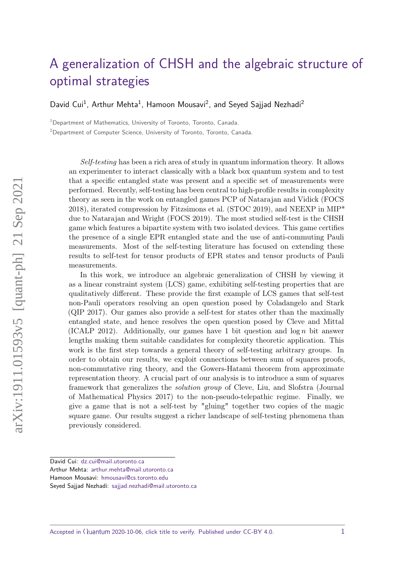# <span id="page-0-0"></span>[A generalization of CHSH and the algebraic structure of](https://quantum-journal.org/?s=A%20generalization%20of%20CHSH%20and%20the%20algebraic%20structure%20of%20optimal%20strategies&reason=title-click) [optimal strategies](https://quantum-journal.org/?s=A%20generalization%20of%20CHSH%20and%20the%20algebraic%20structure%20of%20optimal%20strategies&reason=title-click)

David Cui<sup>1</sup>, Arthur Mehta<sup>1</sup>, Hamoon Mousavi<sup>2</sup>, and Seyed Sajjad Nezhadi<sup>2</sup>

<sup>1</sup>Department of Mathematics, University of Toronto, Toronto, Canada.

<sup>2</sup>Department of Computer Science, University of Toronto, Toronto, Canada.

Self-testing has been a rich area of study in quantum information theory. It allows an experimenter to interact classically with a black box quantum system and to test that a specific entangled state was present and a specific set of measurements were performed. Recently, self-testing has been central to high-profile results in complexity theory as seen in the work on entangled games PCP of Natarajan and Vidick (FOCS 2018), iterated compression by Fitzsimons et al. (STOC 2019), and NEEXP in MIP\* due to Natarajan and Wright (FOCS 2019). The most studied self-test is the CHSH game which features a bipartite system with two isolated devices. This game certifies the presence of a single EPR entangled state and the use of anti-commuting Pauli measurements. Most of the self-testing literature has focused on extending these results to self-test for tensor products of EPR states and tensor products of Pauli measurements.

In this work, we introduce an algebraic generalization of CHSH by viewing it as a linear constraint system (LCS) game, exhibiting self-testing properties that are qualitatively different. These provide the first example of LCS games that self-test non-Pauli operators resolving an open question posed by Coladangelo and Stark (QIP 2017). Our games also provide a self-test for states other than the maximally entangled state, and hence resolves the open question posed by Cleve and Mittal (ICALP 2012). Additionally, our games have 1 bit question and  $\log n$  bit answer lengths making them suitable candidates for complexity theoretic application. This work is the first step towards a general theory of self-testing arbitrary groups. In order to obtain our results, we exploit connections between sum of squares proofs, non-commutative ring theory, and the Gowers-Hatami theorem from approximate representation theory. A crucial part of our analysis is to introduce a sum of squares framework that generalizes the solution group of Cleve, Liu, and Slofstra (Journal of Mathematical Physics 2017) to the non-pseudo-telepathic regime. Finally, we give a game that is not a self-test by "gluing" together two copies of the magic square game. Our results suggest a richer landscape of self-testing phenomena than previously considered.

Arthur Mehta: [arthur.mehta@mail.utoronto.ca](mailto:arthur.mehta@mail.utoronto.ca)

Accepted in ( )uantum 2020-10-06, click title to verify. Published under CC-BY 4.0. 1

David Cui: [dz.cui@mail.utoronto.ca](mailto:dz.cui@mail.utoronto.ca)

Hamoon Mousavi: [hmousavi@cs.toronto.edu](mailto:hmousavi@cs.toronto.edu)

Seyed Sajjad Nezhadi: [sajjad.nezhadi@mail.utoronto.ca](mailto:sajjad.nezhadi@mail.utoronto.ca)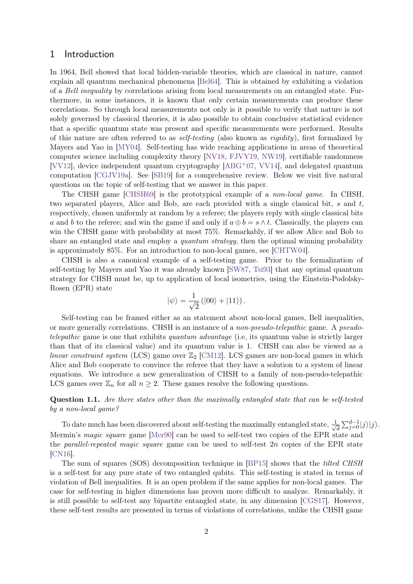### <span id="page-1-1"></span>1 Introduction

In 1964, Bell showed that local hidden-variable theories, which are classical in nature, cannot explain all quantum mechanical phenomena [\[Bel64\]](#page-39-0). This is obtained by exhibiting a violation of a Bell inequality by correlations arising from local measurements on an entangled state. Furthermore, in some instances, it is known that only certain measurements can produce these correlations. So through local measurements not only is it possible to verify that nature is not solely governed by classical theories, it is also possible to obtain conclusive statistical evidence that a specific quantum state was present and specific measurements were performed. Results of this nature are often referred to as *self-testing* (also known as *rigidity*), first formalized by Mayers and Yao in [\[MY04\]](#page-41-0). Self-testing has wide reaching applications in areas of theoretical computer science including complexity theory [\[NV18,](#page-41-1) [FJVY19,](#page-40-0) [NW19\]](#page-41-2), certifiable randomness [\[VV12\]](#page-42-0), device independent quantum cryptography [\[ABG](#page-39-1)+07, [VV14\]](#page-42-1), and delegated quantum computation [\[CGJV19a\]](#page-40-1). See [\[SB19\]](#page-41-3) for a comprehensive review. Below we visit five natural questions on the topic of self-testing that we answer in this paper.

The CHSH game [\[CHSH69\]](#page-40-2) is the prototypical example of a non-local game. In CHSH, two separated players, Alice and Bob, are each provided with a single classical bit, *s* and *t*, respectively, chosen uniformly at random by a referee; the players reply with single classical bits *a* and *b* to the referee; and win the game if and only if  $a \oplus b = s \wedge t$ . Classically, the players can win the CHSH game with probability at most 75%. Remarkably, if we allow Alice and Bob to share an entangled state and employ a *quantum strategy*, then the optimal winning probability is approximately 85%. For an introduction to non-local games, see [\[CHTW04\]](#page-40-3).

CHSH is also a canonical example of a self-testing game. Prior to the formalization of self-testing by Mayers and Yao it was already known [\[SW87,](#page-41-4) [Tsi93\]](#page-41-5) that any optimal quantum strategy for CHSH must be, up to application of local isometries, using the Einstein-Podolsky-Rosen (EPR) state

$$
|\psi\rangle = \frac{1}{\sqrt{2}} (|00\rangle + |11\rangle).
$$

Self-testing can be framed either as an statement about non-local games, Bell inequalities, or more generally correlations. CHSH is an instance of a non-pseudo-telepathic game. A pseudotelepathic game is one that exhibits quantum advantage (i.e, its quantum value is strictly larger than that of its classical value) and its quantum value is 1. CHSH can also be viewed as a linear constraint system (LCS) game over  $\mathbb{Z}_2$  [\[CM12\]](#page-40-4). LCS games are non-local games in which Alice and Bob cooperate to convince the referee that they have a solution to a system of linear equations. We introduce a new generalization of CHSH to a family of non-pseudo-telepathic LCS games over  $\mathbb{Z}_n$  for all  $n \geq 2$ . These games resolve the following questions.

<span id="page-1-0"></span>**Question 1.1.** *Are there states other than the maximally entangled state that can be self-tested by a non-local game?*

To date much has been discovered about self-testing the maximally entangled state,  $\frac{1}{\sqrt{2}}$  $\frac{1}{d} \sum_{j=0}^{d-1} |j\rangle |j\rangle.$ Mermin's magic square game [\[Mer90\]](#page-41-6) can be used to self-test two copies of the EPR state and the parallel-repeated magic square game can be used to self-test 2*n* copies of the EPR state [\[CN16\]](#page-40-5).

The sum of squares (SOS) decomposition technique in [\[BP15\]](#page-39-2) shows that the *tilted CHSH* is a self-test for any pure state of two entangled qubits. This self-testing is stated in terms of violation of Bell inequalities. It is an open problem if the same applies for non-local games. The case for self-testing in higher dimensions has proven more difficult to analyze. Remarkably, it is still possible to self-test any bipartite entangled state, in any dimension [\[CGS17\]](#page-40-6). However, these self-test results are presented in terms of violations of correlations, unlike the CHSH game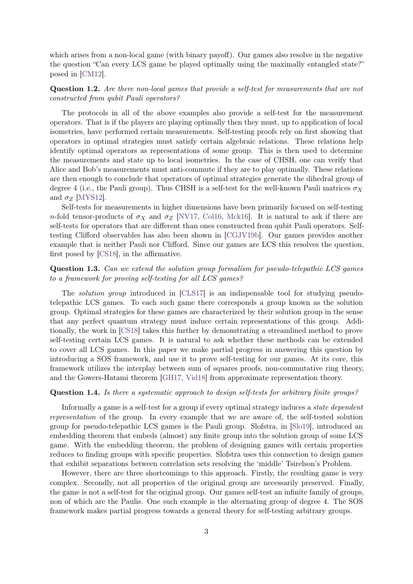which arises from a non-local game (with binary payoff). Our games also resolve in the negative the question "Can every LCS game be played optimally using the maximally entangled state?" posed in [\[CM12\]](#page-40-4).

<span id="page-2-1"></span>**Question 1.2.** *Are there non-local games that provide a self-test for measurements that are not constructed from qubit Pauli operators?*

The protocols in all of the above examples also provide a self-test for the measurement operators. That is if the players are playing optimally then they must, up to application of local isometries, have performed certain measurements. Self-testing proofs rely on first showing that operators in optimal strategies must satisfy certain algebraic relations. These relations help identify optimal operators as representations of some group. This is then used to determine the measurements and state up to local isometries. In the case of CHSH, one can verify that Alice and Bob's measurements must anti-commute if they are to play optimally. These relations are then enough to conclude that operators of optimal strategies generate the dihedral group of degree 4 (i.e., the Pauli group). Thus CHSH is a self-test for the well-known Pauli matrices  $\sigma_X$ and  $\sigma_Z$  [\[MYS12\]](#page-41-7).

Self-tests for measurements in higher dimensions have been primarily focused on self-testing *n*-fold tensor-products of  $\sigma_X$  and  $\sigma_Z$  [\[NV17,](#page-41-8) [Col16,](#page-40-7) [Mck16\]](#page-41-9). It is natural to ask if there are self-tests for operators that are different than ones constructed from qubit Pauli operators. Selftesting Clifford observables has also been shown in [\[CGJV19b\]](#page-40-8). Our games provides another example that is neither Pauli nor Clifford. Since our games are LCS this resolves the question, first posed by [\[CS18\]](#page-40-9), in the affirmative.

### **Question 1.3.** *Can we extend the solution group formalism for pseudo-telepathic LCS games to a framework for proving self-testing for all LCS games?*

The *solution group* introduced in [\[CLS17\]](#page-40-10) is an indispensable tool for studying pseudotelepathic LCS games. To each such game there corresponds a group known as the solution group. Optimal strategies for these games are characterized by their solution group in the sense that any perfect quantum strategy must induce certain representations of this group. Additionally, the work in [\[CS18\]](#page-40-9) takes this further by demonstrating a streamlined method to prove self-testing certain LCS games. It is natural to ask whether these methods can be extended to cover all LCS games. In this paper we make partial progress in answering this question by introducing a SOS framework, and use it to prove self-testing for our games. At its core, this framework utilizes the interplay between sum of squares proofs, non-commutative ring theory, and the Gowers-Hatami theorem [\[GH17,](#page-40-11) [Vid18\]](#page-41-10) from approximate representation theory.

#### <span id="page-2-0"></span>**Question 1.4.** *Is there a systematic approach to design self-tests for arbitrary finite groups?*

Informally a game is a self-test for a group if every optimal strategy induces a state dependent representation of the group. In every example that we are aware of, the self-tested solution group for pseudo-telepathic LCS games is the Pauli group. Slofstra, in [\[Slo19\]](#page-41-11), introduced an embedding theorem that embeds (almost) any finite group into the solution group of some LCS game. With the embedding theorem, the problem of designing games with certain properties reduces to finding groups with specific properties. Slofstra uses this connection to design games that exhibit separations between correlation sets resolving the 'middle' Tsirelson's Problem.

However, there are three shortcomings to this approach. Firstly, the resulting game is very complex. Secondly, not all properties of the original group are necessarily preserved. Finally, the game is not a self-test for the original group. Our games self-test an infinite family of groups, non of which are the Paulis. One such example is the alternating group of degree 4. The SOS framework makes partial progress towards a general theory for self-testing arbitrary groups.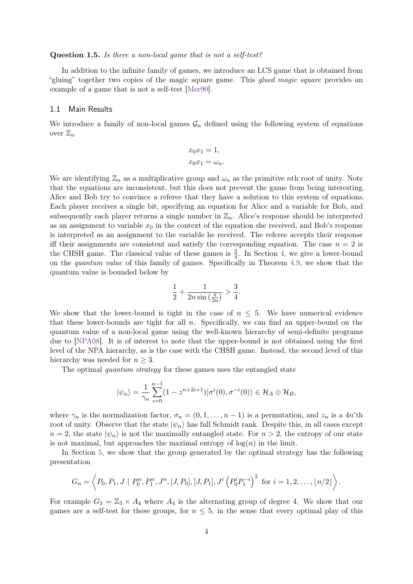#### <span id="page-3-0"></span>**Question 1.5.** *Is there a non-local game that is not a self-test?*

In addition to the infinite family of games, we introduce an LCS game that is obtained from "gluing" together two copies of the magic square game. This *qued magic square* provides an example of a game that is not a self-test [\[Mer90\]](#page-41-6).

#### <span id="page-3-1"></span>1.1 Main Results

We introduce a family of non-local games  $\mathcal{G}_n$  defined using the following system of equations over  $\mathbb{Z}_n$ 

$$
x_0 x_1 = 1,
$$
  

$$
x_0 x_1 = \omega_n.
$$

We are identifying  $\mathbb{Z}_n$  as a multiplicative group and  $\omega_n$  as the primitive *n*th root of unity. Note that the equations are inconsistent, but this does not prevent the game from being interesting. Alice and Bob try to convince a referee that they have a solution to this system of equations. Each player receives a single bit, specifying an equation for Alice and a variable for Bob, and subsequently each player returns a single number in  $\mathbb{Z}_n$ . Alice's response should be interpreted as an assignment to variable  $x_0$  in the context of the equation she received, and Bob's response is interpreted as an assignment to the variable he received. The referee accepts their response iff their assignments are consistent and satisfy the corresponding equation. The case  $n = 2$  is the CHSH game. The classical value of these games is  $\frac{3}{4}$ . In Section [4,](#page-16-0) we give a lower-bound on the quantum value of this family of games. Specifically in Theorem [4.9,](#page-22-0) we show that the quantum value is bounded below by

$$
\frac{1}{2} + \frac{1}{2n\sin\left(\frac{\pi}{2n}\right)} > \frac{3}{4}.
$$

We show that the lower-bound is tight in the case of  $n \leq 5$ . We have numerical evidence that these lower-bounds are tight for all *n*. Specifically, we can find an upper-bound on the quantum value of a non-local game using the well-known hierarchy of semi-definite programs due to [\[NPA08\]](#page-41-12). It is of interest to note that the upper-bound is not obtained using the first level of the NPA hierarchy, as is the case with the CHSH game. Instead, the second level of this hierarchy was needed for  $n \geq 3$ .

The optimal quantum strategy for these games uses the entangled state

$$
|\psi_n\rangle = \frac{1}{\gamma_n} \sum_{i=0}^{n-1} (1 - z^{n+2i+1}) |\sigma^i(0), \sigma^{-i}(0)\rangle \in \mathcal{H}_A \otimes \mathcal{H}_B,
$$

where  $\gamma_n$  is the normalization factor,  $\sigma_n = (0, 1, \ldots, n-1)$  is a permutation, and  $z_n$  is a 4*n*'th root of unity. Observe that the state  $|\psi_n\rangle$  has full Schmidt rank. Despite this, in all cases except  $n = 2$ , the state  $|\psi_n\rangle$  is not the maximally entangled state. For  $n > 2$ , the entropy of our state is not maximal, but approaches the maximal entropy of  $log(n)$  in the limit.

In Section [5,](#page-23-0) we show that the group generated by the optimal strategy has the following presentation

$$
G_n = \left\langle P_0, P_1, J \mid P_0^n, P_1^n, J^n, [J, P_0], [J, P_1], J^i \left( P_0^i P_1^{-i} \right)^2 \text{ for } i = 1, 2, \ldots, \lfloor n/2 \rfloor \right\rangle.
$$

For example  $G_3 = \mathbb{Z}_3 \times A_4$  where  $A_4$  is the alternating group of degree 4. We show that our games are a self-test for these groups, for  $n \leq 5$ , in the sense that every optimal play of this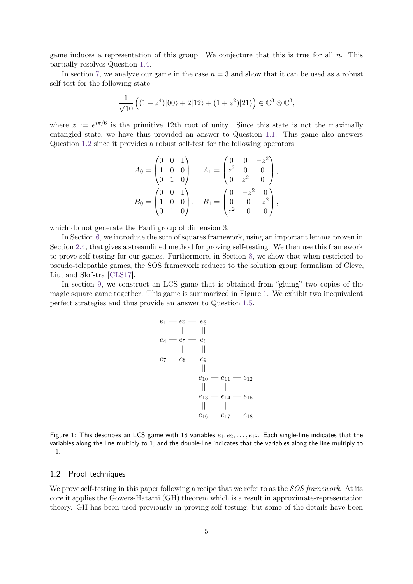game induces a representation of this group. We conjecture that this is true for all *n*. This partially resolves Question [1.4.](#page-2-0)

In section [7,](#page-29-0) we analyze our game in the case  $n = 3$  and show that it can be used as a robust self-test for the following state

$$
\frac{1}{\sqrt{10}}\left((1-z^4)|00\rangle+2|12\rangle+(1+z^2)|21\rangle\right)\in\mathbb{C}^3\otimes\mathbb{C}^3,
$$

where  $z := e^{i\pi/6}$  is the primitive 12th root of unity. Since this state is not the maximally entangled state, we have thus provided an answer to Question [1.1.](#page-1-0) This game also answers Question [1.2](#page-2-1) since it provides a robust self-test for the following operators

$$
A_0 = \begin{pmatrix} 0 & 0 & 1 \\ 1 & 0 & 0 \\ 0 & 1 & 0 \end{pmatrix}, \quad A_1 = \begin{pmatrix} 0 & 0 & -z^2 \\ z^2 & 0 & 0 \\ 0 & z^2 & 0 \end{pmatrix},
$$

$$
B_0 = \begin{pmatrix} 0 & 0 & 1 \\ 1 & 0 & 0 \\ 0 & 1 & 0 \end{pmatrix}, \quad B_1 = \begin{pmatrix} 0 & -z^2 & 0 \\ 0 & 0 & z^2 \\ z^2 & 0 & 0 \end{pmatrix},
$$

which do not generate the Pauli group of dimension 3.

In Section [6,](#page-26-0) we introduce the sum of squares framework, using an important lemma proven in Section [2.4,](#page-12-0) that gives a streamlined method for proving self-testing. We then use this framework to prove self-testing for our games. Furthermore, in Section [8,](#page-36-0) we show that when restricted to pseudo-telepathic games, the SOS framework reduces to the solution group formalism of Cleve, Liu, and Slofstra [\[CLS17\]](#page-40-10).

<span id="page-4-0"></span>In section [9,](#page-37-0) we construct an LCS game that is obtained from "gluing" two copies of the magic square game together. This game is summarized in Figure [1.](#page-4-0) We exhibit two inequivalent perfect strategies and thus provide an answer to Question [1.5.](#page-3-0)

$$
\begin{array}{c|c|c} e_1 - e_2 - e_3 \\ \mid & \mid & \mid \\ e_4 - e_5 - e_6 \\ \mid & \mid & \mid \\ e_7 - e_8 - e_9 \\ & & \mid & \mid \\ e_{10} - e_{11} - e_{12} \\ & & \mid & \mid & \mid \\ e_{13} - e_{14} - e_{15} \\ & & \mid & \mid & \mid \\ e_{16} - e_{17} - e_{18} \end{array}
$$

Figure 1: This describes an LCS game with 18 variables  $e_1, e_2, \ldots, e_{18}$ . Each single-line indicates that the variables along the line multiply to 1, and the double-line indicates that the variables along the line multiply to −1.

#### <span id="page-4-1"></span>1.2 Proof techniques

We prove self-testing in this paper following a recipe that we refer to as the *SOS framework*. At its core it applies the Gowers-Hatami (GH) theorem which is a result in approximate-representation theory. GH has been used previously in proving self-testing, but some of the details have been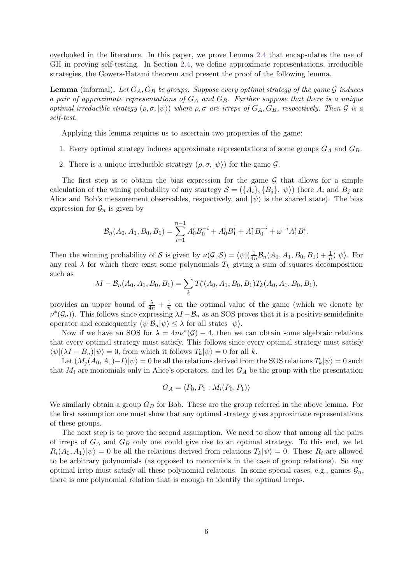overlooked in the literature. In this paper, we prove Lemma [2.4](#page-13-0) that encapsulates the use of GH in proving self-testing. In Section [2.4,](#page-12-0) we define approximate representations, irreducible strategies, the Gowers-Hatami theorem and present the proof of the following lemma.

**Lemma** (informal). Let  $G_A$ ,  $G_B$  be groups. Suppose every optimal strategy of the game  $G$  induces *a pair of approximate representations of G<sup>A</sup> and GB. Further suppose that there is a unique optimal irreducible strategy*  $(\rho, \sigma, |\psi\rangle)$  *where*  $\rho, \sigma$  *are irreps of*  $G_A, G_B$ *, respectively. Then*  $\mathcal G$  *is a self-test.*

Applying this lemma requires us to ascertain two properties of the game:

- 1. Every optimal strategy induces approximate representations of some groups *G<sup>A</sup>* and *GB*.
- 2. There is a unique irreducible strategy  $(\rho, \sigma, |\psi\rangle)$  for the game  $\mathcal{G}$ .

The first step is to obtain the bias expression for the game  $G$  that allows for a simple calculation of the wining probability of any startegy  $S = (\{A_i\}, \{B_i\}, |\psi\rangle)$  (here  $A_i$  and  $B_i$  are Alice and Bob's measurement observables, respectively, and  $|\psi\rangle$  is the shared state). The bias expression for  $\mathcal{G}_n$  is given by

$$
\mathcal{B}_n(A_0, A_1, B_0, B_1) = \sum_{i=1}^{n-1} A_0^i B_0^{-i} + A_0^i B_1^i + A_1^i B_0^{-i} + \omega^{-i} A_1^i B_1^i.
$$

Then the winning probability of S is given by  $\nu(\mathcal{G}, \mathcal{S}) = \langle \psi | (\frac{1}{4\pi})$  $\frac{1}{4n} \mathcal{B}_n(A_0, A_1, B_0, B_1) + \frac{1}{n}$  $|\psi\rangle$ . For any real  $\lambda$  for which there exist some polynomials  $T_k$  giving a sum of squares decomposition such as

$$
\lambda I - \mathcal{B}_n(A_0, A_1, B_0, B_1) = \sum_k T_k^*(A_0, A_1, B_0, B_1) T_k(A_0, A_1, B_0, B_1),
$$

provides an upper bound of  $\frac{\lambda}{4n} + \frac{1}{n}$  $\frac{1}{n}$  on the optimal value of the game (which we denote by  $\nu^*(\mathcal{G}_n)$ . This follows since expressing  $\lambda I - \mathcal{B}_n$  as an SOS proves that it is a positive semidefinite operator and consequently  $\langle \psi | \mathcal{B}_n | \psi \rangle \leq \lambda$  for all states  $|\psi \rangle$ .

Now if we have an SOS for  $\lambda = 4n\nu^{*}(\mathcal{G}) - 4$ , then we can obtain some algebraic relations that every optimal strategy must satisfy. This follows since every optimal strategy must satisfy  $\langle \psi | (\lambda I - B_n) | \psi \rangle = 0$ , from which it follows  $T_k | \psi \rangle = 0$  for all k.

Let  $(M_j(A_0, A_1) - I)|\psi\rangle = 0$  be all the relations derived from the SOS relations  $T_k|\psi\rangle = 0$  such that  $M_i$  are monomials only in Alice's operators, and let  $G_A$  be the group with the presentation

$$
G_A = \langle P_0, P_1 : M_i(P_0, P_1) \rangle
$$

We similarly obtain a group  $G_B$  for Bob. These are the group referred in the above lemma. For the first assumption one must show that any optimal strategy gives approximate representations of these groups.

The next step is to prove the second assumption. We need to show that among all the pairs of irreps of *G<sup>A</sup>* and *G<sup>B</sup>* only one could give rise to an optimal strategy. To this end, we let  $R_i(A_0, A_1)|\psi\rangle = 0$  be all the relations derived from relations  $T_k|\psi\rangle = 0$ . These  $R_i$  are allowed to be arbitrary polynomials (as opposed to monomials in the case of group relations). So any optimal irrep must satisfy all these polynomial relations. In some special cases, e.g., games  $\mathcal{G}_n$ , there is one polynomial relation that is enough to identify the optimal irreps.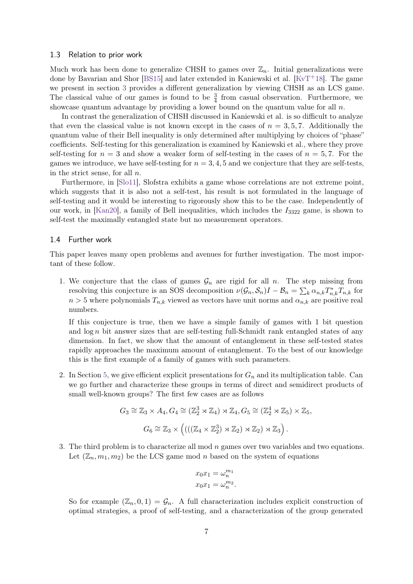#### <span id="page-6-0"></span>1.3 Relation to prior work

Much work has been done to generalize CHSH to games over  $\mathbb{Z}_n$ . Initial generalizations were done by Bavarian and Shor [\[BS15\]](#page-39-3) and later extended in Kaniewski et al. [\[KvT](#page-41-13)+18]. The game we present in section [3](#page-15-0) provides a different generalization by viewing CHSH as an LCS game. The classical value of our games is found to be  $\frac{3}{4}$  from casual observation. Furthermore, we showcase quantum advantage by providing a lower bound on the quantum value for all *n*.

In contrast the generalization of CHSH discussed in Kaniewski et al. is so difficult to analyze that even the classical value is not known except in the cases of  $n = 3, 5, 7$ . Additionally the quantum value of their Bell inequality is only determined after multiplying by choices of "phase" coefficients. Self-testing for this generalization is examined by Kaniewski et al., where they prove self-testing for  $n = 3$  and show a weaker form of self-testing in the cases of  $n = 5, 7$ . For the games we introduce, we have self-testing for  $n = 3, 4, 5$  and we conjecture that they are self-tests, in the strict sense, for all *n*.

Furthermore, in [\[Slo11\]](#page-41-14), Slofstra exhibits a game whose correlations are not extreme point, which suggests that it is also not a self-test, his result is not formulated in the language of self-testing and it would be interesting to rigorously show this to be the case. Independently of our work, in [\[Kan20\]](#page-41-15), a family of Bell inequalities, which includes the  $I_{3322}$  game, is shown to self-test the maximally entangled state but no measurement operators.

#### <span id="page-6-1"></span>1.4 Further work

This paper leaves many open problems and avenues for further investigation. The most important of these follow.

1. We conjecture that the class of games  $\mathcal{G}_n$  are rigid for all *n*. The step missing from resolving this conjecture is an SOS decomposition  $\nu(\mathcal{G}_n, \mathcal{S}_n)I - \mathcal{B}_n = \sum_k \alpha_{n,k} T_{n,k}^* T_{n,k}$  for  $n > 5$  where polynomials  $T_{n,k}$  viewed as vectors have unit norms and  $\alpha_{n,k}$  are positive real numbers.

If this conjecture is true, then we have a simple family of games with 1 bit question and  $\log n$  bit answer sizes that are self-testing full-Schmidt rank entangled states of any dimension. In fact, we show that the amount of entanglement in these self-tested states rapidly approaches the maximum amount of entanglement. To the best of our knowledge this is the first example of a family of games with such parameters.

2. In Section [5,](#page-23-0) we give efficient explicit presentations for  $G_n$  and its multiplication table. Can we go further and characterize these groups in terms of direct and semidirect products of small well-known groups? The first few cases are as follows

$$
G_3 \cong \mathbb{Z}_3 \times A_4, G_4 \cong (\mathbb{Z}_2^3 \rtimes \mathbb{Z}_4) \rtimes \mathbb{Z}_4, G_5 \cong (\mathbb{Z}_2^4 \rtimes \mathbb{Z}_5) \times \mathbb{Z}_5,
$$
  

$$
G_6 \cong \mathbb{Z}_3 \times \left( \left( \left( (\mathbb{Z}_4 \times \mathbb{Z}_2^3) \rtimes \mathbb{Z}_2 \right) \rtimes \mathbb{Z}_2 \right) \rtimes \mathbb{Z}_3 \right).
$$

3. The third problem is to characterize all mod *n* games over two variables and two equations. Let  $(\mathbb{Z}_n, m_1, m_2)$  be the LCS game mod *n* based on the system of equations

$$
x_0 x_1 = \omega_n^{m_1}
$$
  

$$
x_0 x_1 = \omega_n^{m_2}.
$$

So for example  $(\mathbb{Z}_n, 0, 1) = \mathcal{G}_n$ . A full characterization includes explicit construction of optimal strategies, a proof of self-testing, and a characterization of the group generated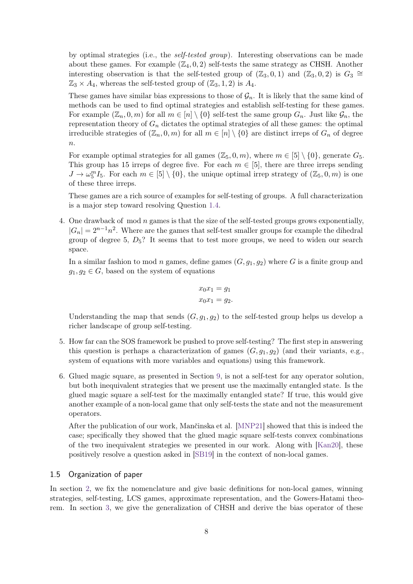by optimal strategies (i.e., the self-tested group). Interesting observations can be made about these games. For example  $(\mathbb{Z}_4, 0, 2)$  self-tests the same strategy as CHSH. Another interesting observation is that the self-tested group of  $(\mathbb{Z}_3, 0, 1)$  and  $(\mathbb{Z}_3, 0, 2)$  is  $G_3 \cong$  $\mathbb{Z}_3 \times A_4$ , whereas the self-tested group of  $(\mathbb{Z}_3, 1, 2)$  is  $A_4$ .

These games have similar bias expressions to those of  $\mathcal{G}_n$ . It is likely that the same kind of methods can be used to find optimal strategies and establish self-testing for these games. For example  $(\mathbb{Z}_n, 0, m)$  for all  $m \in [n] \setminus \{0\}$  self-test the same group  $G_n$ . Just like  $\mathcal{G}_n$ , the representation theory of  $G_n$  dictates the optimal strategies of all these games: the optimal irreducible strategies of  $(\mathbb{Z}_n, 0, m)$  for all  $m \in [n] \setminus \{0\}$  are distinct irreps of  $G_n$  of degree *n*.

For example optimal strategies for all games  $(\mathbb{Z}_5, 0, m)$ , where  $m \in [5] \setminus \{0\}$ , generate  $G_5$ . This group has 15 irreps of degree five. For each  $m \in [5]$ , there are three irreps sending  $J \to \omega_5^m I_5$ . For each  $m \in [5] \setminus \{0\}$ , the unique optimal irrep strategy of  $(\mathbb{Z}_5, 0, m)$  is one of these three irreps.

These games are a rich source of examples for self-testing of groups. A full characterization is a major step toward resolving Question [1.4.](#page-2-0)

4. One drawback of mod *n* games is that the size of the self-tested groups grows exponentially,  $|G_n| = 2^{n-1}n^2$ . Where are the games that self-test smaller groups for example the dihedral group of degree 5, *D*5? It seems that to test more groups, we need to widen our search space.

In a similar fashion to mod *n* games, define games  $(G, q_1, q_2)$  where *G* is a finite group and  $g_1, g_2 \in G$ , based on the system of equations

$$
x_0 x_1 = g_1
$$
  

$$
x_0 x_1 = g_2.
$$

Understanding the map that sends  $(G, g_1, g_2)$  to the self-tested group helps us develop a richer landscape of group self-testing.

- 5. How far can the SOS framework be pushed to prove self-testing? The first step in answering this question is perhaps a characterization of games  $(G, g_1, g_2)$  (and their variants, e.g., system of equations with more variables and equations) using this framework.
- 6. Glued magic square, as presented in Section [9,](#page-37-0) is not a self-test for any operator solution, but both inequivalent strategies that we present use the maximally entangled state. Is the glued magic square a self-test for the maximally entangled state? If true, this would give another example of a non-local game that only self-tests the state and not the measurement operators.

After the publication of our work, Mančinska et al. [\[MNP21\]](#page-41-16) showed that this is indeed the case; specifically they showed that the glued magic square self-tests convex combinations of the two inequivalent strategies we presented in our work. Along with [\[Kan20\]](#page-41-15), these positively resolve a question asked in [\[SB19\]](#page-41-3) in the context of non-local games.

#### <span id="page-7-0"></span>1.5 Organization of paper

In section [2,](#page-9-0) we fix the nomenclature and give basic definitions for non-local games, winning strategies, self-testing, LCS games, approximate representation, and the Gowers-Hatami theorem. In section [3,](#page-15-0) we give the generalization of CHSH and derive the bias operator of these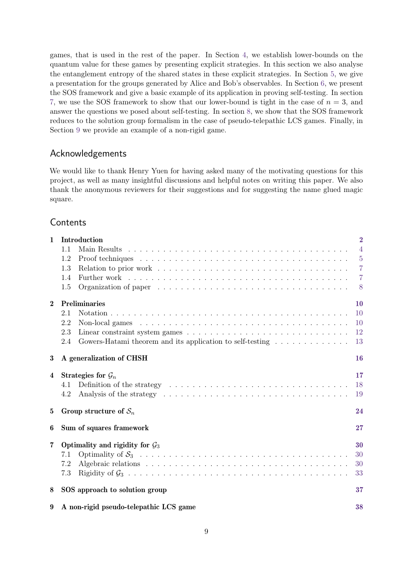games, that is used in the rest of the paper. In Section [4,](#page-16-0) we establish lower-bounds on the quantum value for these games by presenting explicit strategies. In this section we also analyse the entanglement entropy of the shared states in these explicit strategies. In Section [5,](#page-23-0) we give a presentation for the groups generated by Alice and Bob's observables. In Section [6,](#page-26-0) we present the SOS framework and give a basic example of its application in proving self-testing. In section [7,](#page-29-0) we use the SOS framework to show that our lower-bound is tight in the case of  $n = 3$ , and answer the questions we posed about self-testing. In section [8,](#page-36-0) we show that the SOS framework reduces to the solution group formalism in the case of pseudo-telepathic LCS games. Finally, in Section [9](#page-37-0) we provide an example of a non-rigid game.

# Acknowledgements

We would like to thank Henry Yuen for having asked many of the motivating questions for this project, as well as many insightful discussions and helpful notes on writing this paper. We also thank the anonymous reviewers for their suggestions and for suggesting the name glued magic square.

# Contents

| $\mathbf{1}$ | Introduction                                                                                                                                                                                                                          | $\overline{2}$ |
|--------------|---------------------------------------------------------------------------------------------------------------------------------------------------------------------------------------------------------------------------------------|----------------|
|              | 1.1                                                                                                                                                                                                                                   | $\overline{4}$ |
|              | 1.2                                                                                                                                                                                                                                   | $\overline{5}$ |
|              | 1.3                                                                                                                                                                                                                                   | 7              |
|              | 1.4                                                                                                                                                                                                                                   | $\overline{7}$ |
|              | 1.5                                                                                                                                                                                                                                   | 8              |
| $\bf{2}$     | Preliminaries                                                                                                                                                                                                                         | 10             |
|              | 2.1                                                                                                                                                                                                                                   | <sup>10</sup>  |
|              | 2.2<br>Non-local games resources in the set of the set of the set of the set of the set of the set of the set of the set of the set of the set of the set of the set of the set of the set of the set of the set of the set of the se | <sup>10</sup>  |
|              | 2.3                                                                                                                                                                                                                                   | 12             |
|              | Gowers-Hatami theorem and its application to self-testing<br>2.4                                                                                                                                                                      | 13             |
| $\bf{3}$     | A generalization of CHSH                                                                                                                                                                                                              | 16             |
| 4            | Strategies for $\mathcal{G}_n$                                                                                                                                                                                                        | 17             |
|              | 4.1                                                                                                                                                                                                                                   | 18             |
|              | 4.2                                                                                                                                                                                                                                   | 19             |
| 5            | Group structure of $S_n$                                                                                                                                                                                                              | 24             |
| 6            | Sum of squares framework                                                                                                                                                                                                              | 27             |
| 7            | Optimality and rigidity for $\mathcal{G}_3$                                                                                                                                                                                           | 30             |
|              | 7.1                                                                                                                                                                                                                                   | 30             |
|              | 7.2                                                                                                                                                                                                                                   | 30             |
|              | 7.3                                                                                                                                                                                                                                   | 33             |
| 8            | SOS approach to solution group                                                                                                                                                                                                        | 37             |
| 9            | A non-rigid pseudo-telepathic LCS game                                                                                                                                                                                                | 38             |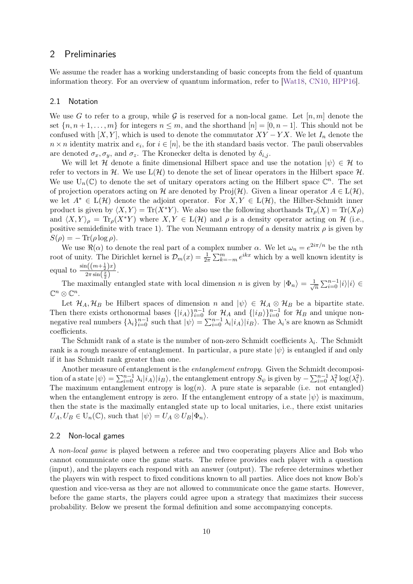### <span id="page-9-0"></span>2 Preliminaries

We assume the reader has a working understanding of basic concepts from the field of quantum information theory. For an overview of quantum information, refer to [\[Wat18,](#page-42-2) [CN10,](#page-40-12) [HPP16\]](#page-40-13).

#### <span id="page-9-1"></span>2.1 Notation

We use G to refer to a group, while G is reserved for a non-local game. Let  $[n, m]$  denote the set  $\{n, n+1, \ldots, m\}$  for integers  $n \leq m$ , and the shorthand  $[n] = [0, n-1]$ . This should not be confused with  $[X, Y]$ , which is used to denote the commutator  $XY - YX$ . We let  $I_n$  denote the  $n \times n$  identity matrix and  $e_i$ , for  $i \in [n]$ , be the ith standard basis vector. The pauli observables are denoted  $\sigma_x, \sigma_y$ , and  $\sigma_z$ . The Kronecker delta is denoted by  $\delta_{i,j}$ .

We will let H denote a finite dimensional Hilbert space and use the notation  $|\psi\rangle \in \mathcal{H}$  to refer to vectors in H. We use  $L(\mathcal{H})$  to denote the set of linear operators in the Hilbert space H. We use  $U_n(\mathbb{C})$  to denote the set of unitary operators acting on the Hilbert space  $\mathbb{C}^n$ . The set of projection operators acting on H are denoted by  $\text{Proj}(\mathcal{H})$ . Given a linear operator  $A \in L(\mathcal{H})$ , we let  $A^* \in L(H)$  denote the adjoint operator. For  $X, Y \in L(H)$ , the Hilber-Schmidt inner product is given by  $\langle X, Y \rangle = \text{Tr}(X^*Y)$ . We also use the following shorthands  $\text{Tr}_p(X) = \text{Tr}(X\rho)$ and  $\langle X, Y \rangle_{\rho} = \text{Tr}_{\rho}(X^*Y)$  where  $X, Y \in L(\mathcal{H})$  and  $\rho$  is a density operator acting on H (i.e., positive semidefinite with trace 1). The von Neumann entropy of a density matrix  $\rho$  is given by  $S(\rho) = -\operatorname{Tr}(\rho \log \rho).$ 

We use  $\Re(\alpha)$  to denote the real part of a complex number  $\alpha$ . We let  $\omega_n = e^{2i\pi/n}$  be the *n*th root of unity. The Dirichlet kernel is  $\mathcal{D}_m(x) = \frac{1}{2\pi} \sum_{k=-m}^m e^{ikx}$  which by a well known identity is equal to  $\frac{\sin((m+\frac{1}{2})x)}{2\pi\sin(x)}$  $rac{1(\frac{m+2}{2})^x}{2\pi \sin(\frac{x}{2})}$ .

The maximally entangled state with local dimension *n* is given by  $|\Phi_n\rangle = \frac{1}{\sqrt{n}}$  $\sum_{i=0}^{n-1} |i\rangle |i\rangle \in$  $\mathbb{C}^n \otimes \mathbb{C}^n$ .

Let  $\mathcal{H}_A, \mathcal{H}_B$  be Hilbert spaces of dimension *n* and  $|\psi\rangle \in \mathcal{H}_A \otimes \mathcal{H}_B$  be a bipartite state. Then there exists orthonormal bases  $\{|i_A\rangle\}_{i=0}^{n-1}$  for  $\mathcal{H}_A$  and  $\{|i_B\rangle\}_{i=0}^{n-1}$  for  $\mathcal{H}_B$  and unique nonnegative real numbers  $\{\lambda_i\}_{i=0}^{n-1}$  such that  $|\psi\rangle = \sum_{i=0}^{n-1} \lambda_i |i_A\rangle |i_B\rangle$ . The  $\lambda_i$ 's are known as Schmidt coefficients.

The Schmidt rank of a state is the number of non-zero Schmidt coefficients  $\lambda_i$ . The Schmidt rank is a rough measure of entanglement. In particular, a pure state  $|\psi\rangle$  is entangled if and only if it has Schmidt rank greater than one.

Another measure of entanglement is the *entanglement entropy*. Given the Schmidt decomposition of a state  $|\psi\rangle = \sum_{i=0}^{n-1} \lambda_i |i_A\rangle |i_B\rangle$ , the entanglement entropy  $S_{\psi}$  is given by  $-\sum_{i=0}^{n-1} \lambda_i^2 \log(\lambda_i^2)$ . The maximum entanglement entropy is  $log(n)$ . A pure state is separable (i.e. not entangled) when the entanglement entropy is zero. If the entanglement entropy of a state  $|\psi\rangle$  is maximum, then the state is the maximally entangled state up to local unitaries, i.e., there exist unitaries  $U_A, U_B \in U_n(\mathbb{C})$ , such that  $|\psi\rangle = U_A \otimes U_B |\Phi_n\rangle$ .

#### <span id="page-9-2"></span>2.2 Non-local games

A non-local game is played between a referee and two cooperating players Alice and Bob who cannot communicate once the game starts. The referee provides each player with a question (input), and the players each respond with an answer (output). The referee determines whether the players win with respect to fixed conditions known to all parties. Alice does not know Bob's question and vice-versa as they are not allowed to communicate once the game starts. However, before the game starts, the players could agree upon a strategy that maximizes their success probability. Below we present the formal definition and some accompanying concepts.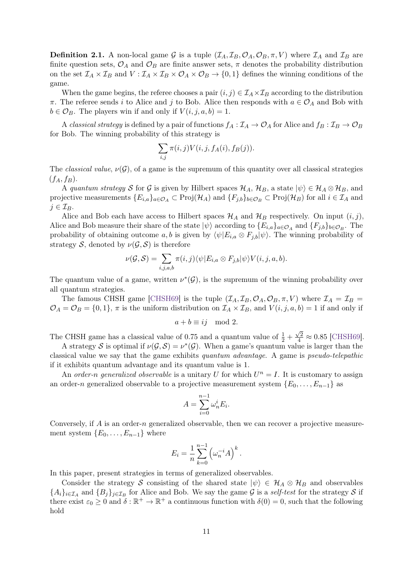**Definition 2.1.** A non-local game G is a tuple  $(\mathcal{I}_A, \mathcal{I}_B, \mathcal{O}_A, \mathcal{O}_B, \pi, V)$  where  $\mathcal{I}_A$  and  $\mathcal{I}_B$  are finite question sets,  $\mathcal{O}_A$  and  $\mathcal{O}_B$  are finite answer sets,  $\pi$  denotes the probability distribution on the set  $\mathcal{I}_A \times \mathcal{I}_B$  and  $V : \mathcal{I}_A \times \mathcal{I}_B \times \mathcal{O}_A \times \mathcal{O}_B \to \{0,1\}$  defines the winning conditions of the game.

When the game begins, the referee chooses a pair  $(i, j) \in I_A \times I_B$  according to the distribution *π*. The referee sends *i* to Alice and *j* to Bob. Alice then responds with  $a \in O_A$  and Bob with  $b \in \mathcal{O}_B$ . The players win if and only if  $V(i, j, a, b) = 1$ .

A classical strategy is defined by a pair of functions  $f_A: \mathcal{I}_A \to \mathcal{O}_A$  for Alice and  $f_B: \mathcal{I}_B \to \mathcal{O}_B$ for Bob. The winning probability of this strategy is

$$
\sum_{i,j}\pi(i,j)V(i,j,f_A(i),f_B(j)).
$$

The *classical value,*  $\nu(\mathcal{G})$ , of a game is the supremum of this quantity over all classical strategies  $(f_A, f_B)$ .

A quantum strategy S for G is given by Hilbert spaces  $\mathcal{H}_A$ ,  $\mathcal{H}_B$ , a state  $|\psi\rangle \in \mathcal{H}_A \otimes \mathcal{H}_B$ , and projective measurements  ${E_{i,a}}_{a \in O_A} \subset \text{Proj}(\mathcal{H}_A)$  and  ${F_{j,b}}_{b \in O_B} \subset \text{Proj}(\mathcal{H}_B)$  for all  $i \in \mathcal{I}_A$  and  $j \in \mathcal{I}_B$ .

Alice and Bob each have access to Hilbert spaces  $\mathcal{H}_A$  and  $\mathcal{H}_B$  respectively. On input  $(i, j)$ , Alice and Bob measure their share of the state  $|\psi\rangle$  according to  $\{E_{i,a}\}_a \in \mathcal{O}_A$  and  $\{F_{j,b}\}_b \in \mathcal{O}_B$ . The probability of obtaining outcome *a, b* is given by  $\langle \psi | E_{i,a} \otimes F_{j,b} | \psi \rangle$ . The winning probability of strategy  $S$ , denoted by  $\nu(\mathcal{G}, S)$  is therefore

$$
\nu(G, S) = \sum_{i,j,a,b} \pi(i,j) \langle \psi | E_{i,a} \otimes F_{j,b} | \psi \rangle V(i,j,a,b).
$$

The quantum value of a game, written  $\nu^*(\mathcal{G})$ , is the supremum of the winning probability over all quantum strategies.

The famous CHSH game [\[CHSH69\]](#page-40-2) is the tuple  $(\mathcal{I}_A, \mathcal{I}_B, \mathcal{O}_A, \mathcal{O}_B, \pi, V)$  where  $\mathcal{I}_A = \mathcal{I}_B =$  $\mathcal{O}_A = \mathcal{O}_B = \{0, 1\}, \pi$  is the uniform distribution on  $\mathcal{I}_A \times \mathcal{I}_B$ , and  $V(i, j, a, b) = 1$  if and only if

$$
a+b \equiv ij \mod 2.
$$

The CHSH game has a classical value of 0.75 and a quantum value of  $\frac{1}{2}$  +  $\frac{\sqrt{2}}{4} \approx 0.85$  [\[CHSH69\]](#page-40-2).

A strategy S is optimal if  $\nu(\mathcal{G}, \mathcal{S}) = \nu^*(\mathcal{G})$ . When a game's quantum value is larger than the classical value we say that the game exhibits quantum advantage. A game is pseudo-telepathic if it exhibits quantum advantage and its quantum value is 1.

An order-*n* generalized observable is a unitary U for which  $U^n = I$ . It is customary to assign an order-*n* generalized observable to a projective measurement system  ${E_0, \ldots, E_{n-1}}$  as

$$
A = \sum_{i=0}^{n-1} \omega_n^i E_i.
$$

Conversely, if *A* is an order-*n* generalized observable, then we can recover a projective measurement system  ${E_0, \ldots, E_{n-1}}$  where

$$
E_i = \frac{1}{n} \sum_{k=0}^{n-1} \left( \omega_n^{-i} A \right)^k.
$$

In this paper, present strategies in terms of generalized observables.

Consider the strategy S consisting of the shared state  $|\psi\rangle \in \mathcal{H}_A \otimes \mathcal{H}_B$  and observables  ${A_i}_{i\in\mathcal{I}_A}$  and  ${B_j}_{j\in\mathcal{I}_B}$  for Alice and Bob. We say the game G is a self-test for the strategy S if there exist  $\varepsilon_0 \geq 0$  and  $\delta : \mathbb{R}^+ \to \mathbb{R}^+$  a continuous function with  $\delta(0) = 0$ , such that the following hold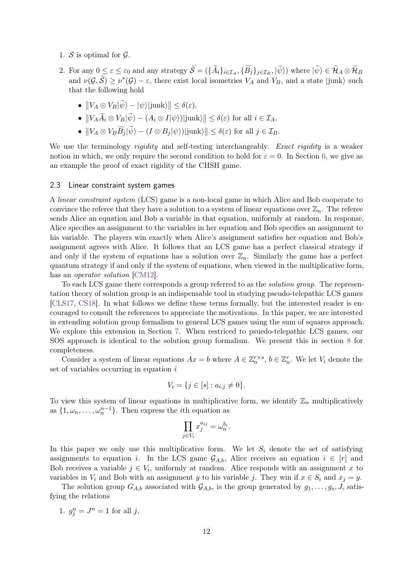- 1.  $S$  is optimal for  $\mathcal{G}$ .
- 2. For any  $0 \leq \varepsilon \leq \varepsilon_0$  and any strategy  $\mathcal{S} = (\{A_i\}_{i \in \mathcal{I}_A}, \{B_j\}_{j \in \mathcal{I}_B}, |\psi\rangle)$  where  $|\psi\rangle \in \mathcal{H}_A \otimes \mathcal{H}_B$ and  $\nu(\mathcal{G}, \widetilde{\mathcal{S}}) \geq \nu^*(\mathcal{G}) - \varepsilon$ , there exist local isometries  $V_A$  and  $V_B$ , and a state |junk} such that the following hold
	- $||V_A \otimes V_B |\psi\rangle |\psi\rangle | \text{junk}\rangle || \leq \delta(\varepsilon),$
	- $\bullet$   $||V_A \tilde{A}_i ⊗ V_B |\psi⟩ (A_i ⊗ I |\psi⟩)| \text{junk⟩}|| ≤ δ(ε) \text{ for all } i ∈ \mathcal{I}_A,$
	- $\bullet$   $||V_A ⊗ V_B B_j |ψ⟩ (I ⊗ B_j |ψ⟩)|junk⟩|| ≤ δ(ε)$  for all  $j ∈ \mathcal{I}_B$ .

We use the terminology *rigidity* and self-testing interchangeably. Exact rigidity is a weaker notion in which, we only require the second condition to hold for  $\varepsilon = 0$ . In Section [6,](#page-26-0) we give as an example the proof of exact rigidity of the CHSH game.

### <span id="page-11-0"></span>2.3 Linear constraint system games

A linear constraint system (LCS) game is a non-local game in which Alice and Bob cooperate to convince the referee that they have a solution to a system of linear equations over  $\mathbb{Z}_n$ . The referee sends Alice an equation and Bob a variable in that equation, uniformly at random. In response, Alice specifies an assignment to the variables in her equation and Bob specifies an assignment to his variable. The players win exactly when Alice's assignment satisfies her equation and Bob's assignment agrees with Alice. It follows that an LCS game has a perfect classical strategy if and only if the system of equations has a solution over  $\mathbb{Z}_n$ . Similarly the game has a perfect quantum strategy if and only if the system of equations, when viewed in the multiplicative form, has an *operator solution* [\[CM12\]](#page-40-4).

To each LCS game there corresponds a group referred to as the solution group. The representation theory of solution group is an indispensable tool in studying pseudo-telepathic LCS games [\[CLS17,](#page-40-10) [CS18\]](#page-40-9). In what follows we define these terms formally, but the interested reader is encouraged to consult the references to appreciate the motivations. In this paper, we are interested in extending solution group formalism to general LCS games using the sum of squares approach. We explore this extension in Section [7.](#page-29-0) When restriced to psuedo-telepathic LCS games, our SOS approach is identical to the solution group formalism. We present this in section [8](#page-36-0) for completeness.

Consider a system of linear equations  $Ax = b$  where  $A \in \mathbb{Z}_n^{r \times s}$ ,  $b \in \mathbb{Z}_n^r$ . We let  $V_i$  denote the set of variables occurring in equation *i*

$$
V_i = \{ j \in [s] : a_{i,j} \neq 0 \}.
$$

To view this system of linear equations in multiplicative form, we identify  $\mathbb{Z}_n$  multiplicatively as  $\{1, \omega_n, \ldots, \omega_n^{n-1}\}$ . Then express the *i*th equation as

$$
\prod_{j \in V_i} x_j^{a_{ij}} = \omega_n^{b_i}
$$

*.*

In this paper we only use this multiplicative form. We let  $S_i$  denote the set of satisfying assignments to equation *i*. In the LCS game  $\mathcal{G}_{A,b}$ , Alice receives an equation  $i \in [r]$  and Bob receives a variable  $j \in V_i$ , uniformly at random. Alice responds with an assignment *x* to variables in  $V_i$  and Bob with an assignment *y* to his variable *j*. They win if  $x \in S_i$  and  $x_j = y$ .

The solution group  $G_{A,b}$  associated with  $\mathcal{G}_{A,b}$ , is the group generated by  $g_1, \ldots, g_s, J$ , satisfying the relations

1.  $g_j^n = J^n = 1$  for all *j*,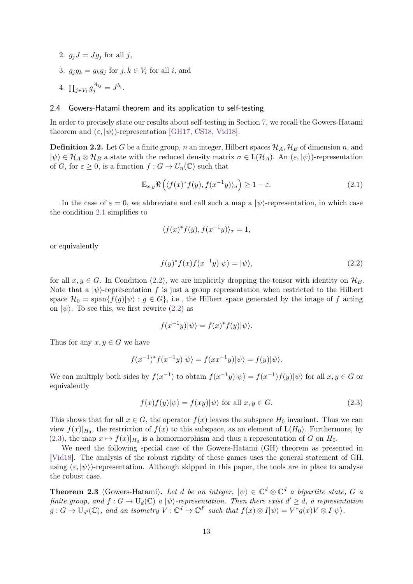- 2.  $g_j J = J g_j$  for all j,
- 3.  $g_j g_k = g_k g_j$  for  $j, k \in V_i$  for all *i*, and
- 4.  $\prod_{j \in V_i} g_j^{A_{ij}} = J^{b_i}$ .

### <span id="page-12-0"></span>2.4 Gowers-Hatami theorem and its application to self-testing

In order to precisely state our results about self-testing in Section [7,](#page-29-0) we recall the Gowers-Hatami theorem and  $(\varepsilon, |\psi\rangle)$ -representation [\[GH17,](#page-40-11) [CS18,](#page-40-9) [Vid18\]](#page-41-10).

**Definition 2.2.** Let *G* be a finite group, *n* an integer, Hilbert spaces  $\mathcal{H}_A$ ,  $\mathcal{H}_B$  of dimension *n*, and  $|\psi\rangle \in \mathcal{H}_A \otimes \mathcal{H}_B$  a state with the reduced density matrix  $\sigma \in L(\mathcal{H}_A)$ . An  $(\varepsilon, |\psi\rangle)$ -representation of *G*, for  $\varepsilon \geq 0$ , is a function  $f: G \to U_n(\mathbb{C})$  such that

$$
\mathbb{E}_{x,y} \Re \left( \langle f(x)^* f(y), f(x^{-1}y) \rangle_{\sigma} \right) \ge 1 - \varepsilon. \tag{2.1}
$$

In the case of  $\varepsilon = 0$ , we abbreviate and call such a map a  $|\psi\rangle$ -representation, in which case the condition [2.1](#page-12-1) simplifies to

<span id="page-12-1"></span>
$$
\langle f(x)^* f(y), f(x^{-1}y) \rangle_{\sigma} = 1,
$$

or equivalently

<span id="page-12-2"></span>
$$
f(y)^* f(x) f(x^{-1}y) |\psi\rangle = |\psi\rangle,\tag{2.2}
$$

for all  $x, y \in G$ . In Condition [\(2.2\)](#page-12-2), we are implicitly dropping the tensor with identity on  $\mathcal{H}_B$ . Note that a  $|\psi\rangle$ -representation f is just a group representation when restricted to the Hilbert space  $\mathcal{H}_0 = \text{span}{f(g)|\psi} : g \in G$ , i.e., the Hilbert space generated by the image of f acting on  $|\psi\rangle$ . To see this, we first rewrite [\(2.2\)](#page-12-2) as

<span id="page-12-3"></span>
$$
f(x^{-1}y)|\psi\rangle = f(x)^{*}f(y)|\psi\rangle.
$$

Thus for any  $x, y \in G$  we have

$$
f(x^{-1})^* f(x^{-1}y)|\psi\rangle = f(xx^{-1}y)|\psi\rangle = f(y)|\psi\rangle.
$$

We can multiply both sides by  $f(x^{-1})$  to obtain  $f(x^{-1}y)|\psi\rangle = f(x^{-1})f(y)|\psi\rangle$  for all  $x, y \in G$  or equivalently

$$
f(x)f(y)|\psi\rangle = f(xy)|\psi\rangle \text{ for all } x, y \in G. \tag{2.3}
$$

This shows that for all  $x \in G$ , the operator  $f(x)$  leaves the subspace  $H_0$  invariant. Thus we can view  $f(x)|_{H_0}$ , the restriction of  $f(x)$  to this subspace, as an element of  $L(H_0)$ . Furthermore, by [\(2.3\)](#page-12-3), the map  $x \mapsto f(x)|_{H_0}$  is a homormorphism and thus a representation of *G* on  $H_0$ .

We need the following special case of the Gowers-Hatami (GH) theorem as presented in [\[Vid18\]](#page-41-10). The analysis of the robust rigidity of these games uses the general statement of GH, using  $(\varepsilon, |\psi\rangle)$ -representation. Although skipped in this paper, the tools are in place to analyse the robust case.

<span id="page-12-4"></span>**Theorem 2.3** (Gowers-Hatami). Let *d* be an integer,  $|\psi\rangle \in \mathbb{C}^d \otimes \mathbb{C}^d$  a bipartite state, *G* a *finite group, and*  $f: G \to U_d(\mathbb{C})$  *a*  $|\psi\rangle$ -representation. Then there exist  $d' \geq d$ , a representation  $g: G \to U_{d'}(\mathbb{C})$ , and an isometry  $V: \mathbb{C}^d \to \mathbb{C}^{d'}$  such that  $f(x) \otimes I|\psi\rangle = V^*g(x)V \otimes I|\psi\rangle$ .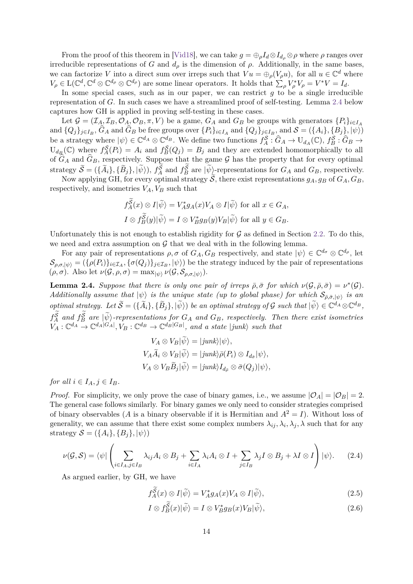From the proof of this theorem in [\[Vid18\]](#page-41-10), we can take  $g = \bigoplus_{\rho} I_d \otimes I_{d_{\rho}} \otimes \rho$  where  $\rho$  ranges over irreducible representations of *G* and  $d_{\rho}$  is the dimension of  $\rho$ . Additionally, in the same bases, we can factorize *V* into a direct sum over irreps such that  $Vu = \bigoplus_{\rho} (V_{\rho}u)$ , for all  $u \in \mathbb{C}^d$  where  $V_{\rho} \in L(\mathbb{C}^d, \mathbb{C}^d \otimes \mathbb{C}^{d_{\rho}} \otimes \mathbb{C}^{d_{\rho}})$  are some linear operators. It holds that  $\sum_{\rho} V_{\rho}^* V_{\rho} = V^* V = I_d$ .

In some special cases, such as in our paper, we can restrict  $g$  to be a single irreducible representation of *G*. In such cases we have a streamlined proof of self-testing. Lemma [2.4](#page-13-0) below captures how GH is applied in proving self-testing in these cases.

Let  $\mathcal{G} = (\mathcal{I}_A, \mathcal{I}_B, \mathcal{O}_A, \mathcal{O}_B, \pi, V)$  be a game,  $G_A$  and  $G_B$  be groups with generators  $\{P_i\}_{i \in I_A}$ and  $\{Q_j\}_{j\in I_B}$ ,  $G_A$  and  $G_B$  be free groups over  $\{P_i\}_{i\in I_A}$  and  $\{Q_j\}_{j\in I_B}$ , and  $\mathcal{S} = (\{A_i\}, \{B_j\}, |\psi\rangle)$ be a strategy where  $|\psi\rangle \in \mathbb{C}^{d_A} \otimes \mathbb{C}^{d_B}$ . We define two functions  $f_A^{\mathcal{S}} : \widehat{G}_A \to \mathcal{U}_{d_A}(\mathbb{C}), f_B^{\mathcal{S}} : \widehat{G}_B \to$  $U_{d_{\mathcal{B}}}(\mathbb{C})$  where  $f_A^{\mathcal{S}}(P_i) = A_i$  and  $f_B^{\mathcal{S}}(Q_j) = B_j$  and they are extended homomorphically to all of  $G_A$  and  $G_B$ , respectively. Suppose that the game G has the property that for every optimal strategy  $\widetilde{S} = (\{\widetilde{A}_i\}, \{\widetilde{B}_j\}, |\widetilde{\psi}\rangle)$ ,  $f_A^{\mathcal{S}}$  and  $f_B^{\mathcal{S}}$  are  $|\widetilde{\psi}\rangle$ -representations for  $G_A$  and  $G_B$ , respectively.

Now applying GH, for every optimal strategy  $\widetilde{S}$ , there exist representations  $g_A, g_B$  of  $G_A, G_B$ , respectively, and isometries  $V_A$ ,  $V_B$  such that

$$
f_A^{\mathcal{S}}(x) \otimes I|\widetilde{\psi}\rangle = V_A^*g_A(x)V_A \otimes I|\widetilde{\psi}\rangle \text{ for all } x \in G_A,
$$
  

$$
I \otimes f_B^{\widetilde{\mathcal{S}}}(y)|\widetilde{\psi}\rangle = I \otimes V_B^*g_B(y)V_B|\widetilde{\psi}\rangle \text{ for all } y \in G_B.
$$

Unfortunately this is not enough to establish rigidity for  $\mathcal G$  as defined in Section [2.2.](#page-9-2) To do this, we need and extra assumption on  $\mathcal G$  that we deal with in the following lemma.

For any pair of representations  $\rho$ ,  $\sigma$  of  $G_A$ ,  $G_B$  respectively, and state  $|\psi\rangle \in \mathbb{C}^{d_{\sigma}} \otimes \mathbb{C}^{d_{\rho}}$ , let  $\mathcal{S}_{\rho,\sigma,\ket{\psi}} = (\{\rho(P_i)\}_{i \in \mathcal{I}_A}, \{\sigma(Q_j)\}_{j \in \mathcal{I}_B}, \ket{\psi})$  be the strategy induced by the pair of representations  $(\rho, \sigma)$ . Also let  $\nu(\mathcal{G}, \rho, \sigma) = \max_{|\psi\rangle} \nu(\mathcal{G}, \mathcal{S}_{\rho, \sigma, |\psi\rangle}).$ 

<span id="page-13-0"></span>**Lemma 2.4.** *Suppose that there is only one pair of irreps*  $\bar{\rho}, \bar{\sigma}$  *for which*  $\nu(\mathcal{G}, \bar{\rho}, \bar{\sigma}) = \nu^*(\mathcal{G})$ *. Additionally assume that*  $|\psi\rangle$  *is the unique state (up to global phase) for which*  $S_{\bar{\rho},\bar{\sigma},|\psi\rangle}$  *is an*  $\mathcal{L}$  *optimal strategy.* Let  $\widetilde{S} = (\{\widetilde{A}_i\}, \{\widetilde{B}_j\}, |\widetilde{\psi}\rangle)$  be an optimal strategy of G such that  $|\widetilde{\psi}\rangle \in \mathbb{C}^{d_A} \otimes \mathbb{C}^{d_B}$ ,  $f_A^S$  and  $f_B^S$  are  $|\psi\rangle$ -representations for  $G_A$  and  $G_B$ , respectively. Then there exist isometries  $V_A: \mathbb{C}^{d_A} \to \mathbb{C}^{d_A|G_A|}, V_B: \mathbb{C}^{d_B} \to \mathbb{C}^{d_B|G_B|},$  and a state  $|junk\rangle$  such that

$$
V_A \otimes V_B |\psi\rangle = |junk\rangle |\psi\rangle,
$$
  
\n
$$
V_A \widetilde{A}_i \otimes V_B |\widetilde{\psi}\rangle = |junk\rangle \bar{\rho}(P_i) \otimes I_{d_{\bar{\sigma}}} |\psi\rangle,
$$
  
\n
$$
V_A \otimes V_B \widetilde{B}_j |\widetilde{\psi}\rangle = |junk\rangle I_{d_{\bar{\rho}}} \otimes \bar{\sigma}(Q_j)|\psi\rangle,
$$

*for all*  $i \in I_A, j \in I_B$ .

*Proof.* For simplicity, we only prove the case of binary games, i.e., we assume  $|O_A| = |O_B| = 2$ . The general case follows similarly. For binary games we only need to consider strategies comprised of binary observables (*A* is a binary observable if it is Hermitian and  $A^2 = I$ ). Without loss of generality, we can assume that there exist some complex numbers  $\lambda_{ij}, \lambda_i, \lambda_j, \lambda$  such that for any strategy  $S = (\{A_i\}, \{B_i\}, |\psi\rangle)$ 

$$
\nu(\mathcal{G}, \mathcal{S}) = \langle \psi | \left( \sum_{i \in I_A, j \in I_B} \lambda_{ij} A_i \otimes B_j + \sum_{i \in I_A} \lambda_i A_i \otimes I + \sum_{j \in I_B} \lambda_j I \otimes B_j + \lambda I \otimes I \right) |\psi\rangle. \tag{2.4}
$$

As argued earlier, by GH, we have

<span id="page-13-2"></span><span id="page-13-1"></span>
$$
f_A^{\mathcal{S}}(x) \otimes I|\tilde{\psi}\rangle = V_A^* g_A(x) V_A \otimes I|\tilde{\psi}\rangle, \tag{2.5}
$$

$$
I \otimes f_B^{\widetilde{S}}(x)|\widetilde{\psi}\rangle = I \otimes V_B^*g_B(x)V_B|\widetilde{\psi}\rangle,
$$
\n(2.6)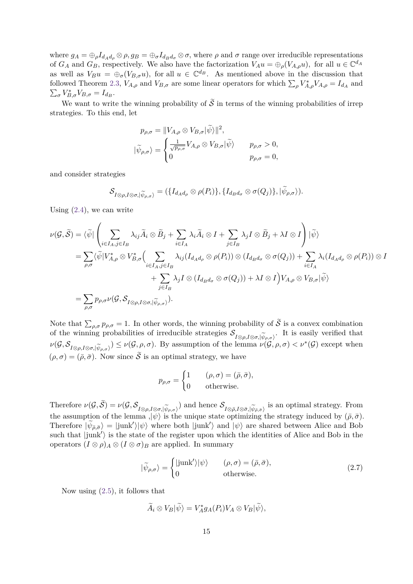where  $g_A = \bigoplus_{\rho} I_{d_A d_{\rho}} \otimes \rho$ ,  $g_B = \bigoplus_{\sigma} I_{d_B d_{\sigma}} \otimes \sigma$ , where  $\rho$  and  $\sigma$  range over irreducible representations of  $G_A$  and  $G_B$ , respectively. We also have the factorization  $V_A u = \bigoplus_{\rho} (V_{A,\rho} u)$ , for all  $u \in \mathbb{C}^{d_A}$ as well as  $V_B u = \bigoplus_{\sigma} (V_{B,\sigma} u)$ , for all  $u \in \mathbb{C}^{d_B}$ . As mentioned above in the discussion that followed Theorem [2.3,](#page-12-4)  $V_{A,\rho}$  and  $V_{B,\sigma}$  are some linear operators for which  $\sum_{\rho} V_{A,\rho}^* V_{A,\rho} = I_{d_A}$  and  $\sum_{\sigma} V_{B,\sigma}^* V_{B,\sigma} = I_{d_B}.$ 

We want to write the winning probability of  $\tilde{\mathcal{S}}$  in terms of the winning probabilities of irrep strategies. To this end, let

$$
p_{\rho,\sigma} = ||V_{A,\rho} \otimes V_{B,\sigma}|\widetilde{\psi}\rangle||^2,
$$
  

$$
|\widetilde{\psi}_{\rho,\sigma}\rangle = \begin{cases} \frac{1}{\sqrt{p_{\rho,\sigma}}} V_{A,\rho} \otimes V_{B,\sigma}|\widetilde{\psi}\rangle & p_{\rho,\sigma} > 0, \\ 0 & p_{\rho,\sigma} = 0, \end{cases}
$$

and consider strategies

$$
\mathcal{S}_{I\otimes\rho,I\otimes\sigma,|\widetilde{\psi}_{\rho,\sigma}\rangle}=(\{I_{d_{A}d_{\rho}}\otimes\rho(P_{i})\},\{I_{d_{B}d_{\sigma}}\otimes\sigma(Q_{j})\},|\widetilde{\psi}_{\rho,\sigma}\rangle).
$$

Using  $(2.4)$ , we can write

$$
\nu(\mathcal{G},\widetilde{\mathcal{S}}) = \langle \widetilde{\psi} | \left( \sum_{i \in I_A, j \in I_B} \lambda_{ij} \widetilde{A}_i \otimes \widetilde{B}_j + \sum_{i \in I_A} \lambda_i \widetilde{A}_i \otimes I + \sum_{j \in I_B} \lambda_j I \otimes \widetilde{B}_j + \lambda I \otimes I \right) | \widetilde{\psi} \rangle
$$
  
\n
$$
= \sum_{\rho, \sigma} \langle \widetilde{\psi} | V_{A,\rho}^* \otimes V_{B,\sigma}^* \Big( \sum_{i \in I_A, j \in I_B} \lambda_{ij} (I_{d_A d_\rho} \otimes \rho(P_i)) \otimes (I_{d_B d_\sigma} \otimes \sigma(Q_j)) + \sum_{i \in I_A} \lambda_i (I_{d_A d_\rho} \otimes \rho(P_i)) \otimes I_{A,\rho} \Big) | \widetilde{\psi} \rangle
$$
  
\n
$$
+ \sum_{j \in I_B} \lambda_j I \otimes (I_{d_B d_\sigma} \otimes \sigma(Q_j)) + \lambda I \otimes I \Big) V_{A,\rho} \otimes V_{B,\sigma} | \widetilde{\psi} \rangle
$$
  
\n
$$
= \sum_{\rho, \sigma} p_{\rho, \sigma} \nu(\mathcal{G}, \mathcal{S}_{I \otimes \rho, I \otimes \sigma, |\widetilde{\psi}_{\rho, \sigma}\rangle}).
$$

Note that  $\sum_{\rho,\sigma} p_{\rho,\sigma} = 1$ . In other words, the winning probability of S is a convex combination of the winning probabilities of irreducible strategies  $S_{I\otimes\rho,I\otimes\sigma,|\widetilde{\psi}_{\rho,\sigma}\rangle}$ . It is easily verified that  $\mathcal{U}(G, S) \cong \mathcal{U}(G, \mathcal{S}) \cong \mathcal{U}(G, \mathcal{S})$ .  $\nu(\mathcal{G}, \mathcal{S}_{I\otimes\rho, I\otimes\sigma, |\widetilde{\psi}_{\rho,\sigma}\rangle}) \leq \nu(\mathcal{G}, \rho, \sigma)$ . By assumption of the lemma  $\nu(\mathcal{G}, \rho, \sigma) < \nu^*(\mathcal{G})$  except when  $(\rho, \sigma) = (\bar{\rho}, \bar{\sigma})$ . Now since  $\tilde{\mathcal{S}}$  is an optimal strategy, we have

$$
p_{\rho,\sigma} = \begin{cases} 1 & (\rho,\sigma) = (\bar{\rho},\bar{\sigma}), \\ 0 & \text{otherwise.} \end{cases}
$$

Therefore  $\nu(\mathcal{G}, \mathcal{S}) = \nu(\mathcal{G}, \mathcal{S}_{I \otimes \rho, I \otimes \sigma, |\widetilde{\psi}_{\rho, \sigma}\rangle})$  and hence  $\mathcal{S}_{I \otimes \overline{\rho}, I \otimes \overline{\sigma}, |\widetilde{\psi}_{\overline{\rho}, \overline{\sigma}}\rangle}$  is an optimal strategy. From the assumption of the lemma  $\psi$  is the unique state optimizing the strategy induced by  $(\bar{\rho}, \bar{\sigma})$ . Therefore  $|\widetilde{\psi}_{\bar{\rho},\bar{\sigma}}\rangle = |\text{junk}'\rangle$  where both  $|\text{junk}'\rangle$  and  $|\psi\rangle$  are shared between Alice and Bob such that  $|junk'\rangle$  is the state of the register upon which the identities of Alice and Bob in the operators  $(I \otimes \rho)_A \otimes (I \otimes \sigma)_B$  are applied. In summary

$$
|\tilde{\psi}_{\rho,\sigma}\rangle = \begin{cases} |\text{junk}'\rangle|\psi\rangle & (\rho,\sigma) = (\bar{\rho},\bar{\sigma}), \\ 0 & \text{otherwise.} \end{cases}
$$
(2.7)

Now using [\(2.5\)](#page-13-2), it follows that

<span id="page-14-0"></span>
$$
\widetilde{A}_i \otimes V_B|\widetilde{\psi}\rangle = V_A^*g_A(P_i)V_A \otimes V_B|\widetilde{\psi}\rangle,
$$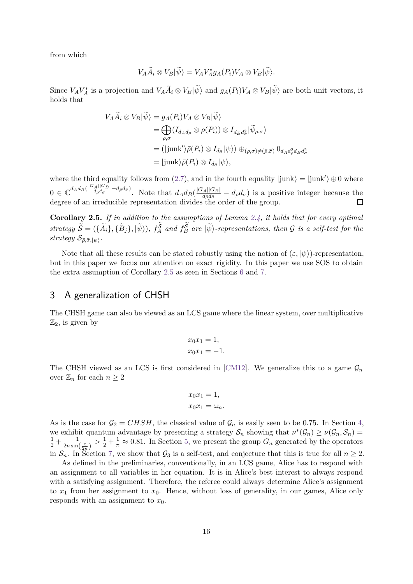from which

$$
V_A\widetilde{A}_i\otimes V_B|\widetilde{\psi}\rangle=V_AV_A^*g_A(P_i)V_A\otimes V_B|\widetilde{\psi}\rangle.
$$

Since  $V_A V_A^*$  is a projection and  $V_A \widetilde{A}_i \otimes V_B |\widetilde{\psi}\rangle$  and  $g_A(P_i)V_A \otimes V_B |\widetilde{\psi}\rangle$  are both unit vectors, it holds that

$$
V_A \widetilde{A}_i \otimes V_B | \widetilde{\psi} \rangle = g_A(P_i) V_A \otimes V_B | \widetilde{\psi} \rangle
$$
  
= 
$$
\bigoplus_{\rho,\sigma} (I_{d_A d_\rho} \otimes \rho(P_i)) \otimes I_{d_B d_\sigma^2} | \widetilde{\psi}_{\rho,\sigma} \rangle
$$
  
= 
$$
(|junk'\rangle \bar{\rho}(P_i) \otimes I_{d_{\bar{\sigma}}} |\psi\rangle) \oplus_{(\rho,\sigma) \neq (\bar{\rho},\bar{\sigma})} 0_{d_A d_\rho^2 d_B d_\sigma^2}
$$
  
= 
$$
|junk\rangle \bar{\rho}(P_i) \otimes I_{d_{\bar{\sigma}}} |\psi\rangle,
$$

where the third equality follows from [\(2.7\)](#page-14-0), and in the fourth equality  $|junk\rangle = |junk'\rangle \oplus 0$  where  $0 \in \mathbb{C}^{d_A d_B(\frac{|G_A||G_B|}{d_{\bar{\rho}}d_{\bar{\sigma}}}-d_{\bar{\rho}}d_{\bar{\sigma}})}$ . Note that  $d_A d_B(\frac{|G_A||G_B|}{d_{\bar{\rho}}d_{\bar{\sigma}}}$  $\frac{dA||GB|}{d\bar{\rho}d\bar{\sigma}} - d\bar{\rho}d\bar{\sigma}$ ) is a positive integer because the degree of an irreducible representation divides the order of the group.

<span id="page-15-1"></span>**Corollary 2.5.** *If in addition to the assumptions of Lemma [2.4,](#page-13-0) it holds that for every optimal* strategy  $\widetilde{S} = (\{\widetilde{A}_i\}, \{\widetilde{B}_j\}, |\widetilde{\psi}\rangle)$ ,  $f_A^{\mathcal{S}}$  and  $f_B^{\mathcal{S}}$  are  $|\widetilde{\psi}\rangle$ -representations, then G is a self-test for the  $strategy S_{\bar{\rho}, \bar{\sigma}, |\psi\rangle$ .

Note that all these results can be stated robustly using the notion of  $(\varepsilon, |\psi\rangle)$ -representation, but in this paper we focus our attention on exact rigidity. In this paper we use SOS to obtain the extra assumption of Corollary [2.5](#page-15-1) as seen in Sections [6](#page-26-0) and [7.](#page-29-0)

### <span id="page-15-0"></span>3 A generalization of CHSH

The CHSH game can also be viewed as an LCS game where the linear system, over multiplicative  $\mathbb{Z}_2$ , is given by

$$
x_0 x_1 = 1,
$$
  

$$
x_0 x_1 = -1.
$$

The CHSH viewed as an LCS is first considered in [\[CM12\]](#page-40-4). We generalize this to a game  $\mathcal{G}_n$ over  $\mathbb{Z}_n$  for each  $n \geq 2$ 

$$
x_0 x_1 = 1,
$$
  

$$
x_0 x_1 = \omega_n.
$$

As is the case for  $\mathcal{G}_2 = CHSH$ , the classical value of  $\mathcal{G}_n$  is easily seen to be 0.75. In Section [4,](#page-16-0) we exhibit quantum advantage by presenting a strategy  $S_n$  showing that  $\nu^*(\mathcal{G}_n) \geq \nu(\mathcal{G}_n, \mathcal{S}_n)$  $rac{1}{2} + \frac{1}{2n \sin}$  $\frac{1}{2n\sin(\frac{\pi}{2n})} > \frac{1}{2} + \frac{1}{\pi} \approx 0.81$ . In Section [5,](#page-23-0) we present the group  $G_n$  generated by the operators in  $S_n$ . In Section [7,](#page-29-0) we show that  $\mathcal{G}_3$  is a self-test, and conjecture that this is true for all  $n \geq 2$ .

As defined in the preliminaries, conventionally, in an LCS game, Alice has to respond with an assignment to all variables in her equation. It is in Alice's best interest to always respond with a satisfying assignment. Therefore, the referee could always determine Alice's assignment to  $x_1$  from her assignment to  $x_0$ . Hence, without loss of generality, in our games, Alice only responds with an assignment to  $x_0$ .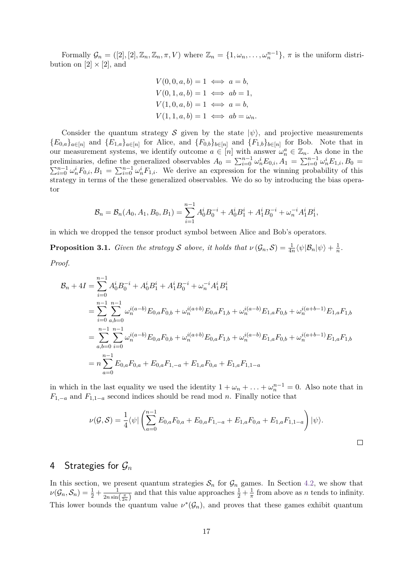Formally  $\mathcal{G}_n = ([2], [2], \mathbb{Z}_n, \mathbb{Z}_n, \pi, V)$  where  $\mathbb{Z}_n = \{1, \omega_n, \ldots, \omega_n^{n-1}\}, \pi$  is the uniform distribution on  $[2] \times [2]$ , and

$$
V(0, 0, a, b) = 1 \iff a = b,
$$
  
\n
$$
V(0, 1, a, b) = 1 \iff ab = 1,
$$
  
\n
$$
V(1, 0, a, b) = 1 \iff a = b,
$$
  
\n
$$
V(1, 1, a, b) = 1 \iff ab = \omega_n.
$$

Consider the quantum strategy S given by the state  $|\psi\rangle$ , and projective measurements  ${E_{0,a}}_{a\in[n]}$  and  ${E_{1,a}}_{a\in[n]}$  for Alice, and  ${F_{0,b}}_{b\in[n]}$  and  ${F_{1,b}}_{b\in[n]}$  for Bob. Note that in our measurement systems, we identify outcome  $a \in [n]$  with answer  $\omega_n^a \in \mathbb{Z}_n$ . As done in the preliminaries, define the generalized observables  $A_0 = \sum_{i=0}^{n-1} \omega_n^i E_{0,i}, A_1 = \sum_{i=0}^{n-1} \omega_n^i E_{1,i}, B_0 =$  $\sum_{i=0}^{n-1} \omega_n^i F_{0,i}, B_1 = \sum_{i=0}^{n-1} \omega_n^i F_{1,i}.$  We derive an expression for the winning probability of this strategy in terms of the these generalized observables. We do so by introducing the bias operator

$$
\mathcal{B}_n = \mathcal{B}_n(A_0, A_1, B_0, B_1) = \sum_{i=1}^{n-1} A_0^i B_0^{-i} + A_0^i B_1^i + A_1^i B_0^{-i} + \omega_n^{-i} A_1^i B_1^i,
$$

in which we dropped the tensor product symbol between Alice and Bob's operators.

<span id="page-16-1"></span>**Proposition 3.1.** *Given the strategy* S *above, it holds that*  $\nu(\mathcal{G}_n, \mathcal{S}) = \frac{1}{4n} \langle \psi | \mathcal{B}_n | \psi \rangle + \frac{1}{n}$  $\frac{1}{n}$ .

*Proof.*

$$
\mathcal{B}_{n} + 4I = \sum_{i=0}^{n-1} A_{0}^{i} B_{0}^{-i} + A_{0}^{i} B_{1}^{i} + A_{1}^{i} B_{0}^{-i} + \omega_{n}^{-i} A_{1}^{i} B_{1}^{i}
$$
\n
$$
= \sum_{i=0}^{n-1} \sum_{a,b=0}^{n-1} \omega_{n}^{i(a-b)} E_{0,a} F_{0,b} + \omega_{n}^{i(a+b)} E_{0,a} F_{1,b} + \omega_{n}^{i(a-b)} E_{1,a} F_{0,b} + \omega_{n}^{i(a+b-1)} E_{1,a} F_{1,b}
$$
\n
$$
= \sum_{a,b=0}^{n-1} \sum_{i=0}^{n-1} \omega_{n}^{i(a-b)} E_{0,a} F_{0,b} + \omega_{n}^{i(a+b)} E_{0,a} F_{1,b} + \omega_{n}^{i(a-b)} E_{1,a} F_{0,b} + \omega_{n}^{i(a+b-1)} E_{1,a} F_{1,b}
$$
\n
$$
= n \sum_{a=0}^{n-1} E_{0,a} F_{0,a} + E_{0,a} F_{1,-a} + E_{1,a} F_{0,a} + E_{1,a} F_{1,1-a}
$$

in which in the last equality we used the identity  $1 + \omega_n + \ldots + \omega_n^{n-1} = 0$ . Also note that in  $F_{1,-a}$  and  $F_{1,1-a}$  second indices should be read mod *n*. Finally notice that

$$
\nu(G, S) = \frac{1}{4} \langle \psi | \left( \sum_{a=0}^{n-1} E_{0,a} F_{0,a} + E_{0,a} F_{1,-a} + E_{1,a} F_{0,a} + E_{1,a} F_{1,1-a} \right) | \psi \rangle.
$$

### <span id="page-16-0"></span>4 Strategies for G*<sup>n</sup>*

In this section, we present quantum strategies  $S_n$  for  $\mathcal{G}_n$  games. In Section [4.2,](#page-18-0) we show that  $\nu(\mathcal{G}_n, \mathcal{S}_n) = \frac{1}{2} + \frac{1}{2n \sin n}$  $\frac{1}{2n \sin(\frac{\pi}{2n})}$  and that this value approaches  $\frac{1}{2} + \frac{1}{\pi}$  $\frac{1}{\pi}$  from above as *n* tends to infinity. This lower bounds the quantum value  $\nu^*(\mathcal{G}_n)$ , and proves that these games exhibit quantum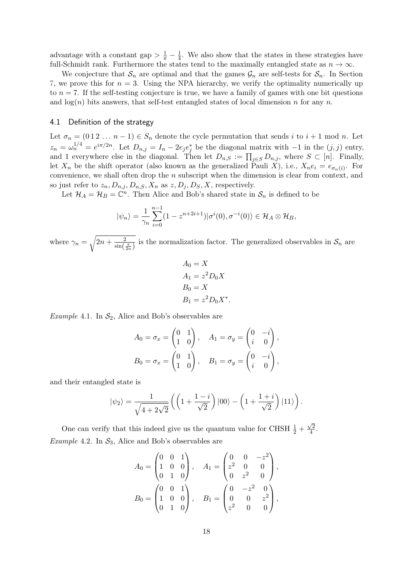advantage with a constant gap  $> \frac{1}{\pi} - \frac{1}{4}$  $\frac{1}{4}$ . We also show that the states in these strategies have full-Schmidt rank. Furthermore the states tend to the maximally entangled state as  $n \to \infty$ .

We conjecture that  $S_n$  are optimal and that the games  $\mathcal{G}_n$  are self-tests for  $S_n$ . In Section [7,](#page-29-0) we prove this for  $n = 3$ . Using the NPA hierarchy, we verify the optimality numerically up to *n* = 7. If the self-testing conjecture is true, we have a family of games with one bit questions and  $log(n)$  bits answers, that self-test entangled states of local dimension *n* for any *n*.

#### <span id="page-17-0"></span>4.1 Definition of the strategy

Let  $\sigma_n = (0 \ 1 \ 2 \ \ldots \ n-1) \in S_n$  denote the cycle permutation that sends *i* to  $i+1$  mod *n*. Let  $z_n = \omega_n^{1/4} = e^{i\pi/2n}$ . Let  $D_{n,j} = I_n - 2e_j e_j^*$  be the diagonal matrix with −1 in the  $(j, j)$  entry, and 1 everywhere else in the diagonal. Then let  $D_{n,S} := \prod_{j\in S} D_{n,j}$ , where  $S \subset [n]$ . Finally, let  $X_n$  be the shift operator (also known as the generalized Pauli *X*), i.e.,  $X_n e_i = e_{\sigma_n(i)}$ . For convenience, we shall often drop the *n* subscript when the dimension is clear from context, and so just refer to  $z_n$ ,  $D_{n,j}$ ,  $D_{n,S}$ ,  $X_n$  as  $z$ ,  $D_j$ ,  $D_S$ ,  $X$ , respectively.

Let  $\mathcal{H}_A = \mathcal{H}_B = \mathbb{C}^n$ . Then Alice and Bob's shared state in  $\mathcal{S}_n$  is defined to be

$$
|\psi_n\rangle = \frac{1}{\gamma_n} \sum_{i=0}^{n-1} (1 - z^{n+2i+1}) |\sigma^i(0), \sigma^{-i}(0)\rangle \in \mathcal{H}_A \otimes \mathcal{H}_B,
$$

where  $\gamma_n = \sqrt{2n + \frac{2}{\sin \left( \frac{2}{n} \right)}}$  $\frac{2}{\sin(\frac{\pi}{2n})}$  is the normalization factor. The generalized observables in  $\mathcal{S}_n$  are

$$
A_0 = X
$$
  
\n
$$
A_1 = z^2 D_0 X
$$
  
\n
$$
B_0 = X
$$
  
\n
$$
B_1 = z^2 D_0 X^*
$$

*.*

<span id="page-17-1"></span>*Example* 4.1. In  $S_2$ , Alice and Bob's observables are

$$
A_0 = \sigma_x = \begin{pmatrix} 0 & 1 \\ 1 & 0 \end{pmatrix}, \quad A_1 = \sigma_y = \begin{pmatrix} 0 & -i \\ i & 0 \end{pmatrix},
$$
  

$$
B_0 = \sigma_x = \begin{pmatrix} 0 & 1 \\ 1 & 0 \end{pmatrix}, \quad B_1 = \sigma_y = \begin{pmatrix} 0 & -i \\ i & 0 \end{pmatrix},
$$

and their entangled state is

$$
|\psi_2\rangle = \frac{1}{\sqrt{4+2\sqrt{2}}} \left( \left( 1 + \frac{1-i}{\sqrt{2}} \right) |00\rangle - \left( 1 + \frac{1+i}{\sqrt{2}} \right) |11\rangle \right).
$$

<span id="page-17-2"></span>One can verify that this indeed give us the quantum value for CHSH  $\frac{1}{2} + \frac{\sqrt{2}}{4}$ √  $\frac{72}{4}$ . *Example* 4.2. In  $S_3$ , Alice and Bob's observables are

$$
A_0 = \begin{pmatrix} 0 & 0 & 1 \\ 1 & 0 & 0 \\ 0 & 1 & 0 \end{pmatrix}, \quad A_1 = \begin{pmatrix} 0 & 0 & -z^2 \\ z^2 & 0 & 0 \\ 0 & z^2 & 0 \end{pmatrix},
$$

$$
B_0 = \begin{pmatrix} 0 & 0 & 1 \\ 1 & 0 & 0 \\ 0 & 1 & 0 \end{pmatrix}, \quad B_1 = \begin{pmatrix} 0 & -z^2 & 0 \\ 0 & 0 & z^2 \\ z^2 & 0 & 0 \end{pmatrix},
$$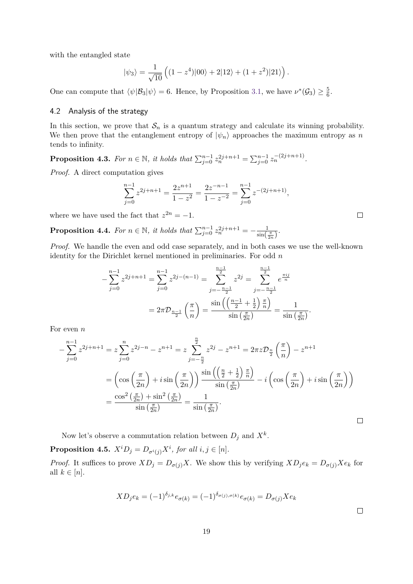with the entangled state

$$
|\psi_3\rangle = \frac{1}{\sqrt{10}} \left( (1 - z^4)|00\rangle + 2|12\rangle + (1 + z^2)|21\rangle \right).
$$

One can compute that  $\langle \psi | \mathcal{B}_3 | \psi \rangle = 6$ . Hence, by Proposition [3.1,](#page-16-1) we have  $\nu^*(\mathcal{G}_3) \geq \frac{5}{6}$  $\frac{5}{6}$ .

### <span id="page-18-0"></span>4.2 Analysis of the strategy

In this section, we prove that  $S_n$  is a quantum strategy and calculate its winning probability. We then prove that the entanglement entropy of  $|\psi_n\rangle$  approaches the maximum entropy as *n* tends to infinity.

<span id="page-18-3"></span>**Proposition 4.3.** For  $n \in \mathbb{N}$ , it holds that  $\sum_{j=0}^{n-1} z_n^{2j+n+1} = \sum_{j=0}^{n-1} z_n^{-(2j+n+1)}$ .

*Proof.* A direct computation gives

$$
\sum_{j=0}^{n-1} z^{2j+n+1} = \frac{2z^{n+1}}{1-z^2} = \frac{2z^{-n-1}}{1-z^{-2}} = \sum_{j=0}^{n-1} z^{-(2j+n+1)},
$$

where we have used the fact that  $z^{2n} = -1$ .

<span id="page-18-1"></span>**Proposition 4.4.** *For*  $n \in \mathbb{N}$ *, it holds that*  $\sum_{j=0}^{n-1} z_n^{2j+n+1} = -\frac{1}{\sin(\lambda)}$  $rac{1}{\sin(\frac{\pi}{2n})}$ .

*Proof.* We handle the even and odd case separately, and in both cases we use the well-known identity for the Dirichlet kernel mentioned in preliminaries. For odd *n*

$$
-\sum_{j=0}^{n-1} z^{2j+n+1} = \sum_{j=0}^{n-1} z^{2j-(n-1)} = \sum_{j=-\frac{n-1}{2}}^{\frac{n-1}{2}} z^{2j} = \sum_{j=-\frac{n-1}{2}}^{\frac{n-1}{2}} e^{\frac{\pi ij}{n}}
$$

$$
= 2\pi \mathcal{D}_{\frac{n-1}{2}}\left(\frac{\pi}{n}\right) = \frac{\sin\left(\left(\frac{n-1}{2} + \frac{1}{2}\right)\frac{\pi}{n}\right)}{\sin\left(\frac{\pi}{2n}\right)} = \frac{1}{\sin\left(\frac{\pi}{2n}\right)}.
$$

For even *n*

$$
-\sum_{j=0}^{n-1} z^{2j+n+1} = z \sum_{j=0}^{n} z^{2j-n} - z^{n+1} = z \sum_{j=-\frac{n}{2}}^{\frac{n}{2}} z^{2j} - z^{n+1} = 2\pi z \mathcal{D}_{\frac{n}{2}}\left(\frac{\pi}{n}\right) - z^{n+1}
$$

$$
= \left(\cos\left(\frac{\pi}{2n}\right) + i\sin\left(\frac{\pi}{2n}\right)\right) \frac{\sin\left(\left(\frac{n}{2} + \frac{1}{2}\right)\frac{\pi}{n}\right)}{\sin\left(\frac{\pi}{2n}\right)} - i\left(\cos\left(\frac{\pi}{2n}\right) + i\sin\left(\frac{\pi}{2n}\right)\right)
$$

$$
= \frac{\cos^2\left(\frac{\pi}{2n}\right) + \sin^2\left(\frac{\pi}{2n}\right)}{\sin\left(\frac{\pi}{2n}\right)} = \frac{1}{\sin\left(\frac{\pi}{2n}\right)}.
$$

Now let's observe a commutation relation between  $D_j$  and  $X^k$ .

<span id="page-18-2"></span>**Proposition 4.5.**  $X^iD_j = D_{\sigma^i(j)}X^i$ , for all  $i, j \in [n]$ .

*Proof.* It suffices to prove  $XD_j = D_{\sigma(j)}X$ . We show this by verifying  $XD_je_k = D_{\sigma(j)}Xe_k$  for all  $k \in [n]$ .

$$
XD_j e_k = (-1)^{\delta_{j,k}} e_{\sigma(k)} = (-1)^{\delta_{\sigma(j),\sigma(k)}} e_{\sigma(k)} = D_{\sigma(j)} X e_k
$$

 $\Box$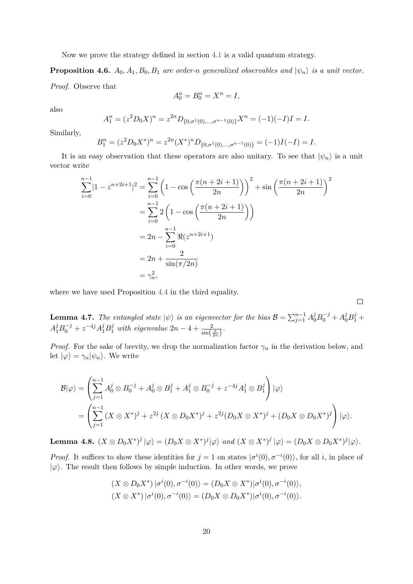Now we prove the strategy defined in section [4.1](#page-17-0) is a valid quantum strategy.

**Proposition 4.6.**  $A_0$ ,  $A_1$ ,  $B_0$ ,  $B_1$  *are order-n generalized observables and*  $|\psi_n\rangle$  *is a unit vector. Proof.* Observe that

$$
A_0^n = B_0^n = X^n = I,
$$

also

$$
A_1^n = (z^2 D_0 X)^n = z^{2n} D_{\{0, \sigma^1(0), \dots, \sigma^{n-1}(0)\}} X^n = (-1)(-I)I = I.
$$

Similarly,

$$
B_1^n = (z^2 D_0 X^*)^n = z^{2n} (X^*)^n D_{\{0, \sigma^1(0), \dots, \sigma^{n-1}(0)\}} = (-1)I(-I) = I.
$$

It is an easy observation that these operators are also unitary. To see that  $|\psi_n\rangle$  is a unit vector write

$$
\sum_{i=0}^{n-1} |1 - z^{n+2i+1}|^2 = \sum_{i=0}^{n-1} \left( 1 - \cos\left(\frac{\pi(n+2i+1)}{2n}\right) \right)^2 + \sin\left(\frac{\pi(n+2i+1)}{2n}\right)^2
$$

$$
= \sum_{i=0}^{n-1} 2\left( 1 - \cos\left(\frac{\pi(n+2i+1)}{2n}\right) \right)
$$

$$
= 2n - \sum_{i=0}^{n-1} \Re(z^{n+2i+1})
$$

$$
= 2n + \frac{2}{\sin(\pi/2n)}
$$

$$
= \gamma_n^2,
$$

where we have used Proposition [4.4](#page-18-1) in the third equality.

**Lemma 4.7.** *The entangled state*  $|\psi\rangle$  *is an eigenvector for the bias*  $B = \sum_{j=1}^{n-1} A_0^j B_0^{-j} + A_0^j B_1^j +$  $A_1^j B_0^{-j} + z^{-4j} A_1^j B_1^j$  with eigenvalue  $2n - 4 + \frac{2}{\sin(\frac{\pi}{2n})}$ .

*Proof.* For the sake of brevity, we drop the normalization factor  $\gamma_n$  in the derivation below, and let  $|\varphi\rangle = \gamma_n |\psi_n\rangle$ . We write

$$
\mathcal{B}|\varphi\rangle = \left(\sum_{j=1}^{n-1} A_0^j \otimes B_0^{-j} + A_0^j \otimes B_1^j + A_1^j \otimes B_0^{-j} + z^{-4j} A_1^j \otimes B_1^j\right)|\varphi\rangle
$$
  
= 
$$
\left(\sum_{j=1}^{n-1} (X \otimes X^*)^j + z^{2j} (X \otimes D_0 X^*)^j + z^{2j} (D_0 X \otimes X^*)^j + (D_0 X \otimes D_0 X^*)^j\right)|\varphi\rangle.
$$

**Lemma 4.8.**  $(X \otimes D_0 X^*)^j |\varphi\rangle = (D_0 X \otimes X^*)^j |\varphi\rangle$  and  $(X \otimes X^*)^j |\varphi\rangle = (D_0 X \otimes D_0 X^*)^j |\varphi\rangle$ .

*Proof.* It suffices to show these identities for  $j = 1$  on states  $|\sigma^i(0), \sigma^{-i}(0)\rangle$ , for all *i*, in place of  $|\varphi\rangle$ . The result then follows by simple induction. In other words, we prove

$$
(X \otimes D_0 X^*) |\sigma^i(0), \sigma^{-i}(0)\rangle = (D_0 X \otimes X^*) |\sigma^i(0), \sigma^{-i}(0)\rangle,
$$
  

$$
(X \otimes X^*) |\sigma^i(0), \sigma^{-i}(0)\rangle = (D_0 X \otimes D_0 X^*) |\sigma^i(0), \sigma^{-i}(0)\rangle.
$$

 $\Box$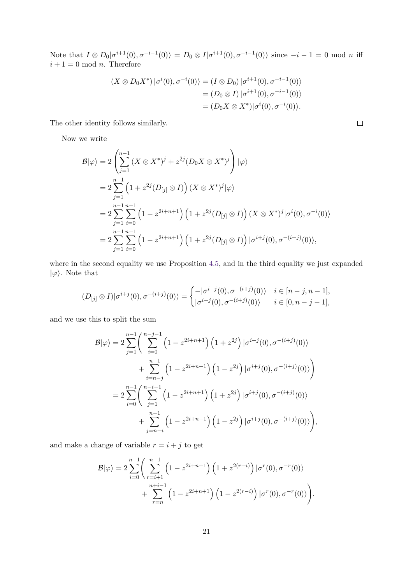Note that  $I \otimes D_0 | \sigma^{i+1}(0), \sigma^{-i-1}(0) \rangle = D_0 \otimes I | \sigma^{i+1}(0), \sigma^{-i-1}(0) \rangle$  since  $-i-1 = 0 \text{ mod } n$  iff  $i+1=0 \mod n$ . Therefore

$$
(X \otimes D_0 X^*) |\sigma^i(0), \sigma^{-i}(0)\rangle = (I \otimes D_0) |\sigma^{i+1}(0), \sigma^{-i-1}(0)\rangle
$$
  
=  $(D_0 \otimes I) |\sigma^{i+1}(0), \sigma^{-i-1}(0)\rangle$   
=  $(D_0 X \otimes X^*) |\sigma^i(0), \sigma^{-i}(0)\rangle.$ 

The other identity follows similarly.

Now we write

$$
\mathcal{B}|\varphi\rangle = 2\left(\sum_{j=1}^{n-1} (X \otimes X^*)^j + z^{2j} (D_0 X \otimes X^*)^j\right)|\varphi\rangle
$$
  
=  $2\sum_{j=1}^{n-1} \left(1 + z^{2j} (D_{[j]} \otimes I)\right) (X \otimes X^*)^j |\varphi\rangle$   
=  $2\sum_{j=1}^{n-1} \sum_{i=0}^{n-1} \left(1 - z^{2i+n+1}\right) \left(1 + z^{2j} (D_{[j]} \otimes I)\right) (X \otimes X^*)^j |\sigma^i(0), \sigma^{-i}(0)\rangle$   
=  $2\sum_{j=1}^{n-1} \sum_{i=0}^{n-1} \left(1 - z^{2i+n+1}\right) \left(1 + z^{2j} (D_{[j]} \otimes I)\right) |\sigma^{i+j}(0), \sigma^{-(i+j)}(0)\rangle,$ 

where in the second equality we use Proposition [4.5,](#page-18-2) and in the third equality we just expanded  $|\varphi\rangle$ . Note that

$$
(D_{[j]} \otimes I)|\sigma^{i+j}(0),\sigma^{-(i+j)}(0)\rangle = \begin{cases} -|\sigma^{i+j}(0),\sigma^{-(i+j)}(0)\rangle & i \in [n-j,n-1],\\ |\sigma^{i+j}(0),\sigma^{-(i+j)}(0)\rangle & i \in [0,n-j-1], \end{cases}
$$

and we use this to split the sum

$$
\mathcal{B}|\varphi\rangle = 2 \sum_{j=1}^{n-1} \left( \sum_{i=0}^{n-j-1} \left( 1 - z^{2i+n+1} \right) \left( 1 + z^{2j} \right) | \sigma^{i+j}(0), \sigma^{-(i+j)}(0) \rangle \n+ \sum_{i=n-j}^{n-1} \left( 1 - z^{2i+n+1} \right) \left( 1 - z^{2j} \right) | \sigma^{i+j}(0), \sigma^{-(i+j)}(0) \rangle \n= 2 \sum_{i=0}^{n-1} \left( \sum_{j=1}^{n-i-1} \left( 1 - z^{2i+n+1} \right) \left( 1 + z^{2j} \right) | \sigma^{i+j}(0), \sigma^{-(i+j)}(0) \rangle \n+ \sum_{j=n-i}^{n-1} \left( 1 - z^{2i+n+1} \right) \left( 1 - z^{2j} \right) | \sigma^{i+j}(0), \sigma^{-(i+j)}(0) \rangle \right),
$$

and make a change of variable  $r = i + j$  to get

$$
\mathcal{B}|\varphi\rangle = 2\sum_{i=0}^{n-1} \left( \sum_{r=i+1}^{n-1} \left( 1 - z^{2i+n+1} \right) \left( 1 + z^{2(r-i)} \right) |\sigma^r(0), \sigma^{-r}(0) \rangle + \sum_{r=n}^{n+i-1} \left( 1 - z^{2i+n+1} \right) \left( 1 - z^{2(r-i)} \right) |\sigma^r(0), \sigma^{-r}(0) \rangle \right).
$$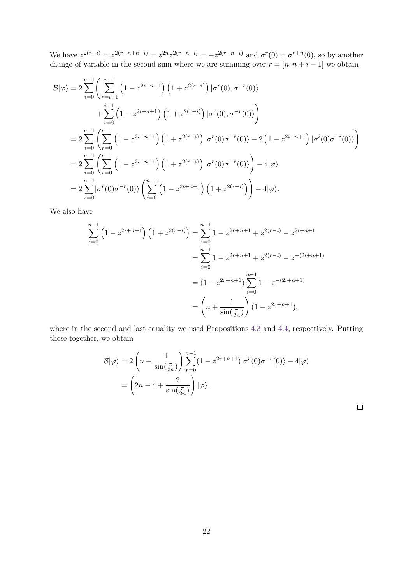We have  $z^{2(r-i)} = z^{2(r-n+n-i)} = z^{2n}z^{2(r-n-i)} = -z^{2(r-n-i)}$  and  $\sigma^r(0) = \sigma^{r+n}(0)$ , so by another change of variable in the second sum where we are summing over  $r = [n, n + i - 1]$  we obtain

$$
\mathcal{B}|\varphi\rangle = 2 \sum_{i=0}^{n-1} \left( \sum_{r=i+1}^{n-1} \left( 1 - z^{2i+n+1} \right) \left( 1 + z^{2(r-i)} \right) |\sigma^r(0), \sigma^{-r}(0) \rangle \n+ \sum_{r=0}^{i-1} \left( 1 - z^{2i+n+1} \right) \left( 1 + z^{2(r-i)} \right) |\sigma^r(0), \sigma^{-r}(0) \rangle \n= 2 \sum_{i=0}^{n-1} \left( \sum_{r=0}^{n-1} \left( 1 - z^{2i+n+1} \right) \left( 1 + z^{2(r-i)} \right) |\sigma^r(0)\sigma^{-r}(0) \rangle - 2 \left( 1 - z^{2i+n+1} \right) |\sigma^i(0)\sigma^{-i}(0) \rangle \right) \n= 2 \sum_{i=0}^{n-1} \left( \sum_{r=0}^{n-1} \left( 1 - z^{2i+n+1} \right) \left( 1 + z^{2(r-i)} \right) |\sigma^r(0)\sigma^{-r}(0) \rangle \right) - 4|\varphi\rangle \n= 2 \sum_{r=0}^{n-1} |\sigma^r(0)\sigma^{-r}(0) \rangle \left( \sum_{i=0}^{n-1} \left( 1 - z^{2i+n+1} \right) \left( 1 + z^{2(r-i)} \right) \right) - 4|\varphi\rangle.
$$

We also have

$$
\sum_{i=0}^{n-1} \left(1 - z^{2i+n+1}\right) \left(1 + z^{2(r-i)}\right) = \sum_{i=0}^{n-1} 1 - z^{2r+n+1} + z^{2(r-i)} - z^{2i+n+1}
$$

$$
= \sum_{i=0}^{n-1} 1 - z^{2r+n+1} + z^{2(r-i)} - z^{-(2i+n+1)}
$$

$$
= \left(1 - z^{2r+n+1}\right) \sum_{i=0}^{n-1} 1 - z^{-(2i+n+1)}
$$

$$
= \left(n + \frac{1}{\sin(\frac{\pi}{2n})}\right) \left(1 - z^{2r+n+1}\right),
$$

where in the second and last equality we used Propositions [4.3](#page-18-3) and [4.4,](#page-18-1) respectively. Putting these together, we obtain

$$
\mathcal{B}|\varphi\rangle = 2\left(n + \frac{1}{\sin(\frac{\pi}{2n})}\right) \sum_{r=0}^{n-1} (1 - z^{2r+n+1}) |\sigma^r(0)\sigma^{-r}(0)\rangle - 4|\varphi\rangle
$$

$$
= \left(2n - 4 + \frac{2}{\sin(\frac{\pi}{2n})}\right) |\varphi\rangle.
$$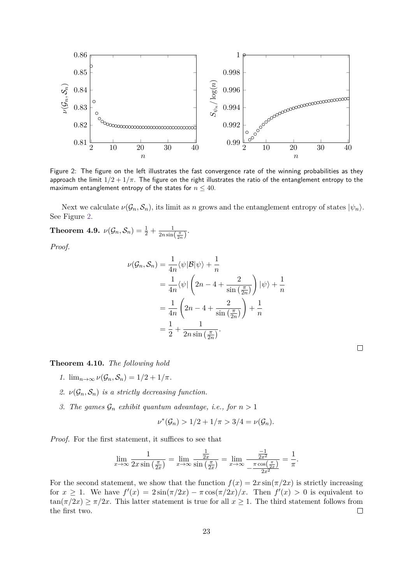<span id="page-22-1"></span>

Figure 2: The figure on the left illustrates the fast convergence rate of the winning probabilities as they approach the limit  $1/2 + 1/\pi$ . The figure on the right illustrates the ratio of the entanglement entropy to the maximum entanglement entropy of the states for  $n \leq 40$ .

Next we calculate  $\nu(\mathcal{G}_n, \mathcal{S}_n)$ , its limit as *n* grows and the entanglement entropy of states  $|\psi_n\rangle$ . See Figure [2.](#page-22-1)

<span id="page-22-0"></span>**Theorem 4.9.**  $\nu(\mathcal{G}_n, \mathcal{S}_n) = \frac{1}{2} + \frac{1}{2n \sin n}$  $rac{1}{2n\sin(\frac{\pi}{2n})}$ .

*Proof.*

$$
\nu(\mathcal{G}_n, \mathcal{S}_n) = \frac{1}{4n} \langle \psi | \mathcal{B} | \psi \rangle + \frac{1}{n}
$$
  
=  $\frac{1}{4n} \langle \psi | \left( 2n - 4 + \frac{2}{\sin\left(\frac{\pi}{2n}\right)} \right) | \psi \rangle + \frac{1}{n}$   
=  $\frac{1}{4n} \left( 2n - 4 + \frac{2}{\sin\left(\frac{\pi}{2n}\right)} \right) + \frac{1}{n}$   
=  $\frac{1}{2} + \frac{1}{2n \sin\left(\frac{\pi}{2n}\right)}$ .

**Theorem 4.10.** *The following hold*

- *1.*  $\lim_{n\to\infty} \nu(\mathcal{G}_n, \mathcal{S}_n) = 1/2 + 1/\pi$ .
- 2.  $\nu(\mathcal{G}_n, \mathcal{S}_n)$  *is a strictly decreasing function.*
- *3. The games*  $\mathcal{G}_n$  *exhibit quantum advantage, i.e., for*  $n > 1$

$$
\nu^*(\mathcal{G}_n) > 1/2 + 1/\pi > 3/4 = \nu(\mathcal{G}_n).
$$

*Proof.* For the first statement, it suffices to see that

$$
\lim_{x \to \infty} \frac{1}{2x \sin\left(\frac{\pi}{2x}\right)} = \lim_{x \to \infty} \frac{\frac{1}{2x}}{\sin\left(\frac{\pi}{2x}\right)} = \lim_{x \to \infty} \frac{\frac{-1}{2x^2}}{-\frac{\pi \cos\left(\frac{\pi}{2x}\right)}{2x^2}} = \frac{1}{\pi}.
$$

For the second statement, we show that the function  $f(x) = 2x \sin(\pi/2x)$  is strictly increasing for  $x \geq 1$ . We have  $f'(x) = 2\sin(\pi/2x) - \pi \cos(\pi/2x)/x$ . Then  $f'(x) > 0$  is equivalent to  $\tan(\pi/2x) \geq \pi/2x$ . This latter statement is true for all  $x \geq 1$ . The third statement follows from the first two.  $\Box$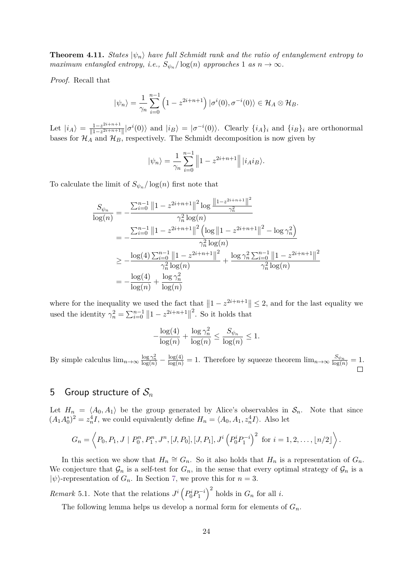**Theorem 4.11.** *States*  $|\psi_n\rangle$  *have full Schmidt rank and the ratio of entanglement entropy to maximum entangled entropy, i.e.,*  $S_{\psi_n}/\log(n)$  *approaches* 1 *as*  $n \to \infty$ *.* 

*Proof.* Recall that

$$
|\psi_n\rangle = \frac{1}{\gamma_n} \sum_{i=0}^{n-1} \left(1 - z^{2i+n+1}\right) |\sigma^i(0), \sigma^{-i}(0)\rangle \in \mathcal{H}_A \otimes \mathcal{H}_B.
$$

Let  $|i_A\rangle = \frac{1-z^{2i+n+1}}{1-z^{2i+n+1}}$  $\frac{1-z^{2i+n+1}}{\|1-z^{2i+n+1}\|}|\sigma^{i}(0)\rangle$  and  $|i_B\rangle = |\sigma^{-i}(0)\rangle$ . Clearly  $\{i_A\}_i$  and  $\{i_B\}_i$  are orthonormal bases for  $\mathcal{H}_A$  and  $\mathcal{H}_B$ , respectively. The Schmidt decomposition is now given by

$$
|\psi_n\rangle = \frac{1}{\gamma_n} \sum_{i=0}^{n-1} \left\| 1 - z^{2i+n+1} \right\| |i_A i_B\rangle.
$$

To calculate the limit of  $S_{\psi_n}/\log(n)$  first note that

$$
\frac{S_{\psi_n}}{\log(n)} = -\frac{\sum_{i=0}^{n-1} ||1 - z^{2i+n+1}||^2 \log \frac{||1 - z^{2i+n+1}||^2}{\gamma_n^2}}{\gamma_n^2 \log(n)}
$$
  
\n
$$
= -\frac{\sum_{i=0}^{n-1} ||1 - z^{2i+n+1}||^2 (\log ||1 - z^{2i+n+1}||^2 - \log \gamma_n^2)}{\gamma_n^2 \log(n)}
$$
  
\n
$$
\ge -\frac{\log(4) \sum_{i=0}^{n-1} ||1 - z^{2i+n+1}||^2}{\gamma_n^2 \log(n)} + \frac{\log \gamma_n^2 \sum_{i=0}^{n-1} ||1 - z^{2i+n+1}||^2}{\gamma_n^2 \log(n)}
$$
  
\n
$$
= -\frac{\log(4)}{\log(n)} + \frac{\log \gamma_n^2}{\log(n)}
$$

where for the inequality we used the fact that  $||1 - z^{2i+n+1}|| \leq 2$ , and for the last equality we used the identity  $\gamma_n^2 = \sum_{i=0}^{n-1} ||1 - z^{2i+n+1}||$ 2 . So it holds that

$$
-\frac{\log(4)}{\log(n)} + \frac{\log \gamma_n^2}{\log(n)} \le \frac{S_{\psi_n}}{\log(n)} \le 1.
$$

By simple calculus  $\lim_{n\to\infty} \frac{\log \gamma_n^2}{\log(n)} - \frac{\log(4)}{\log(n)} = 1$ . Therefore by squeeze theorem  $\lim_{n\to\infty} \frac{S_{\psi_n}}{\log(n)} = 1$ .

### <span id="page-23-0"></span>5 Group structure of  $S_n$

Let  $H_n = \langle A_0, A_1 \rangle$  be the group generated by Alice's observables in  $S_n$ . Note that since  $(A_1 A_0^*)^2 = z_n^4 I$ , we could equivalently define  $H_n = \langle A_0, A_1, z_n^4 I \rangle$ . Also let

$$
G_n = \left\langle P_0, P_1, J \mid P_0^n, P_1^n, J^n, [J, P_0], [J, P_1], J^i \left( P_0^i P_1^{-i} \right)^2 \text{ for } i = 1, 2, \ldots, \lfloor n/2 \rfloor \right\rangle.
$$

In this section we show that  $H_n \cong G_n$ . So it also holds that  $H_n$  is a representation of  $G_n$ . We conjecture that  $\mathcal{G}_n$  is a self-test for  $G_n$ , in the sense that every optimal strategy of  $\mathcal{G}_n$  is a  $|\psi\rangle$ -representation of  $G_n$ . In Section [7,](#page-29-0) we prove this for  $n=3$ .

*Remark* 5.1. Note that the relations  $J^i\left(P_0^iP_1^{-i}\right)^2$  holds in  $G_n$  for all *i*.

The following lemma helps us develop a normal form for elements of *Gn*.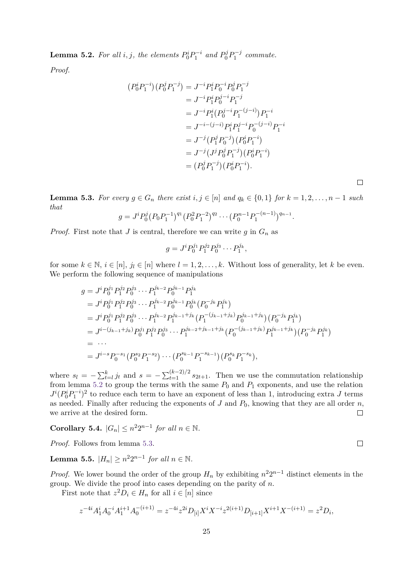<span id="page-24-0"></span>**Lemma 5.2.** For all  $i, j$ , the elements  $P_0^i P_1^{-i}$  and  $P_0^j P_1^{-j}$  commute.

*Proof.*

$$
(P_0^i P_1^{-i})(P_0^j P_1^{-j}) = J^{-i} P_1^i P_0^{-i} P_0^j P_1^{-j}
$$
  
=  $J^{-i} P_1^i P_0^{j-i} P_1^{-j}$   
=  $J^{-i} P_1^i (P_0^{j-i} P_1^{-(j-i)}) P_1^{-i}$   
=  $J^{-i-(j-i)} P_1^i P_1^{j-i} P_0^{-(j-i)} P_1^{-i}$   
=  $J^{-j} (P_1^j P_0^{-j})(P_0^i P_1^{-i})$   
=  $J^{-j} (J^j P_0^j P_1^{-j})(P_0^i P_1^{-i})$   
=  $(P_0^j P_1^{-j})(P_0^i P_1^{-i}).$ 

<span id="page-24-1"></span>**Lemma 5.3.** For every  $g \in G_n$  there exist  $i, j \in [n]$  and  $q_k \in \{0, 1\}$  for  $k = 1, 2, \ldots, n - 1$  such *that*

$$
g = J^i P_0^j (P_0 P_1^{-1})^{q_1} (P_0^2 P_1^{-2})^{q_2} \cdots (P_0^{n-1} P_1^{-(n-1)})^{q_{n-1}}.
$$

*Proof.* First note that *J* is central, therefore we can write  $g$  in  $G_n$  as

*jk*−<sup>2</sup>

$$
g = J^i P_0^{j_1} P_1^{j_2} P_0^{j_3} \cdots P_1^{j_k},
$$

for some  $k \in \mathbb{N}, i \in [n], j_l \in [n]$  where  $l = 1, 2, \ldots, k$ . Without loss of generality, let k be even. We perform the following sequence of manipulations

$$
g = J^{i} P_{0}^{j_{1}} P_{1}^{j_{2}} P_{0}^{j_{3}} \cdots P_{1}^{j_{k-2}} P_{0}^{j_{k-1}} P_{1}^{j_{k}}
$$
  
\n
$$
= J^{i} P_{0}^{j_{1}} P_{1}^{j_{2}} P_{0}^{j_{3}} \cdots P_{1}^{j_{k-2}} P_{0}^{j_{k-1}} P_{0}^{j_{k}} (P_{0}^{-j_{k}} P_{1}^{j_{k}})
$$
  
\n
$$
= J^{i} P_{0}^{j_{1}} P_{1}^{j_{2}} P_{0}^{j_{3}} \cdots P_{1}^{j_{k-2}} P_{1}^{j_{k-1}+j_{k}} (P_{1}^{-(j_{k-1}+j_{k})} P_{0}^{j_{k-1}+j_{k}}) (P_{0}^{-j_{k}} P_{1}^{j_{k}})
$$
  
\n
$$
= J^{i-(j_{k-1}+j_{k})} P_{0}^{j_{1}} P_{1}^{j_{2}} P_{0}^{j_{3}} \cdots P_{1}^{j_{k-2}+j_{k-1}+j_{k}} (P_{0}^{-(j_{k-1}+j_{k})} P_{1}^{j_{k-1}+j_{k}}) (P_{0}^{-j_{k}} P_{1}^{j_{k}})
$$
  
\n
$$
= \cdots
$$
  
\n
$$
= J^{i-s} P_{0}^{-s_{1}} (P_{0}^{s_{2}} P_{1}^{-s_{2}}) \cdots (P_{0}^{s_{k-1}} P_{1}^{-s_{k-1}}) (P_{0}^{s_{k}} P_{1}^{-s_{k}}),
$$

where  $s_l = -\sum_{t=l}^{k} j_t$  and  $s = -\sum_{t=1}^{(k-2)/2} s_{2t+1}$ . Then we use the commutation relationship from lemma [5.2](#page-24-0) to group the terms with the same  $P_0$  and  $P_1$  exponents, and use the relation  $J^{i}(P_0^{i}P_1^{-i})^2$  to reduce each term to have an exponent of less than 1, introducing extra *J* terms as needed. Finally after reducing the exponents of  $J$  and  $P_0$ , knowing that they are all order  $n$ , we arrive at the desired form.  $\Box$ 

**Corollary 5.4.**  $|G_n| \leq n^2 2^{n-1}$  *for all*  $n \in \mathbb{N}$ *.* 

*j*3

*Proof.* Follows from lemma [5.3.](#page-24-1)

**Lemma 5.5.**  $|H_n| \ge n^2 2^{n-1}$  for all  $n \in \mathbb{N}$ .

*Proof.* We lower bound the order of the group  $H_n$  by exhibiting  $n^2 2^{n-1}$  distinct elements in the group. We divide the proof into cases depending on the parity of *n*.

First note that  $z^2D_i \in H_n$  for all  $i \in [n]$  since

$$
z^{-4i}A_1^i A_0^{-i}A_1^{i+1}A_0^{-(i+1)} = z^{-4i}z^{2i}D_{[i]}X^i X^{-i}z^{2(i+1)}D_{[i+1]}X^{i+1}X^{-(i+1)} = z^2D_i,
$$

 $\Box$ 

 $\Box$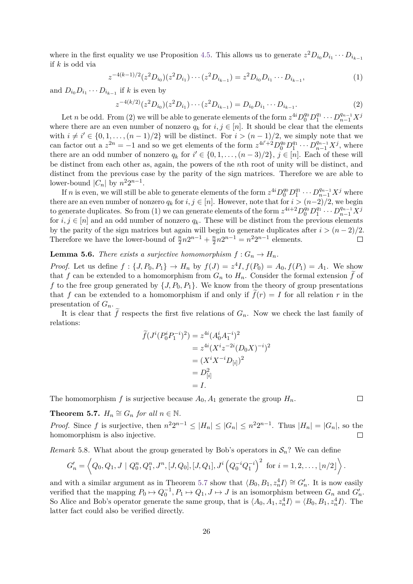where in the first equality we use Proposition [4.5.](#page-18-2) This allows us to generate  $z^2 D_{i_0} D_{i_1} \cdots D_{i_{k-1}}$ if *k* is odd via

$$
z^{-4(k-1)/2}(z^2D_{i_0})(z^2D_{i_1})\cdots(z^2D_{i_{k-1}})=z^2D_{i_0}D_{i_1}\cdots D_{i_{k-1}},
$$
\n(1)

and  $D_{i_0}D_{i_1}\cdots D_{i_{k-1}}$  if *k* is even by

$$
z^{-4(k/2)}(z^2D_{i_0})(z^2D_{i_1})\cdots(z^2D_{i_{k-1}})=D_{i_0}D_{i_1}\cdots D_{i_{k-1}}.
$$
\n(2)

Let *n* be odd. From (2) we will be able to generate elements of the form  $z^{4i}D_0^{q_0}D_1^{q_1}\cdots D_{n-1}^{q_{n-1}}X^j$ where there are an even number of nonzero  $q_k$  for  $i, j \in [n]$ . It should be clear that the elements with  $i \neq i' \in \{0, 1, \ldots, (n-1)/2\}$  will be distinct. For  $i > (n-1)/2$ , we simply note that we can factor out a  $z^{2n} = -1$  and so we get elements of the form  $z^{4i'+2}D_0^{q_0}D_1^{q_1}\cdots D_{n-1}^{q_{n-1}}X^j$ , where there are an odd number of nonzero  $q_k$  for  $i' \in \{0, 1, \ldots, (n-3)/2\}, j \in [n]$ . Each of these will be distinct from each other as, again, the powers of the *n*th root of unity will be distinct, and distinct from the previous case by the parity of the sign matrices. Therefore we are able to lower-bound  $|C_n|$  by  $n^2 2^{n-1}$ .

If *n* is even, we will still be able to generate elements of the form  $z^{4i}D_0^{q_0}D_1^{q_1}\cdots D_{n-1}^{q_{n-1}}X^j$  where there are an even number of nonzero  $q_k$  for  $i, j \in [n]$ . However, note that for  $i > (n-2)/2$ , we begin to generate duplicates. So from (1) we can generate elements of the form  $z^{4i+2}D_0^{q_0}D_1^{q_1}\cdots D_{n-1}^{q_{n-1}}X^j$ for  $i, j \in [n]$  and an odd number of nonzero  $q_k$ . These will be distinct from the previous elements by the parity of the sign matrices but again will begin to generate duplicates after  $i > (n-2)/2$ . Therefore we have the lower-bound of  $\frac{n}{2}n2^{n-1} + \frac{n}{2}n2^{n-1} = n^22^{n-1}$  elements.  $\Box$ 

### **Lemma 5.6.** *There exists a surjective homomorphism*  $f: G_n \to H_n$ .

*Proof.* Let us define  $f: \{J, P_0, P_1\} \to H_n$  by  $f(J) = z^4 I, f(P_0) = A_0, f(P_1) = A_1$ . We show that *f* can be extended to a homomorphism from  $G_n$  to  $H_n$ . Consider the formal extension  $\tilde{f}$  of f to the free group generated by  $\{J, P_0, P_1\}$ . We know from the theory of group presentations that *f* can be extended to a homomorphism if and only if  $\tilde{f}(r) = I$  for all relation *r* in the presentation of *Gn*.

It is clear that f respects the first five relations of  $G_n$ . Now we check the last family of relations:

$$
\widetilde{f}(J^{i}(P_0^{i}P_1^{-i})^2) = z^{4i}(A_0^{i}A_1^{-i})^2
$$
  
=  $z^{4i}(X^{i}z^{-2i}(D_0X)^{-i})^2$   
=  $(X^{i}X^{-i}D_{[i]})^2$   
=  $D_{[i]}^2$   
= I.

The homomorphism f is surjective because  $A_0$ ,  $A_1$  generate the group  $H_n$ .

<span id="page-25-0"></span>**Theorem 5.7.**  $H_n \cong G_n$  *for all*  $n \in \mathbb{N}$ .

*Proof.* Since *f* is surjective, then  $n^2 2^{n-1} \leq |H_n| \leq |G_n| \leq n^2 2^{n-1}$ . Thus  $|H_n| = |G_n|$ , so the homomorphism is also injective.  $\Box$ 

<span id="page-25-1"></span>*Remark* 5.8. What about the group generated by Bob's operators in  $S_n$ ? We can define

$$
G'_n = \left\langle Q_0, Q_1, J \mid Q_0^n, Q_1^n, J^n, [J, Q_0], [J, Q_1], J^i \left( Q_0^{-i} Q_1^{-i} \right)^2 \text{ for } i = 1, 2, \ldots, \lfloor n/2 \rfloor \right\rangle.
$$

and with a similar argument as in Theorem [5.7](#page-25-0) show that  $\langle B_0, B_1, z_n^4 I \rangle \cong G_n'$ . It is now easily verified that the mapping  $P_0 \mapsto Q_0^{-1}, P_1 \mapsto Q_1, J \mapsto J$  is an isomorphism between  $G_n$  and  $G'_n$ . So Alice and Bob's operator generate the same group, that is  $\langle A_0, A_1, z_n^4 I \rangle = \langle B_0, B_1, z_n^4 I \rangle$ . The latter fact could also be verified directly.

 $\Box$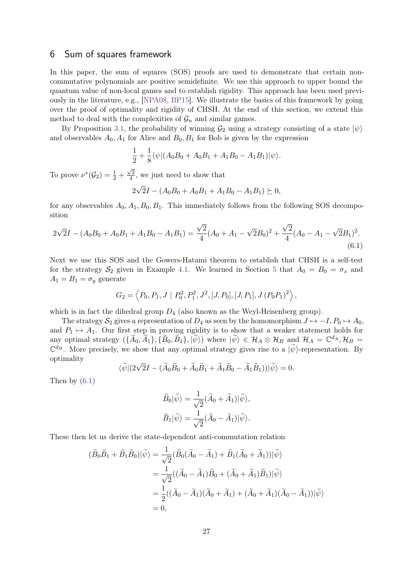### <span id="page-26-0"></span>6 Sum of squares framework

In this paper, the sum of squares (SOS) proofs are used to demonstrate that certain noncommutative polynomials are positive semidefinite. We use this approach to upper bound the quantum value of non-local games and to establish rigidity. This approach has been used previously in the literature, e.g., [\[NPA08,](#page-41-12) [BP15\]](#page-39-2). We illustrate the basics of this framework by going over the proof of optimality and rigidity of CHSH. At the end of this section, we extend this method to deal with the complexities of  $\mathcal{G}_n$  and similar games.

By Proposition [3.1,](#page-16-1) the probability of winning  $\mathcal{G}_2$  using a strategy consisting of a state  $|\psi\rangle$ and observables  $A_0$ ,  $A_1$  for Alice and  $B_0$ ,  $B_1$  for Bob is given by the expression

$$
\frac{1}{2} + \frac{1}{8} \langle \psi | (A_0 B_0 + A_0 B_1 + A_1 B_0 - A_1 B_1) | \psi \rangle.
$$

To prove  $\nu^*(\mathcal{G}_2) = \frac{1}{2} +$  $\sqrt{2}$  $\frac{\sqrt{2}}{4}$ , we just need to show that

<span id="page-26-1"></span>
$$
2\sqrt{2}I - (A_0B_0 + A_0B_1 + A_1B_0 - A_1B_1) \succeq 0,
$$

for any observables  $A_0, A_1, B_0, B_1$ . This immediately follows from the following SOS decomposition

$$
2\sqrt{2}I - (A_0B_0 + A_0B_1 + A_1B_0 - A_1B_1) = \frac{\sqrt{2}}{4}(A_0 + A_1 - \sqrt{2}B_0)^2 + \frac{\sqrt{2}}{4}(A_0 - A_1 - \sqrt{2}B_1)^2.
$$
\n(6.1)

Next we use this SOS and the Gowers-Hatami theorem to establish that CHSH is a self-test for the strategy  $S_2$  given in Example [4.1.](#page-17-1) We learned in Section [5](#page-23-0) that  $A_0 = B_0 = \sigma_x$  and  $A_1 = B_1 = \sigma_y$  generate

$$
G_2 = \left\langle P_0, P_1, J \mid P_0^2, P_1^2, J^2, [J, P_0], [J, P_1], J (P_0 P_1)^2 \right\rangle,
$$

which is in fact the dihedral group  $D_4$  (also known as the Weyl-Heisenberg group).

The strategy  $S_2$  gives a representation of  $D_4$  as seen by the homomorphism  $J \mapsto -I$ ,  $P_0 \mapsto A_0$ , and  $P_1 \mapsto A_1$ . Our first step in proving rigidity is to show that a weaker statement holds for any optimal strategy  $(\{\widetilde{A}_0, \widetilde{A}_1\}, \{\widetilde{B}_0, \widetilde{B}_1\}, |\widetilde{\psi}\rangle)$  where  $|\widetilde{\psi}\rangle \in \mathcal{H}_A \otimes \mathcal{H}_B$  and  $\mathcal{H}_A = \mathbb{C}^{d_A}, \mathcal{H}_B =$  $\mathbb{C}^{d_B}$ . More precisely, we show that any optimal strategy gives rise to a  $|\tilde{\psi}\rangle$ -representation. By optimality

$$
\langle \widetilde{\psi} | (2\sqrt{2}I - (\widetilde{A}_0 \widetilde{B}_0 + \widetilde{A}_0 \widetilde{B}_1 + \widetilde{A}_1 \widetilde{B}_0 - \widetilde{A}_1 \widetilde{B}_1)) | \widetilde{\psi} \rangle = 0.
$$

Then by [\(6.1\)](#page-26-1)

$$
\widetilde{B}_0|\widetilde{\psi}\rangle = \frac{1}{\sqrt{2}}(\widetilde{A}_0 + \widetilde{A}_1)|\widetilde{\psi}\rangle,
$$
  

$$
\widetilde{B}_1|\widetilde{\psi}\rangle = \frac{1}{\sqrt{2}}(\widetilde{A}_0 - \widetilde{A}_1)|\widetilde{\psi}\rangle.
$$

These then let us derive the state-dependent anti-commutation relation

$$
(\widetilde{B}_0 \widetilde{B}_1 + \widetilde{B}_1 \widetilde{B}_0)|\widetilde{\psi}\rangle = \frac{1}{\sqrt{2}} (\widetilde{B}_0(\widetilde{A}_0 - \widetilde{A}_1) + \widetilde{B}_1(\widetilde{A}_0 + \widetilde{A}_1))|\widetilde{\psi}\rangle
$$
  
\n
$$
= \frac{1}{\sqrt{2}}((\widetilde{A}_0 - \widetilde{A}_1)\widetilde{B}_0 + (\widetilde{A}_0 + \widetilde{A}_1)\widetilde{B}_1)|\widetilde{\psi}\rangle
$$
  
\n
$$
= \frac{1}{2}((\widetilde{A}_0 - \widetilde{A}_1)(\widetilde{A}_0 + \widetilde{A}_1) + (\widetilde{A}_0 + \widetilde{A}_1)(\widetilde{A}_0 - \widetilde{A}_1))|\widetilde{\psi}\rangle
$$
  
\n
$$
= 0,
$$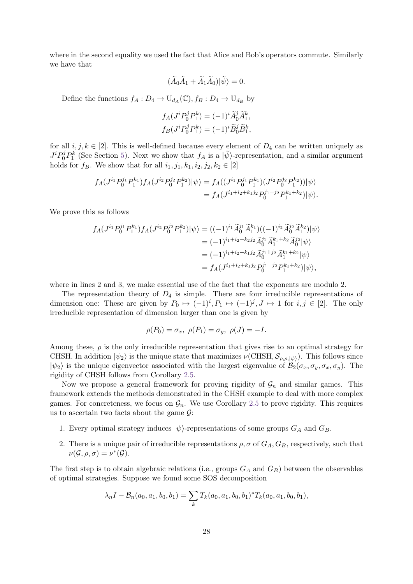where in the second equality we used the fact that Alice and Bob's operators commute. Similarly we have that

$$
(\widetilde{A}_0\widetilde{A}_1+\widetilde{A}_1\widetilde{A}_0)|\widetilde{\psi}\rangle=0.
$$

Define the functions  $f_A: D_4 \to U_{d_A}(\mathbb{C}), f_B: D_4 \to U_{d_B}$  by

$$
f_A(J^i P_0^j P_1^k) = (-1)^i \widetilde{A}_0^j \widetilde{A}_1^k,
$$
  

$$
f_B(J^i P_0^j P_1^k) = (-1)^i \widetilde{B}_0^j \widetilde{B}_1^k,
$$

for all  $i, j, k \in [2]$ . This is well-defined because every element of  $D_4$  can be written uniquely as  $J^i P_0^j P_1^k$  (See Section [5\)](#page-23-0). Next we show that *f<sub>A</sub>* is a  $|\psi\rangle$ -representation, and a similar argument holds for  $f_B$ . We show that for all  $i_1, j_1, k_1, i_2, j_2, k_2 \in [2]$ 

$$
f_A(J^{i_1}P_0^{j_1}P_1^{k_1})f_A(J^{i_2}P_0^{j_2}P_1^{k_2})|\psi\rangle = f_A((J^{i_1}P_0^{j_1}P_1^{k_1})(J^{i_2}P_0^{j_2}P_1^{k_2}))|\psi\rangle
$$
  
=  $f_A(J^{i_1+i_2+k_1j_2}P_0^{j_1+j_2}P_1^{k_1+k_2})|\psi\rangle.$ 

We prove this as follows

$$
f_A(J^{i_1}P_0^{j_1}P_1^{k_1})f_A(J^{i_2}P_0^{j_2}P_1^{k_2})|\psi\rangle = ((-1)^{i_1}\tilde{A}_0^{j_1}\tilde{A}_1^{k_1})((-1)^{i_2}\tilde{A}_0^{j_2}\tilde{A}_1^{k_2})|\psi\rangle
$$
  

$$
= (-1)^{i_1+i_2+k_2}j_2\tilde{A}_0^{j_1}\tilde{A}_1^{k_1+k_2}\tilde{A}_0^{j_2}|\psi\rangle
$$
  

$$
= (-1)^{i_1+i_2+k_1}j_2\tilde{A}_0^{j_1+j_2}\tilde{A}_1^{k_1+k_2}|\psi\rangle
$$
  

$$
= f_A(J^{i_1+i_2+k_1}j_2P_0^{j_1+j_2}P_1^{k_1+k_2})|\psi\rangle,
$$

where in lines 2 and 3, we make essential use of the fact that the exponents are modulo 2.

The representation theory of  $D_4$  is simple. There are four irreducible representations of dimension one: These are given by  $P_0 \mapsto (-1)^i, P_1 \mapsto (-1)^j, J \mapsto 1$  for  $i, j \in [2]$ . The only irreducible representation of dimension larger than one is given by

$$
\rho(P_0) = \sigma_x, \ \rho(P_1) = \sigma_y, \ \rho(J) = -I.
$$

Among these,  $\rho$  is the only irreducible representation that gives rise to an optimal strategy for CHSH. In addition  $|\psi_2\rangle$  is the unique state that maximizes  $\nu(\text{CHSH}, \mathcal{S}_{\rho,\rho,|\psi\rangle})$ . This follows since  $|\psi_2\rangle$  is the unique eigenvector associated with the largest eigenvalue of  $\mathcal{B}_2(\sigma_x, \sigma_y, \sigma_x, \sigma_y)$ . The rigidity of CHSH follows from Corollary [2.5.](#page-15-1)

Now we propose a general framework for proving rigidity of  $\mathcal{G}_n$  and similar games. This framework extends the methods demonstrated in the CHSH example to deal with more complex games. For concreteness, we focus on  $\mathcal{G}_n$ . We use Corollary [2.5](#page-15-1) to prove rigidity. This requires us to ascertain two facts about the game  $\mathcal{G}$ :

- 1. Every optimal strategy induces  $|\psi\rangle$ -representations of some groups  $G_A$  and  $G_B$ .
- 2. There is a unique pair of irreducible representations  $\rho$ ,  $\sigma$  of  $G_A$ ,  $G_B$ , respectively, such that  $\nu(\mathcal{G}, \rho, \sigma) = \nu^*(\mathcal{G}).$

The first step is to obtain algebraic relations (i.e., groups *G<sup>A</sup>* and *GB*) between the observables of optimal strategies. Suppose we found some SOS decomposition

$$
\lambda_n I - \mathcal{B}_n(a_0, a_1, b_0, b_1) = \sum_k T_k(a_0, a_1, b_0, b_1)^* T_k(a_0, a_1, b_0, b_1),
$$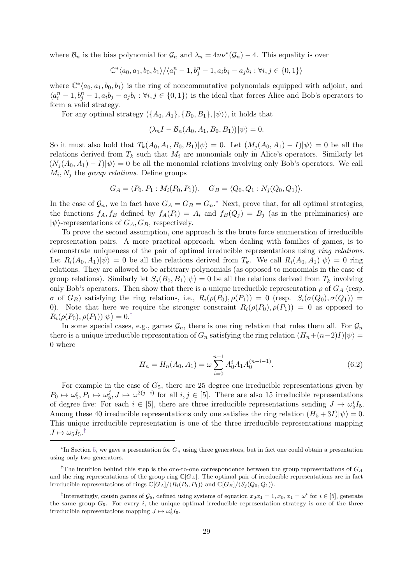where  $\mathcal{B}_n$  is the bias polynomial for  $\mathcal{G}_n$  and  $\lambda_n = 4n\nu^*(\mathcal{G}_n) - 4$ . This equality is over

$$
\mathbb{C}^*\langle a_0, a_1, b_0, b_1 \rangle / \langle a_i^n - 1, b_j^n - 1, a_i b_j - a_j b_i : \forall i, j \in \{0, 1\} \rangle
$$

where  $\mathbb{C}^*\langle a_0, a_1, b_0, b_1 \rangle$  is the ring of noncommutative polynomials equipped with adjoint, and  $\langle a_i^n - 1, b_j^n - 1, a_i b_j - a_j b_i : \forall i, j \in \{0, 1\} \rangle$  is the ideal that forces Alice and Bob's operators to form a valid strategy.

For any optimal strategy  $({A_0, A_1}, {B_0, B_1}, | \psi \rangle)$ , it holds that

$$
(\lambda_n I - \mathcal{B}_n(A_0, A_1, B_0, B_1)) |\psi\rangle = 0.
$$

So it must also hold that  $T_k(A_0, A_1, B_0, B_1)|\psi\rangle = 0$ . Let  $(M_i(A_0, A_1) - I)|\psi\rangle = 0$  be all the relations derived from  $T_k$  such that  $M_i$  are monomials only in Alice's operators. Similarly let  $(N_i(A_0, A_1) - I)|\psi\rangle = 0$  be all the monomial relations involving only Bob's operators. We call  $M_i, N_j$  the *group relations*. Define groups

$$
G_A = \langle P_0, P_1 : M_i(P_0, P_1) \rangle
$$
,  $G_B = \langle Q_0, Q_1 : N_j(Q_0, Q_1) \rangle$ .

In the case of  $\mathcal{G}_n$ , we in fact have  $G_A = G_B = G_n$ <sup>\*</sup> Next, prove that, for all optimal strategies, the functions  $f_A, f_B$  defined by  $f_A(P_i) = A_i$  and  $f_B(Q_j) = B_j$  (as in the preliminaries) are  $|\psi\rangle$ -representations of  $G_A, G_B$ , respectively.

To prove the second assumption, one approach is the brute force enumeration of irreducible representation pairs. A more practical approach, when dealing with families of games, is to demonstrate uniqueness of the pair of optimal irreducible representations using ring relations. Let  $R_i(A_0, A_1)|\psi\rangle = 0$  be all the relations derived from  $T_k$ . We call  $R_i(A_0, A_1)|\psi\rangle = 0$  ring relations. They are allowed to be arbitrary polynomials (as opposed to monomials in the case of group relations). Similarly let  $S_i(B_0, B_1)|\psi\rangle = 0$  be all the relations derived from  $T_k$  involving only Bob's operators. Then show that there is a unique irreducible representation  $\rho$  of  $G_A$  (resp.  $\sigma$  of  $G_B$ ) satisfying the ring relations, i.e.,  $R_i(\rho(P_0), \rho(P_1)) = 0$  (resp.  $S_i(\sigma(Q_0), \sigma(Q_1)) = 0$ 0). Note that here we require the stronger constraint  $R_i(\rho(P_0), \rho(P_1)) = 0$  as opposed to  $R_i(\rho(P_0), \rho(P_1))|\psi\rangle = 0.$ <sup>[†](#page-0-0)</sup>

In some special cases, e.g., games  $\mathcal{G}_n$ , there is one ring relation that rules them all. For  $\mathcal{G}_n$ there is a unique irreducible representation of  $G_n$  satisfying the ring relation  $(H_n+(n-2)I)|\psi\rangle =$ 0 where

<span id="page-28-0"></span>
$$
H_n = H_n(A_0, A_1) = \omega \sum_{i=0}^{n-1} A_0^i A_1 A_0^{(n-i-1)}.
$$
\n(6.2)

For example in the case of  $G_5$ , there are 25 degree one irreducible representations given by  $P_0 \mapsto \omega_5^i, P_1 \mapsto \omega_5^j, J \mapsto \omega^{2(j-i)}$  for all  $i, j \in [5]$ . There are also 15 irreducible representations of degree five: For each  $i \in [5]$ , there are three irreducible representations sending  $J \to \omega_5^i I_5$ . Among these 40 irreducible representations only one satisfies the ring relation  $(H_5 + 3I)|\psi\rangle = 0$ . This unique irreducible representation is one of the three irreducible representations mapping  $J \mapsto \omega_5 I_5$ .<sup>†</sup>

<sup>∗</sup> In Section [5,](#page-23-0) we gave a presentation for *G<sup>n</sup>* using three generators, but in fact one could obtain a presentation using only two generators.

<sup>&</sup>lt;sup>†</sup>The intuition behind this step is the one-to-one correspondence between the group representations of  $G_A$ and the ring representations of the group ring  $\mathbb{C}[G_A]$ . The optimal pair of irreducible representations are in fact irreducible representations of rings  $\mathbb{C}[G_A]/\langle R_i(P_0, P_1) \rangle$  and  $\mathbb{C}[G_B]/\langle S_i(Q_0, Q_1) \rangle$ .

<sup>&</sup>lt;sup>‡</sup>Interestingly, cousin games of  $\mathcal{G}_5$ , defined using systems of equation  $x_0x_1 = 1, x_0, x_1 = \omega^i$  for  $i \in [5]$ , generate the same group  $G_5$ . For every *i*, the unique optimal irreducible representation strategy is one of the three irreducible representations mapping  $J \mapsto \omega_5^i I_5$ .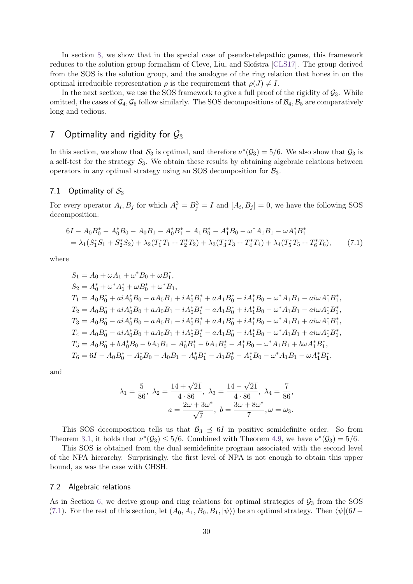In section [8,](#page-36-0) we show that in the special case of pseudo-telepathic games, this framework reduces to the solution group formalism of Cleve, Liu, and Slofstra [\[CLS17\]](#page-40-10). The group derived from the SOS is the solution group, and the analogue of the ring relation that hones in on the optimal irreducible representation  $\rho$  is the requirement that  $\rho(J) \neq I$ .

In the next section, we use the SOS framework to give a full proof of the rigidity of  $\mathcal{G}_3$ . While omitted, the cases of  $\mathcal{G}_4$ ,  $\mathcal{G}_5$  follow similarly. The SOS decompositions of  $\mathcal{B}_4$ ,  $\mathcal{B}_5$  are comparatively long and tedious.

# <span id="page-29-0"></span>7 Optimality and rigidity for  $\mathcal{G}_3$

In this section, we show that  $S_3$  is optimal, and therefore  $\nu^*(\mathcal{G}_3) = 5/6$ . We also show that  $\mathcal{G}_3$  is a self-test for the strategy  $S_3$ . We obtain these results by obtaining algebraic relations between operators in any optimal strategy using an SOS decomposition for  $B_3$ .

#### <span id="page-29-1"></span>7.1 Optimality of  $S_3$

For every operator  $A_i$ ,  $B_j$  for which  $A_i^3 = B_j^3 = I$  and  $[A_i, B_j] = 0$ , we have the following SOS decomposition:

$$
6I - A_0B_0^* - A_0^*B_0 - A_0B_1 - A_0^*B_1^* - A_1B_0^* - A_1^*B_0 - \omega^*A_1B_1 - \omega A_1^*B_1^*
$$
  
=  $\lambda_1(S_1^*S_1 + S_2^*S_2) + \lambda_2(T_1^*T_1 + T_2^*T_2) + \lambda_3(T_3^*T_3 + T_4^*T_4) + \lambda_4(T_5^*T_5 + T_6^*T_6),$  (7.1)

where

$$
S_1 = A_0 + \omega A_1 + \omega^* B_0 + \omega B_1^*,
$$
  
\n
$$
S_2 = A_0^* + \omega^* A_1^* + \omega B_0^* + \omega^* B_1,
$$
  
\n
$$
T_1 = A_0 B_0^* + ai A_0^* B_0 - a A_0 B_1 + i A_0^* B_1^* + a A_1 B_0^* - i A_1^* B_0 - \omega^* A_1 B_1 - ai \omega A_1^* B_1^*,
$$
  
\n
$$
T_2 = A_0 B_0^* + ai A_0^* B_0 + a A_0 B_1 - i A_0^* B_1^* - a A_1 B_0^* + i A_1^* B_0 - \omega^* A_1 B_1 - ai \omega A_1^* B_1^*,
$$
  
\n
$$
T_3 = A_0 B_0^* - ai A_0^* B_0 - a A_0 B_1 - i A_0^* B_1^* + a A_1 B_0^* + i A_1^* B_0 - \omega^* A_1 B_1 + ai \omega A_1^* B_1^*,
$$
  
\n
$$
T_4 = A_0 B_0^* - ai A_0^* B_0 + a A_0 B_1 + i A_0^* B_1^* - a A_1 B_0^* - i A_1^* B_0 - \omega^* A_1 B_1 + ai \omega A_1^* B_1^*,
$$
  
\n
$$
T_5 = A_0 B_0^* + b A_0^* B_0 - b A_0 B_1 - A_0^* B_1^* - b A_1 B_0^* - A_1^* B_0 + \omega^* A_1 B_1 + b \omega A_1^* B_1^*,
$$
  
\n
$$
T_6 = 6I - A_0 B_0^* - A_0^* B_0 - A_0 B_1 - A_0^* B_1^* - A_1 B_0^* - A_1^* B_0 - \omega^* A_1 B_1 - \omega A_1^* B_1^*,
$$

and

<span id="page-29-3"></span>
$$
\lambda_1 = \frac{5}{86}, \ \lambda_2 = \frac{14 + \sqrt{21}}{4 \cdot 86}, \ \lambda_3 = \frac{14 - \sqrt{21}}{4 \cdot 86}, \ \lambda_4 = \frac{7}{86},
$$
  
\n $a = \frac{2\omega + 3\omega^*}{\sqrt{7}}, \ b = \frac{3\omega + 8\omega^*}{7}, \ \omega = \omega_3.$ 

This SOS decomposition tells us that  $\mathcal{B}_3 \preceq 6I$  in positive semidefinite order. So from Theorem [3.1,](#page-16-1) it holds that  $\nu^*(\mathcal{G}_3) \leq 5/6$ . Combined with Theorem [4.9,](#page-22-0) we have  $\nu^*(\mathcal{G}_3) = 5/6$ .

This SOS is obtained from the dual semidefinite program associated with the second level of the NPA hierarchy. Surprisingly, the first level of NPA is not enough to obtain this upper bound, as was the case with CHSH.

### <span id="page-29-2"></span>7.2 Algebraic relations

As in Section [6,](#page-26-0) we derive group and ring relations for optimal strategies of  $\mathcal{G}_3$  from the SOS [\(7.1\)](#page-29-3). For the rest of this section, let  $(A_0, A_1, B_0, B_1, |\psi\rangle)$  be an optimal strategy. Then  $\langle \psi | (6I -$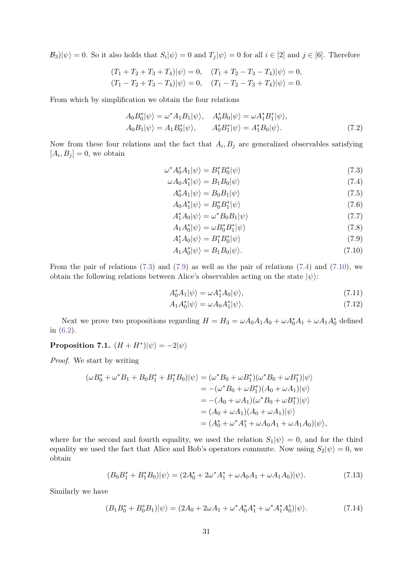$\mathcal{B}_3|\psi\rangle = 0$ . So it also holds that  $S_i|\psi\rangle = 0$  and  $T_j|\psi\rangle = 0$  for all  $i \in [2]$  and  $j \in [6]$ . Therefore

$$
(T_1 + T_2 + T_3 + T_4)|\psi\rangle = 0, \quad (T_1 + T_2 - T_3 - T_4)|\psi\rangle = 0,
$$
  

$$
(T_1 - T_2 + T_3 - T_4)|\psi\rangle = 0, \quad (T_1 - T_2 - T_3 + T_4)|\psi\rangle = 0.
$$

From which by simplification we obtain the four relations

$$
A_0 B_0^* |\psi\rangle = \omega^* A_1 B_1 |\psi\rangle, \quad A_0^* B_0 |\psi\rangle = \omega A_1^* B_1^* |\psi\rangle, A_0 B_1 |\psi\rangle = A_1 B_0^* |\psi\rangle, \quad A_0^* B_1^* |\psi\rangle = A_1^* B_0 |\psi\rangle.
$$
 (7.2)

Now from these four relations and the fact that  $A_i, B_j$  are generalized observables satisfying  $[A_i, B_j] = 0$ , we obtain

$$
\omega^* A_0^* A_1 |\psi\rangle = B_1^* B_0^* |\psi\rangle \tag{7.3}
$$

$$
\omega A_0 A_1^* |\psi\rangle = B_1 B_0 |\psi\rangle \tag{7.4}
$$

<span id="page-30-10"></span><span id="page-30-7"></span><span id="page-30-4"></span><span id="page-30-2"></span><span id="page-30-0"></span>
$$
A_0^* A_1 |\psi\rangle = B_0 B_1 |\psi\rangle \tag{7.5}
$$

$$
A_0 A_1^* |\psi\rangle = B_0^* B_1^* |\psi\rangle
$$
  
\n
$$
A_1^* A_0 |\psi\rangle = \omega^* B_0 B_1 |\psi\rangle
$$
\n(7.6)

<span id="page-30-11"></span>
$$
A_1 A_0^* |\psi\rangle = \omega B_0^* B_1^* |\psi\rangle \tag{7.8}
$$

<span id="page-30-1"></span>
$$
A_1^* A_0 |\psi\rangle = B_1^* B_0^* |\psi\rangle \tag{7.9}
$$

<span id="page-30-3"></span>
$$
A_1 A_0^* |\psi\rangle = B_1 B_0 |\psi\rangle. \tag{7.10}
$$

From the pair of relations [\(7.3\)](#page-30-0) and [\(7.9\)](#page-30-1) as well as the pair of relations [\(7.4\)](#page-30-2) and [\(7.10\)](#page-30-3), we obtain the following relations between Alice's observables acting on the state  $|\psi\rangle$ :

<span id="page-30-9"></span><span id="page-30-8"></span>
$$
A_0^* A_1 |\psi\rangle = \omega A_1^* A_0 |\psi\rangle, \qquad (7.11)
$$

$$
A_1 A_0^* |\psi\rangle = \omega A_0 A_1^* |\psi\rangle. \tag{7.12}
$$

Next we prove two propositions regarding  $H = H_3 = \omega A_0 A_1 A_0 + \omega A_0^* A_1 + \omega A_1 A_0^*$  defined in [\(6.2\)](#page-28-0).

<span id="page-30-12"></span>**Proposition 7.1.**  $(H + H^*)|\psi\rangle = -2|\psi\rangle$ 

*Proof.* We start by writing

$$
\begin{aligned} (\omega B_0^* + \omega^* B_1 + B_0 B_1^* + B_1^* B_0) |\psi\rangle &= (\omega^* B_0 + \omega B_1^*) (\omega^* B_0 + \omega B_1^*) |\psi\rangle \\ &= -(\omega^* B_0 + \omega B_1^*) (A_0 + \omega A_1) |\psi\rangle \\ &= -(A_0 + \omega A_1) (\omega^* B_0 + \omega B_1^*) |\psi\rangle \\ &= (A_0 + \omega A_1) (A_0 + \omega A_1) |\psi\rangle \\ &= (A_0^* + \omega^* A_1^* + \omega A_0 A_1 + \omega A_1 A_0) |\psi\rangle, \end{aligned}
$$

where for the second and fourth equality, we used the relation  $S_1|\psi\rangle = 0$ , and for the third equality we used the fact that Alice and Bob's operators commute. Now using  $S_2|\psi\rangle = 0$ , we obtain

<span id="page-30-6"></span><span id="page-30-5"></span>
$$
(B_0 B_1^* + B_1^* B_0)|\psi\rangle = (2A_0^* + 2\omega^* A_1^* + \omega A_0 A_1 + \omega A_1 A_0)|\psi\rangle.
$$
 (7.13)

Similarly we have

$$
(B_1B_0^* + B_0^*B_1)|\psi\rangle = (2A_0 + 2\omega A_1 + \omega^* A_0^* A_1^* + \omega^* A_1^* A_0^*)|\psi\rangle.
$$
 (7.14)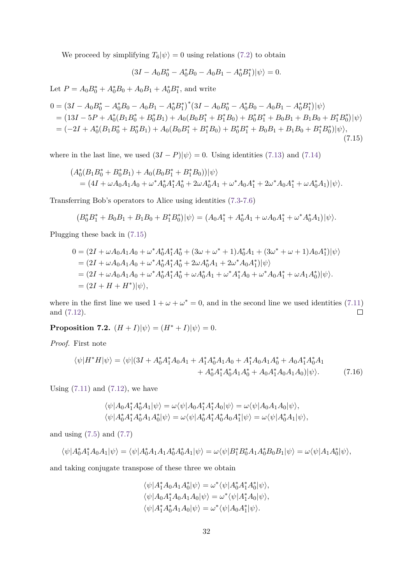We proceed by simplifying  $T_6|\psi\rangle = 0$  using relations [\(7.2\)](#page-30-4) to obtain

<span id="page-31-0"></span>
$$
(3I - A_0B_0^* - A_0^*B_0 - A_0B_1 - A_0^*B_1^*)|\psi\rangle = 0.
$$

Let  $P = A_0 B_0^* + A_0^* B_0 + A_0 B_1 + A_0^* B_1^*$ , and write

$$
0 = (3I - A_0B_0^* - A_0^*B_0 - A_0B_1 - A_0^*B_1^*)^* (3I - A_0B_0^* - A_0^*B_0 - A_0B_1 - A_0^*B_1^*) |\psi\rangle
$$
  
= (13I - 5P + A\_0^\*(B\_1B\_0^\* + B\_0^\*B\_1) + A\_0(B\_0B\_1^\* + B\_1^\*B\_0) + B\_0^\*B\_1^\* + B\_0B\_1 + B\_1B\_0 + B\_1^\*B\_0^\*) |\psi\rangle  
= (-2I + A\_0^\*(B\_1B\_0^\* + B\_0^\*B\_1) + A\_0(B\_0B\_1^\* + B\_1^\*B\_0) + B\_0^\*B\_1^\* + B\_0B\_1 + B\_1B\_0 + B\_1^\*B\_0^\*) |\psi\rangle, (7.15)

where in the last line, we used  $(3I - P)|\psi\rangle = 0$ . Using identities [\(7.13\)](#page-30-5) and [\(7.14\)](#page-30-6)

$$
(A_0^*(B_1B_0^* + B_0^*B_1) + A_0(B_0B_1^* + B_1^*B_0))|\psi\rangle
$$
  
= 
$$
(4I + \omega A_0A_1A_0 + \omega^* A_0^* A_1^* A_0^* + 2\omega A_0^* A_1 + \omega^* A_0A_1^* + 2\omega^* A_0A_1^* + \omega A_0^* A_1)|\psi\rangle.
$$

Transferring Bob's operators to Alice using identities [\(7.3-](#page-30-0)[7.6\)](#page-30-7)

$$
(B_0^* B_1^* + B_0 B_1 + B_1 B_0 + B_1^* B_0^*)|\psi\rangle = (A_0 A_1^* + A_0^* A_1 + \omega A_0 A_1^* + \omega^* A_0^* A_1)|\psi\rangle.
$$

Plugging these back in [\(7.15\)](#page-31-0)

$$
0 = (2I + \omega A_0 A_1 A_0 + \omega^* A_0^* A_1^* A_0^* + (3\omega + \omega^* + 1) A_0^* A_1 + (3\omega^* + \omega + 1) A_0 A_1^*) |\psi\rangle
$$
  
= (2I + \omega A\_0 A\_1 A\_0 + \omega^\* A\_0^\* A\_1^\* A\_0^\* + 2\omega A\_0^\* A\_1 + 2\omega^\* A\_0 A\_1^\*) |\psi\rangle  
= (2I + \omega A\_0 A\_1 A\_0 + \omega^\* A\_0^\* A\_1^\* A\_0^\* + \omega A\_0^\* A\_1 + \omega^\* A\_1^\* A\_0 + \omega^\* A\_0 A\_1^\* + \omega A\_1 A\_0^\*) |\psi\rangle.  
= (2I + H + H^\*) |\psi\rangle,

where in the first line we used  $1 + \omega + \omega^* = 0$ , and in the second line we used identities [\(7.11\)](#page-30-8) and [\(7.12\)](#page-30-9).  $\Box$ 

<span id="page-31-2"></span>**Proposition 7.2.**  $(H+I)|\psi\rangle = (H^*+I)|\psi\rangle = 0.$ 

*Proof.* First note

$$
\langle \psi | H^* H | \psi \rangle = \langle \psi | (3I + A_0^* A_1^* A_0 A_1 + A_1^* A_0^* A_1 A_0 + A_1^* A_0 A_1 A_0^* + A_0 A_1^* A_0^* A_1 + A_0^* A_1^* A_0^* A_1 A_0^* + A_0 A_1^* A_0 A_1 A_0 | \psi \rangle.
$$
 (7.16)

Using  $(7.11)$  and  $(7.12)$ , we have

$$
\langle \psi | A_0 A_1^* A_0^* A_1 | \psi \rangle = \omega \langle \psi | A_0 A_1^* A_1^* A_0 | \psi \rangle = \omega \langle \psi | A_0 A_1 A_0 | \psi \rangle,
$$
  

$$
\langle \psi | A_0^* A_1^* A_0^* A_1 A_0^* | \psi \rangle = \omega \langle \psi | A_0^* A_1^* A_0^* A_0 A_1^* | \psi \rangle = \omega \langle \psi | A_0^* A_1 | \psi \rangle,
$$

and using [\(7.5\)](#page-30-10) and [\(7.7\)](#page-30-11)

$$
\langle\psi|A_0^*A_1^*A_0A_1|\psi\rangle=\langle\psi|A_0^*A_1A_1A_0^*A_0^*A_1|\psi\rangle=\omega\langle\psi|B_1^*B_0^*A_1A_0^*B_0B_1|\psi\rangle=\omega\langle\psi|A_1A_0^*|\psi\rangle,
$$

and taking conjugate transpose of these three we obtain

<span id="page-31-1"></span> $\langle \psi | A_1^* A_0 A_1 A_0^* | \psi \rangle = \omega^* \langle \psi | A_0^* A_1^* A_0^* | \psi \rangle,$  $\langle \psi | A_0 A_1^* A_0 A_1 A_0 | \psi \rangle = \omega^* \langle \psi | A_1^* A_0 | \psi \rangle$ ,  $\langle \psi | A_1^* A_0^* A_1 A_0 | \psi \rangle = \omega^* \langle \psi | A_0 A_1^* | \psi \rangle.$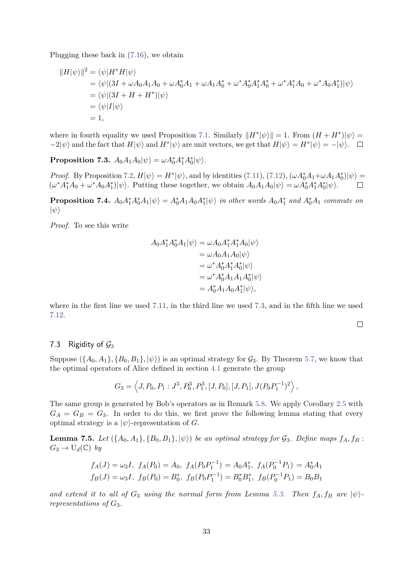Plugging these back in [\(7.16\)](#page-31-1), we obtain

$$
||H|\psi\rangle||^2 = \langle \psi|H^*H|\psi\rangle
$$
  
=  $\langle \psi|(3I + \omega A_0 A_1 A_0 + \omega A_0^* A_1 + \omega A_1 A_0^* + \omega^* A_0^* A_1^* A_0^* + \omega^* A_1^* A_0 + \omega^* A_0 A_1^*)|\psi\rangle$   
=  $\langle \psi|(3I + H + H^*)|\psi\rangle$   
=  $\langle \psi|I|\psi\rangle$   
= 1,

where in fourth equality we used Proposition [7.1.](#page-30-12) Similarly  $||H^*|\psi\rangle|| = 1$ . From  $(H + H^*)|\psi\rangle =$  $-2|\psi\rangle$  and the fact that  $H|\psi\rangle$  and  $H^*|\psi\rangle$  are unit vectors, we get that  $H|\psi\rangle = H^*|\psi\rangle = -|\psi\rangle$ .

<span id="page-32-1"></span> ${\bf Proposition 7.3.}$   $A_0A_1A_0|\psi\rangle = \omega A_0^*A_1^*A_0^*|\psi\rangle.$ 

*Proof.* By Proposition [7.2,](#page-31-2)  $H|\psi\rangle = H^*|\psi\rangle$ , and by identities [\(7.11\)](#page-30-8), [\(7.12\)](#page-30-9),  $(\omega A_0^* A_1 + \omega A_1 A_0^*)|\psi\rangle =$  $(\omega^* A_1^* A_0 + \omega^* A_0 A_1^*) |\psi\rangle$ . Putting these together, we obtain  $A_0 A_1 A_0 |\psi\rangle = \omega A_0^* A_1^* A_0^* |\psi\rangle$ .  $\Box$ 

**Proposition 7.4.**  $A_0A_1^*A_0^*A_1|\psi\rangle = A_0^*A_1A_0A_1^*|\psi\rangle$  *in other words*  $A_0A_1^*$  *and*  $A_0^*A_1$  *commute on*  $|\psi\rangle$ 

*Proof.* To see this write

$$
A_0 A_1^* A_0^* A_1 |\psi\rangle = \omega A_0 A_1^* A_1^* A_0 |\psi\rangle
$$
  
=  $\omega A_0 A_1 A_0 |\psi\rangle$   
=  $\omega^* A_0^* A_1^* A_0^* |\psi\rangle$   
=  $\omega^* A_0^* A_1 A_1 A_0^* |\psi\rangle$   
=  $A_0^* A_1 A_0 A_1^* |\psi\rangle$ ,

where in the first line we used [7.11,](#page-30-8) in the third line we used [7.3,](#page-32-1) and in the fifth line we used [7.12.](#page-30-9)

 $\Box$ 

### <span id="page-32-0"></span>7.3 Rigidity of  $\mathcal{G}_3$

Suppose  $({A_0, A_1}, {B_0, B_1}, \ket{\psi})$  is an optimal strategy for  $\mathcal{G}_3$ . By Theorem [5.7,](#page-25-0) we know that the optimal operators of Alice defined in section [4.1](#page-17-0) generate the group

$$
G_3 = \left\langle J, P_0, P_1: J^3, P_0^3, P_1^3, [J, P_0], [J, P_1], J(P_0 P_1^{-1})^2 \right\rangle,
$$

The same group is generated by Bob's operators as in Remark [5.8.](#page-25-1) We apply Corollary [2.5](#page-15-1) with  $G_A = G_B = G_3$ . In order to do this, we first prove the following lemma stating that every optimal strategy is a  $|\psi\rangle$ -representation of *G*.

**Lemma 7.5.** *Let*  $(\{A_0, A_1\}, \{B_0, B_1\}, |\psi\rangle)$  *be an optimal strategy for*  $\mathcal{G}_3$ *. Define maps*  $f_A, f_B$ :  $G_3 \to U_d(\mathbb{C})$  *by* 

$$
f_A(J) = \omega_3 I
$$
,  $f_A(P_0) = A_0$ ,  $f_A(P_0 P_1^{-1}) = A_0 A_1^*$ ,  $f_A(P_0^{-1} P_1) = A_0^* A_1$   
\n $f_B(J) = \omega_3 I$ ,  $f_B(P_0) = B_0^*$ ,  $f_B(P_0 P_1^{-1}) = B_0^* B_1^*$ ,  $f_B(P_0^{-1} P_1) = B_0 B_1$ 

and extend it to all of  $G_3$  using the normal form from Lemma [5.3.](#page-24-1) Then  $f_A, f_B$  are  $|\psi\rangle$ *representations of G*3*.*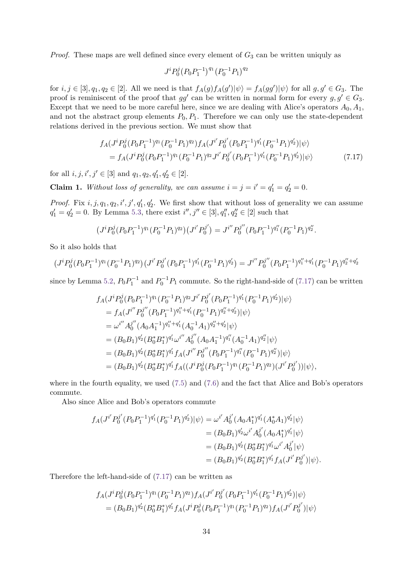*Proof.* These maps are well defined since every element of  $G_3$  can be written uniquly as

<span id="page-33-0"></span>
$$
J^{i}P_{0}^{j}(P_{0}P_{1}^{-1})^{q_{1}}(P_{0}^{-1}P_{1})^{q_{2}}
$$

for  $i, j \in [3], q_1, q_2 \in [2]$ . All we need is that  $f_A(g)f_A(g')|\psi\rangle = f_A(gg')|\psi\rangle$  for all  $g, g' \in G_3$ . The proof is reminiscent of the proof that  $gg'$  can be written in normal form for every  $g, g' \in G_3$ . Except that we need to be more careful here, since we are dealing with Alice's operators  $A_0, A_1$ , and not the abstract group elements  $P_0, P_1$ . Therefore we can only use the state-dependent relations derived in the previous section. We must show that

$$
f_A(J^i P_0^j (P_0 P_1^{-1})^{q_1} (P_0^{-1} P_1)^{q_2}) f_A(J^{i'} P_0^{j'} (P_0 P_1^{-1})^{q'_1} (P_0^{-1} P_1)^{q'_2}) |\psi\rangle
$$
  
=  $f_A(J^i P_0^j (P_0 P_1^{-1})^{q_1} (P_0^{-1} P_1)^{q_2} J^{i'} P_0^{j'} (P_0 P_1^{-1})^{q'_1} (P_0^{-1} P_1)^{q'_2}) |\psi\rangle$  (7.17)

for all  $i, j, i', j' \in [3]$  and  $q_1, q_2, q'_1, q'_2 \in [2]$ .

**Claim 1.** *Without loss of generality, we can assume*  $i = j = i' = q'_1 = q'_2 = 0$ .

*Proof.* Fix  $i, j, q_1, q_2, i', j', q'_1, q'_2$ . We first show that without loss of generality we can assume  $q'_1 = q'_2 = 0$ . By Lemma [5.3,](#page-24-1) there exist  $i'', j'' \in [3], q''_1, q''_2 \in [2]$  such that

$$
(J^{i}P_{0}^{j}(P_{0}P_{1}^{-1})^{q_{1}}(P_{0}^{-1}P_{1})^{q_{2}})(J^{i'}P_{0}^{j'}) = J^{i''}P_{0}^{j''}(P_{0}P_{1}^{-1})^{q''_{1}}(P_{0}^{-1}P_{1})^{q''_{2}}.
$$

So it also holds that

$$
(J^{i}P_{0}^{j}(P_{0}P_{1}^{-1})^{q_{1}}(P_{0}^{-1}P_{1})^{q_{2}})(J^{i'}P_{0}^{j'}(P_{0}P_{1}^{-1})^{q'_{1}}(P_{0}^{-1}P_{1})^{q'_{2}}) = J^{i''}P_{0}^{j''}(P_{0}P_{1}^{-1})^{q_{1}''+q'_{1}}(P_{0}^{-1}P_{1})^{q_{2}''+q'_{2}}
$$

since by Lemma [5.2,](#page-24-0)  $P_0P_1^{-1}$  and  $P_0^{-1}P_1$  commute. So the right-hand-side of [\(7.17\)](#page-33-0) can be written

$$
f_A(J^i P_0^j (P_0 P_1^{-1})^{q_1} (P_0^{-1} P_1)^{q_2} J^{i'} P_0^{j'} (P_0 P_1^{-1})^{q'_1} (P_0^{-1} P_1)^{q'_2}) |\psi\rangle
$$
  
\n
$$
= f_A(J^{i''} P_0^{j''} (P_0 P_1^{-1})^{q'_1 + q'_1} (P_0^{-1} P_1)^{q'_2 + q'_2}) |\psi\rangle
$$
  
\n
$$
= \omega^{i''} A_0^{j''} (A_0 A_1^{-1})^{q''_1 + q'_1} (A_0^{-1} A_1)^{q'_2 + q'_2} |\psi\rangle
$$
  
\n
$$
= (B_0 B_1)^{q'_2} (B_0^* B_1^*)^{q'_1} \omega^{i''} A_0^{j''} (A_0 A_1^{-1})^{q''_1} (A_0^{-1} A_1)^{q'_2} |\psi\rangle
$$
  
\n
$$
= (B_0 B_1)^{q'_2} (B_0^* B_1^*)^{q'_1} f_A (J^{i''} P_0^{j''} (P_0 P_1^{-1})^{q''_1} (P_0^{-1} P_1)^{q'_2}) |\psi\rangle
$$
  
\n
$$
= (B_0 B_1)^{q'_2} (B_0^* B_1^*)^{q'_1} f_A ((J^i P_0^j (P_0 P_1^{-1})^{q_1} (P_0^{-1} P_1)^{q_2}) (J^{i'} P_0^{j'})) |\psi\rangle,
$$

where in the fourth equality, we used  $(7.5)$  and  $(7.6)$  and the fact that Alice and Bob's operators commute.

Also since Alice and Bob's operators commute

$$
f_A(J^{i'}P_0^{j'}(P_0P_1^{-1})^{q'_1}(P_0^{-1}P_1)^{q'_2})|\psi\rangle = \omega^{i'}A_0^{j'}(A_0A_1^*)^{q'_1}(A_0^*A_1)^{q'_2}|\psi\rangle
$$
  
\n
$$
= (B_0B_1)^{q'_2}\omega^{i'}A_0^{j'}(A_0A_1^*)^{q'_1}|\psi\rangle
$$
  
\n
$$
= (B_0B_1)^{q'_2}(B_0^*B_1^*)^{q'_1}\omega^{i'}A_0^{j'}|\psi\rangle
$$
  
\n
$$
= (B_0B_1)^{q'_2}(B_0^*B_1^*)^{q'_1}f_A(J^{i'}P_0^{j'})|\psi\rangle.
$$

Therefore the left-hand-side of [\(7.17\)](#page-33-0) can be written as

$$
f_A(J^i P_0^j (P_0 P_1^{-1})^{q_1} (P_0^{-1} P_1)^{q_2}) f_A(J^{i'} P_0^{j'} (P_0 P_1^{-1})^{q'_1} (P_0^{-1} P_1)^{q'_2}) |\psi\rangle
$$
  
=  $(B_0 B_1)^{q'_2} (B_0^* B_1^*)^{q'_1} f_A(J^i P_0^j (P_0 P_1^{-1})^{q_1} (P_0^{-1} P_1)^{q_2}) f_A(J^{i'} P_0^{j'}) |\psi\rangle$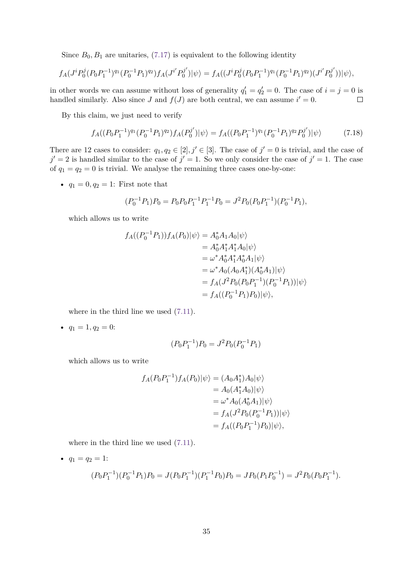Since  $B_0, B_1$  are unitaries, [\(7.17\)](#page-33-0) is equivalent to the following identity

$$
f_A(J^i P_0^j (P_0 P_1^{-1})^{q_1} (P_0^{-1} P_1)^{q_2}) f_A(J^{i'} P_0^{j'}) |\psi\rangle = f_A((J^i P_0^j (P_0 P_1^{-1})^{q_1} (P_0^{-1} P_1)^{q_2}) (J^{i'} P_0^{j'})) |\psi\rangle,
$$

in other words we can assume without loss of generality  $q'_1 = q'_2 = 0$ . The case of  $i = j = 0$  is handled similarly. Also since *J* and  $f(J)$  are both central, we can assume  $i' = 0$ .  $\Box$ 

By this claim, we just need to verify

$$
f_A((P_0P_1^{-1})^{q_1}(P_0^{-1}P_1)^{q_2})f_A(P_0^{j'})|\psi\rangle = f_A((P_0P_1^{-1})^{q_1}(P_0^{-1}P_1)^{q_2}P_0^{j'})|\psi\rangle \tag{7.18}
$$

There are 12 cases to consider:  $q_1, q_2 \in [2], j' \in [3]$ . The case of  $j' = 0$  is trivial, and the case of  $j' = 2$  is handled similar to the case of  $j' = 1$ . So we only consider the case of  $j' = 1$ . The case of  $q_1 = q_2 = 0$  is trivial. We analyse the remaining three cases one-by-one:

•  $q_1 = 0, q_2 = 1$ : First note that

$$
(P_0^{-1}P_1)P_0 = P_0P_0P_1^{-1}P_1^{-1}P_0 = J^2P_0(P_0P_1^{-1})(P_0^{-1}P_1),
$$

which allows us to write

$$
f_A((P_0^{-1}P_1))f_A(P_0)|\psi\rangle = A_0^* A_1 A_0|\psi\rangle
$$
  
\n
$$
= A_0^* A_1^* A_1^* A_0|\psi\rangle
$$
  
\n
$$
= \omega^* A_0^* A_1^* A_0^* A_1|\psi\rangle
$$
  
\n
$$
= \omega^* A_0 (A_0 A_1^*)(A_0^* A_1)|\psi\rangle
$$
  
\n
$$
= f_A(J^2 P_0(P_0 P_1^{-1})(P_0^{-1} P_1))|\psi\rangle
$$
  
\n
$$
= f_A((P_0^{-1}P_1)P_0)|\psi\rangle,
$$

where in the third line we used [\(7.11\)](#page-30-8).

•  $q_1 = 1, q_2 = 0$ :

$$
(P_0 P_1^{-1}) P_0 = J^2 P_0 (P_0^{-1} P_1)
$$

which allows us to write

$$
f_A(P_0P_1^{-1})f_A(P_0)|\psi\rangle = (A_0A_1^*)A_0|\psi\rangle
$$
  
=  $A_0(A_1^*A_0)|\psi\rangle$   
=  $\omega^*A_0(A_0^*A_1)|\psi\rangle$   
=  $f_A(J^2P_0(P_0^{-1}P_1))|\psi\rangle$   
=  $f_A((P_0P_1^{-1})P_0)|\psi\rangle$ ,

where in the third line we used [\(7.11\)](#page-30-8).

• 
$$
q_1 = q_2 = 1
$$
:  
\n
$$
(P_0 P_1^{-1})(P_0^{-1} P_1)P_0 = J(P_0 P_1^{-1})(P_1^{-1} P_0)P_0 = JP_0(P_1 P_0^{-1}) = J^2 P_0(P_0 P_1^{-1}).
$$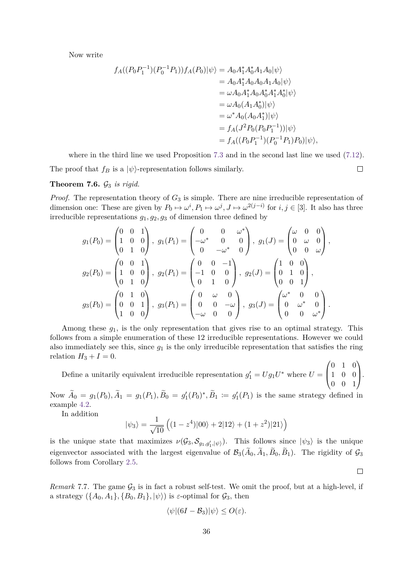Now write

$$
f_A((P_0P_1^{-1})(P_0^{-1}P_1))f_A(P_0)|\psi\rangle = A_0A_1^*A_0^*A_1A_0|\psi\rangle
$$
  
\n
$$
= A_0A_1^*A_0A_0A_1A_0|\psi\rangle
$$
  
\n
$$
= \omega A_0A_1^*A_0A_0^*A_1^*A_0^*|\psi\rangle
$$
  
\n
$$
= \omega A_0(A_1A_0^*)|\psi\rangle
$$
  
\n
$$
= \omega^*A_0(A_0A_1^*)|\psi\rangle
$$
  
\n
$$
= f_A(J^2P_0(P_0P_1^{-1}))|\psi\rangle
$$
  
\n
$$
= f_A((P_0P_1^{-1})(P_0^{-1}P_1)P_0)|\psi\rangle,
$$

where in the third line we used Proposition [7.3](#page-32-1) and in the second last line we used [\(7.12\)](#page-30-9).

 $\Box$ 

 $\Box$ 

The proof that  $f_B$  is a  $|\psi\rangle$ -representation follows similarly.

#### **Theorem 7.6.**  $\mathcal{G}_3$  *is rigid.*

*Proof.* The representation theory of *G*<sup>3</sup> is simple. There are nine irreducible representation of dimension one: These are given by  $P_0 \mapsto \omega^i, P_1 \mapsto \omega^j, J \mapsto \omega^{2(j-i)}$  for  $i, j \in [3]$ . It also has three irreducible representations *g*1*, g*2*, g*3 of dimension three defined by

$$
g_1(P_0) = \begin{pmatrix} 0 & 0 & 1 \\ 1 & 0 & 0 \\ 0 & 1 & 0 \end{pmatrix}, g_1(P_1) = \begin{pmatrix} 0 & 0 & \omega^* \\ -\omega^* & 0 & 0 \\ 0 & -\omega^* & 0 \end{pmatrix}, g_1(J) = \begin{pmatrix} \omega & 0 & 0 \\ 0 & \omega & 0 \\ 0 & 0 & \omega \end{pmatrix},
$$

$$
g_2(P_0) = \begin{pmatrix} 0 & 0 & 1 \\ 1 & 0 & 0 \\ 0 & 1 & 0 \end{pmatrix}, g_2(P_1) = \begin{pmatrix} 0 & 0 & -1 \\ -1 & 0 & 0 \\ 0 & 1 & 0 \end{pmatrix}, g_2(J) = \begin{pmatrix} 1 & 0 & 0 \\ 0 & 1 & 0 \\ 0 & 0 & 1 \end{pmatrix},
$$

$$
g_3(P_0) = \begin{pmatrix} 0 & 1 & 0 \\ 0 & 0 & 1 \\ 1 & 0 & 0 \end{pmatrix}, g_3(P_1) = \begin{pmatrix} 0 & \omega & 0 \\ 0 & 0 & -\omega \\ -\omega & 0 & 0 \end{pmatrix}, g_3(J) = \begin{pmatrix} \omega^* & 0 & 0 \\ 0 & \omega^* & 0 \\ 0 & 0 & \omega^* \end{pmatrix}.
$$

Among these *g*1, is the only representation that gives rise to an optimal strategy. This follows from a simple enumeration of these 12 irreducible representations. However we could also immediately see this, since  $g_1$  is the only irreducible representation that satisfies the ring relation  $H_3 + I = 0$ .

Define a unitarily equivalent irreducible representation  $g'_1 = Ug_1U^*$  where  $U =$  $\sqrt{ }$  $\overline{\mathcal{L}}$ 0 1 0 1 0 0 0 0 1 V,  $\cdot$ 

Now  $\tilde{A}_0 = g_1(P_0), \tilde{A}_1 = g_1(P_1), \tilde{B}_0 = g'_1(P_0)^*, \tilde{B}_1 = g'_1(P_1)$  is the same strategy defined in example [4.2.](#page-17-2)

In addition

$$
|\psi_3\rangle = \frac{1}{\sqrt{10}} \left( (1 - z^4)|00\rangle + 2|12\rangle + (1 + z^2)|21\rangle \right)
$$

is the unique state that maximizes  $\nu(\mathcal{G}_3, \mathcal{S}_{g_1,g'_1,|\psi\rangle})$ . This follows since  $|\psi_3\rangle$  is the unique eigenvector associated with the largest eigenvalue of  $\mathcal{B}_3(A_0, A_1, B_0, B_1)$ . The rigidity of  $\mathcal{G}_3$ follows from Corollary [2.5.](#page-15-1)

*Remark* 7.7. The game  $\mathcal{G}_3$  is in fact a robust self-test. We omit the proof, but at a high-level, if a strategy  $({A_0, A_1}, {B_0, B_1}, \vert\psi\rangle)$  is *ε*-optimal for  $G_3$ , then

$$
\langle \psi | (6I - B_3) | \psi \rangle \le O(\varepsilon).
$$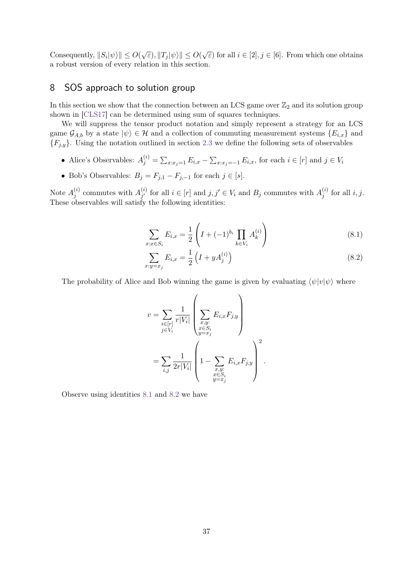Consequently,  $||S_i|\psi\rangle|| \leq O(\sqrt{\varepsilon})$ ,  $||T_j|\psi\rangle|| \leq O(\sqrt{\varepsilon})$  for all  $i \in [2], j \in [6]$ . From which one obtains a robust version of every relation in this section.

# <span id="page-36-0"></span>8 SOS approach to solution group

In this section we show that the connection between an LCS game over  $\mathbb{Z}_2$  and its solution group shown in [\[CLS17\]](#page-40-10) can be determined using sum of squares techniques.

We will suppress the tensor product notation and simply represent a strategy for an LCS game  $\mathcal{G}_{A,b}$  by a state  $|\psi\rangle \in \mathcal{H}$  and a collection of commuting measurement systems  $\{E_{i,x}\}\$ and  ${F_{j,y}}$ . Using the notation outlined in section [2.3](#page-11-0) we define the following sets of observables

- Alice's Observables:  $A_j^{(i)} = \sum_{x:x_j=1} E_{i,x} \sum_{x:x_j=-1} E_{i,x}$ , for each  $i \in [r]$  and  $j \in V_i$
- Bob's Observables: *B<sup>j</sup>* = *Fj,*<sup>1</sup> − *Fj,*−<sup>1</sup> for each *j* ∈ [*s*].

Note  $A_i^{(i)}$  $j^{(i)}$  commutes with  $A_{j'}^{(i)}$  $j'$  for all  $i \in [r]$  and  $j, j' \in V_i$  and  $B_j$  commutes with  $A_j^{(i)}$  $j^{(i)}$  for all  $i, j$ . These observables will satisfy the following identities:

<span id="page-36-1"></span>
$$
\sum_{x:x\in S_i} E_{i,x} = \frac{1}{2} \left( I + (-1)^{b_i} \prod_{k\in V_i} A_k^{(i)} \right) \tag{8.1}
$$

<span id="page-36-2"></span>
$$
\sum_{x:y=x_j} E_{i,x} = \frac{1}{2} \left( I + yA_j^{(i)} \right) \tag{8.2}
$$

The probability of Alice and Bob winning the game is given by evaluating  $\langle \psi | v | \psi \rangle$  where

$$
v = \sum_{\substack{i \in [r] \\ j \in V_i}} \frac{1}{r|V_i|} \left( \sum_{\substack{x, y: \\ x \in S_i \\ y = x_j}} E_{i,x} F_{j,y} \right)
$$
  
= 
$$
\sum_{i,j} \frac{1}{2r|V_i|} \left( 1 - \sum_{\substack{x, y: \\ x \in S_i \\ y = x_j}} E_{i,x} F_{j,y} \right)^2.
$$

Observe using identities [8.1](#page-36-1) and [8.2](#page-36-2) we have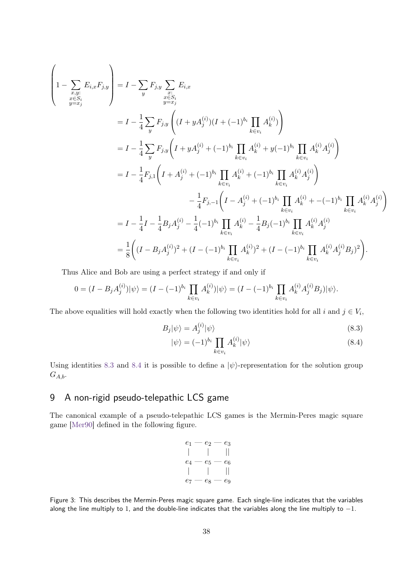$$
\begin{split}\n\left(1 - \sum_{\substack{x,y \ x \in S_i}} E_{i,x} F_{j,y} \right) &= I - \sum_{y} F_{j,y} \sum_{\substack{x \in S_i \\ y=x_j}} E_{i,x} \\
&= I - \frac{1}{4} \sum_{y} F_{j,y} \left( (I + yA_j^{(i)})(I + (-1)^{b_i} \prod_{k \in v_i} A_k^{(i)}) \right) \\
&= I - \frac{1}{4} \sum_{y} F_{j,y} \left( I + yA_j^{(i)} + (-1)^{b_i} \prod_{k \in v_i} A_k^{(i)} + y(-1)^{b_i} \prod_{k \in v_i} A_k^{(i)} A_j^{(i)} \right) \\
&= I - \frac{1}{4} F_{j,1} \left( I + A_j^{(i)} + (-1)^{b_i} \prod_{k \in v_i} A_k^{(i)} + (-1)^{b_i} \prod_{k \in v_i} A_k^{(i)} A_j^{(i)} \right) \\
&\quad - \frac{1}{4} F_{j,-1} \left( I - A_j^{(i)} + (-1)^{b_i} \prod_{k \in v_i} A_k^{(i)} + (-1)^{b_i} \prod_{k \in v_i} A_k^{(i)} A_j^{(i)} \right) \\
&= I - \frac{1}{4} I - \frac{1}{4} B_j A_j^{(i)} - \frac{1}{4} (-1)^{b_i} \prod_{k \in v_i} A_k^{(i)} - \frac{1}{4} B_j (-1)^{b_i} \prod_{k \in v_i} A_k^{(i)} A_j^{(i)} \\
&= \frac{1}{8} \left( (I - B_j A_j^{(i)})^2 + (I - (-1)^{b_i} \prod_{k \in v_i} A_k^{(i)})^2 + (I - (-1)^{b_i} \prod_{k \in v_i} A_k^{(i)} A_j^{(i)} B_j)^2 \right).\n\end{split}
$$

Thus Alice and Bob are using a perfect strategy if and only if

$$
0 = (I - B_j A_j^{(i)}) |\psi\rangle = (I - (-1)^{b_i} \prod_{k \in v_i} A_k^{(i)}) |\psi\rangle = (I - (-1)^{b_i} \prod_{k \in v_i} A_k^{(i)} A_j^{(i)} B_j) |\psi\rangle.
$$

The above equalities will hold exactly when the following two identities hold for all *i* and  $j \in V_i$ ,

$$
B_j|\psi\rangle = A_j^{(i)}|\psi\rangle \tag{8.3}
$$

<span id="page-37-2"></span><span id="page-37-1"></span>
$$
|\psi\rangle = (-1)^{b_i} \prod_{k \in v_i} A_k^{(i)} |\psi\rangle \tag{8.4}
$$

Using identities [8.3](#page-37-1) and [8.4](#page-37-2) it is possible to define a  $|\psi\rangle$ -representation for the solution group *GA,b*.

# <span id="page-37-0"></span>9 A non-rigid pseudo-telepathic LCS game

The canonical example of a pseudo-telepathic LCS games is the Mermin-Peres magic square game [\[Mer90\]](#page-41-6) defined in the following figure.

| e1    | $\scriptstyle{e_2}$ | $e_3$                   |
|-------|---------------------|-------------------------|
|       |                     | Π                       |
| $e_4$ | $e_5$               | $e_6$                   |
|       |                     | $\mathord{\textsf{  }}$ |
| $e_7$ | $e_8$               | еg                      |

Figure 3: This describes the Mermin-Peres magic square game. Each single-line indicates that the variables along the line multiply to 1, and the double-line indicates that the variables along the line multiply to  $-1$ .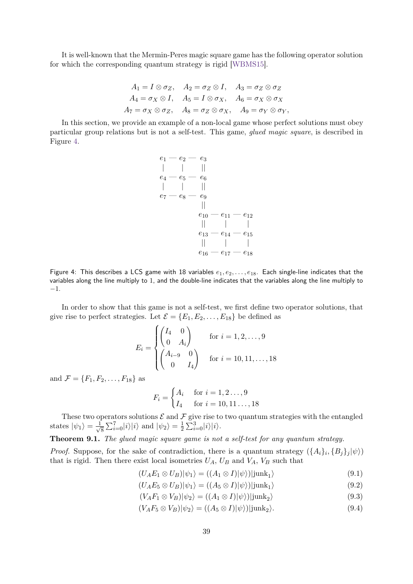It is well-known that the Mermin-Peres magic square game has the following operator solution for which the corresponding quantum strategy is rigid [\[WBMS15\]](#page-42-3).

$$
A_1 = I \otimes \sigma_Z, \quad A_2 = \sigma_Z \otimes I, \quad A_3 = \sigma_Z \otimes \sigma_Z
$$
  

$$
A_4 = \sigma_X \otimes I, \quad A_5 = I \otimes \sigma_X, \quad A_6 = \sigma_X \otimes \sigma_X
$$
  

$$
A_7 = \sigma_X \otimes \sigma_Z, \quad A_8 = \sigma_Z \otimes \sigma_X, \quad A_9 = \sigma_Y \otimes \sigma_Y,
$$

<span id="page-38-0"></span>In this section, we provide an example of a non-local game whose perfect solutions must obey particular group relations but is not a self-test. This game, glued magic square, is described in Figure [4.](#page-38-0)

$$
\begin{array}{c|c|c} e_1 - e_2 - e_3 \\ \mid & \mid & \mid \\ e_4 - e_5 - e_6 \\ \mid & \mid & \mid \\ e_7 - e_8 - e_9 \\ \mid & \mid & \mid \\ e_{10} - e_{11} - e_{12} \\ \mid & \mid & \mid \\ e_{13} - e_{14} - e_{15} \\ \mid & \mid & \mid \\ e_{16} - e_{17} - e_{18} \end{array}
$$

Figure 4: This describes a LCS game with 18 variables  $e_1, e_2, \ldots, e_{18}$ . Each single-line indicates that the variables along the line multiply to 1, and the double-line indicates that the variables along the line multiply to −1.

In order to show that this game is not a self-test, we first define two operator solutions, that give rise to perfect strategies. Let  $\mathcal{E} = \{E_1, E_2, \ldots, E_{18}\}\)$  be defined as

$$
E_i = \begin{cases} \begin{pmatrix} I_4 & 0 \\ 0 & A_i \end{pmatrix} & \text{for } i = 1, 2, ..., 9 \\ \begin{pmatrix} A_{i-9} & 0 \\ 0 & I_4 \end{pmatrix} & \text{for } i = 10, 11, ..., 18 \end{cases}
$$

and  $\mathcal{F} = \{F_1, F_2, \ldots, F_{18}\}\$  as

<span id="page-38-2"></span>
$$
F_i = \begin{cases} A_i & \text{for } i = 1, 2 \dots, 9 \\ I_4 & \text{for } i = 10, 11 \dots, 18 \end{cases}
$$

These two operators solutions  $\mathcal E$  and  $\mathcal F$  give rise to two quantum strategies with the entangled states  $|\psi_1\rangle = \frac{1}{\sqrt{2}}$  $\frac{1}{8} \sum_{i=0}^{7} |i\rangle |i\rangle$  and  $|\psi_2\rangle = \frac{1}{2}$  $\frac{1}{2}\sum_{i=0}^{3}|i\rangle|i\rangle.$ 

**Theorem 9.1.** *The glued magic square game is not a self-test for any quantum strategy.*

*Proof.* Suppose, for the sake of contradiction, there is a quantum strategy  $(\{A_i\}_i, \{B_j\}_j | \psi \rangle)$ that is rigid. Then there exist local isometries  $U_A$ ,  $U_B$  and  $V_A$ ,  $V_B$  such that

$$
(U_A E_1 \otimes U_B)|\psi_1\rangle = ((A_1 \otimes I)|\psi\rangle)|junk_1\rangle \tag{9.1}
$$

<span id="page-38-3"></span><span id="page-38-1"></span>
$$
(U_A E_5 \otimes U_B)|\psi_1\rangle = ((A_5 \otimes I)|\psi\rangle)|junk_1\rangle \tag{9.2}
$$

$$
(V_A F_1 \otimes V_B)|\psi_2\rangle = ((A_1 \otimes I)|\psi\rangle)|junk_2\rangle \tag{9.3}
$$

$$
(V_A F_5 \otimes V_B) |\psi_2\rangle = ((A_5 \otimes I)|\psi\rangle)|junk_2\rangle.
$$
\n(9.4)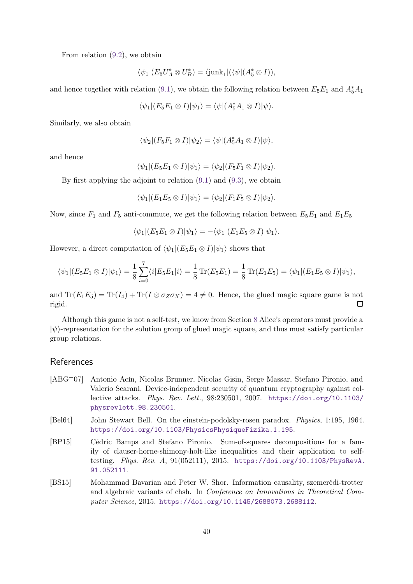From relation [\(9.2\)](#page-38-1), we obtain

$$
\langle \psi_1 | (E_5 U_A^* \otimes U_B^*) = \langle \mathrm{junk}_1 | (\langle \psi | (A_5^* \otimes I)),
$$

and hence together with relation [\(9.1\)](#page-38-2), we obtain the following relation between  $E_5E_1$  and  $A_5^*A_1$ 

$$
\langle \psi_1 | (E_5 E_1 \otimes I) | \psi_1 \rangle = \langle \psi | (A_5^* A_1 \otimes I) | \psi \rangle.
$$

Similarly, we also obtain

$$
\langle \psi_2 | (F_5 F_1 \otimes I) | \psi_2 \rangle = \langle \psi | (A_5^* A_1 \otimes I) | \psi \rangle,
$$

and hence

$$
\langle \psi_1 | (E_5 E_1 \otimes I) | \psi_1 \rangle = \langle \psi_2 | (F_5 F_1 \otimes I) | \psi_2 \rangle.
$$

By first applying the adjoint to relation [\(9.1\)](#page-38-2) and [\(9.3\)](#page-38-3), we obtain

$$
\langle \psi_1 | (E_1 E_5 \otimes I) | \psi_1 \rangle = \langle \psi_2 | (F_1 F_5 \otimes I) | \psi_2 \rangle.
$$

Now, since  $F_1$  and  $F_5$  anti-commute, we get the following relation between  $E_5E_1$  and  $E_1E_5$ 

$$
\langle \psi_1 | (E_5 E_1 \otimes I) | \psi_1 \rangle = - \langle \psi_1 | (E_1 E_5 \otimes I) | \psi_1 \rangle.
$$

However, a direct computation of  $\langle \psi_1 | (E_5 E_1 \otimes I) | \psi_1 \rangle$  shows that

$$
\langle \psi_1 | (E_5 E_1 \otimes I) | \psi_1 \rangle = \frac{1}{8} \sum_{i=0}^7 \langle i | E_5 E_1 | i \rangle = \frac{1}{8} \operatorname{Tr} (E_5 E_1) = \frac{1}{8} \operatorname{Tr} (E_1 E_5) = \langle \psi_1 | (E_1 E_5 \otimes I) | \psi_1 \rangle,
$$

and  $\text{Tr}(E_1E_5) = \text{Tr}(I_4) + \text{Tr}(I \otimes \sigma_Z \sigma_X) = 4 \neq 0$ . Hence, the glued magic square game is not rigid.  $\Box$ 

Although this game is not a self-test, we know from Section [8](#page-36-0) Alice's operators must provide a  $|\psi\rangle$ -representation for the solution group of glued magic square, and thus must satisfy particular group relations.

### References

- <span id="page-39-1"></span>[ABG+07] Antonio Acín, Nicolas Brunner, Nicolas Gisin, Serge Massar, Stefano Pironio, and Valerio Scarani. Device-independent security of quantum cryptography against collective attacks. Phys. Rev. Lett., 98:230501, 2007. [https://doi.org/10.1103/](https://doi.org/10.1103/physrevlett.98.230501) [physrevlett.98.230501](https://doi.org/10.1103/physrevlett.98.230501).
- <span id="page-39-0"></span>[Bel64] John Stewart Bell. On the einstein-podolsky-rosen paradox. Physics, 1:195, 1964. <https://doi.org/10.1103/PhysicsPhysiqueFizika.1.195>.
- <span id="page-39-2"></span>[BP15] Cédric Bamps and Stefano Pironio. Sum-of-squares decompositions for a family of clauser-horne-shimony-holt-like inequalities and their application to selftesting. Phys. Rev. A, 91(052111), 2015. [https://doi.org/10.1103/PhysRevA.](https://doi.org/10.1103/PhysRevA.91.052111) [91.052111](https://doi.org/10.1103/PhysRevA.91.052111).
- <span id="page-39-3"></span>[BS15] Mohammad Bavarian and Peter W. Shor. Information causality, szemerédi-trotter and algebraic variants of chsh. In Conference on Innovations in Theoretical Computer Science, 2015. <https://doi.org/10.1145/2688073.2688112>.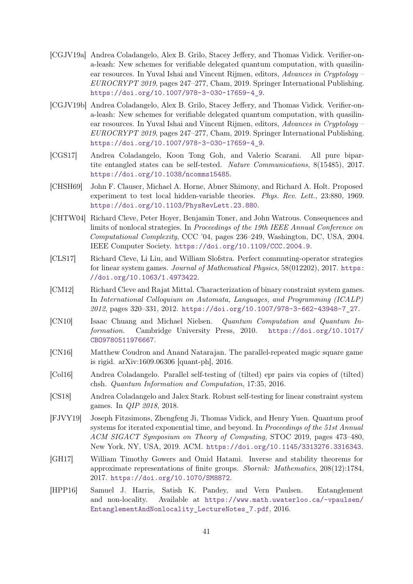- <span id="page-40-1"></span>[CGJV19a] Andrea Coladangelo, Alex B. Grilo, Stacey Jeffery, and Thomas Vidick. Verifier-ona-leash: New schemes for verifiable delegated quantum computation, with quasilinear resources. In Yuval Ishai and Vincent Rijmen, editors, Advances in Cryptology – EUROCRYPT 2019, pages 247–277, Cham, 2019. Springer International Publishing. [https://doi.org/10.1007/978-3-030-17659-4\\_9](https://doi.org/10.1007/978-3-030-17659-4_9).
- <span id="page-40-8"></span>[CGJV19b] Andrea Coladangelo, Alex B. Grilo, Stacey Jeffery, and Thomas Vidick. Verifier-ona-leash: New schemes for verifiable delegated quantum computation, with quasilinear resources. In Yuval Ishai and Vincent Rijmen, editors, Advances in Cryptology – EUROCRYPT 2019, pages 247–277, Cham, 2019. Springer International Publishing. [https://doi.org/10.1007/978-3-030-17659-4\\_9](https://doi.org/10.1007/978-3-030-17659-4_9).
- <span id="page-40-6"></span>[CGS17] Andrea Coladangelo, Koon Tong Goh, and Valerio Scarani. All pure bipartite entangled states can be self-tested. Nature Communications, 8(15485), 2017. <https://doi.org/10.1038/ncomms15485>.
- <span id="page-40-2"></span>[CHSH69] John F. Clauser, Michael A. Horne, Abner Shimony, and Richard A. Holt. Proposed experiment to test local hidden-variable theories. Phys. Rev. Lett., 23:880, 1969. <https://doi.org/10.1103/PhysRevLett.23.880>.
- <span id="page-40-3"></span>[CHTW04] Richard Cleve, Peter Hoyer, Benjamin Toner, and John Watrous. Consequences and limits of nonlocal strategies. In Proceedings of the 19th IEEE Annual Conference on Computational Complexity, CCC '04, pages 236–249, Washington, DC, USA, 2004. IEEE Computer Society. <https://doi.org/10.1109/CCC.2004.9>.
- <span id="page-40-10"></span>[CLS17] Richard Cleve, Li Liu, and William Slofstra. Perfect commuting-operator strategies for linear system games. Journal of Mathematical Physics, 58(012202), 2017. [https:](https://doi.org/10.1063/1.4973422) [//doi.org/10.1063/1.4973422](https://doi.org/10.1063/1.4973422).
- <span id="page-40-4"></span>[CM12] Richard Cleve and Rajat Mittal. Characterization of binary constraint system games. In International Colloquium on Automata, Languages, and Programming (ICALP) 2012, pages 320–331, 2012. [https://doi.org/10.1007/978-3-662-43948-7\\_27](https://doi.org/10.1007/978-3-662-43948-7_27).
- <span id="page-40-12"></span>[CN10] Isaac Chuang and Michael Nielsen. Quantum Computation and Quantum Information. Cambridge University Press, 2010. [https://doi.org/10.1017/](https://doi.org/10.1017/CBO9780511976667) [CBO9780511976667](https://doi.org/10.1017/CBO9780511976667).
- <span id="page-40-5"></span>[CN16] Matthew Coudron and Anand Natarajan. The parallel-repeated magic square game is rigid. arXiv:1609.06306 [quant-ph], 2016.
- <span id="page-40-7"></span>[Col16] Andrea Coladangelo. Parallel self-testing of (tilted) epr pairs via copies of (tilted) chsh. Quantum Information and Computation, 17:35, 2016.
- <span id="page-40-9"></span>[CS18] Andrea Coladangelo and Jalex Stark. Robust self-testing for linear constraint system games. In QIP 2018, 2018.
- <span id="page-40-0"></span>[FJVY19] Joseph Fitzsimons, Zhengfeng Ji, Thomas Vidick, and Henry Yuen. Quantum proof systems for iterated exponential time, and beyond. In Proceedings of the 51st Annual ACM SIGACT Symposium on Theory of Computing, STOC 2019, pages 473–480, New York, NY, USA, 2019. ACM. <https://doi.org/10.1145/3313276.3316343>.
- <span id="page-40-11"></span>[GH17] William Timothy Gowers and Omid Hatami. Inverse and stability theorems for approximate representations of finite groups. Sbornik: Mathematics, 208(12):1784, 2017. <https://doi.org/10.1070/SM8872>.
- <span id="page-40-13"></span>[HPP16] Samuel J. Harris, Satish K. Pandey, and Vern Paulsen. Entanglement and non-locality. Available at [https://www.math.uwaterloo.ca/~vpaulsen/](https://www.math.uwaterloo.ca/~vpaulsen/EntanglementAndNonlocality_LectureNotes_7.pdf) [EntanglementAndNonlocality\\_LectureNotes\\_7.pdf](https://www.math.uwaterloo.ca/~vpaulsen/EntanglementAndNonlocality_LectureNotes_7.pdf), 2016.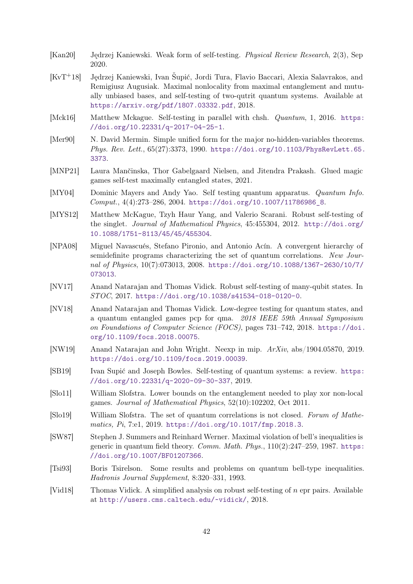- <span id="page-41-15"></span>[Kan20] Jędrzej Kaniewski. Weak form of self-testing. Physical Review Research, 2(3), Sep 2020.
- <span id="page-41-13"></span>[KvT<sup>+</sup>18] Jędrzej Kaniewski, Ivan Šupić, Jordi Tura, Flavio Baccari, Alexia Salavrakos, and Remigiusz Augusiak. Maximal nonlocality from maximal entanglement and mutually unbiased bases, and self-testing of two-qutrit quantum systems. Available at <https://arxiv.org/pdf/1807.03332.pdf>, 2018.
- <span id="page-41-9"></span>[Mck16] Matthew Mckague. Self-testing in parallel with chsh. Quantum, 1, 2016. [https:](https://doi.org/10.22331/q-2017-04-25-1) [//doi.org/10.22331/q-2017-04-25-1](https://doi.org/10.22331/q-2017-04-25-1).
- <span id="page-41-6"></span>[Mer90] N. David Mermin. Simple unified form for the major no-hidden-variables theorems. Phys. Rev. Lett., 65(27):3373, 1990. [https://doi.org/10.1103/PhysRevLett.65.](https://doi.org/10.1103/PhysRevLett.65.3373) [3373](https://doi.org/10.1103/PhysRevLett.65.3373).
- <span id="page-41-16"></span>[MNP21] Laura Mančinska, Thor Gabelgaard Nielsen, and Jitendra Prakash. Glued magic games self-test maximally entangled states, 2021.
- <span id="page-41-0"></span>[MY04] Dominic Mayers and Andy Yao. Self testing quantum apparatus. Quantum Info. Comput., 4(4):273–286, 2004. [https://doi.org/10.1007/11786986\\_8](https://doi.org/10.1007/11786986_8).
- <span id="page-41-7"></span>[MYS12] Matthew McKague, Tzyh Haur Yang, and Valerio Scarani. Robust self-testing of the singlet. Journal of Mathematical Physics, 45:455304, 2012. [http://doi.org/](http://doi.org/10.1088/1751-8113/45/45/455304) [10.1088/1751-8113/45/45/455304](http://doi.org/10.1088/1751-8113/45/45/455304).
- <span id="page-41-12"></span>[NPA08] Miguel Navascués, Stefano Pironio, and Antonio Acín. A convergent hierarchy of semidefinite programs characterizing the set of quantum correlations. New Journal of Physics, 10(7):073013, 2008. [https://doi.org/10.1088/1367-2630/10/7/](https://doi.org/10.1088/1367-2630/10/7/073013) [073013](https://doi.org/10.1088/1367-2630/10/7/073013).
- <span id="page-41-8"></span>[NV17] Anand Natarajan and Thomas Vidick. Robust self-testing of many-qubit states. In STOC, 2017. <https://doi.org/10.1038/s41534-018-0120-0>.
- <span id="page-41-1"></span>[NV18] Anand Natarajan and Thomas Vidick. Low-degree testing for quantum states, and a quantum entangled games pcp for qma. 2018 IEEE 59th Annual Symposium on Foundations of Computer Science (FOCS), pages 731–742, 2018. [https://doi.](https://doi.org/10.1109/focs.2018.00075) [org/10.1109/focs.2018.00075](https://doi.org/10.1109/focs.2018.00075).
- <span id="page-41-2"></span>[NW19] Anand Natarajan and John Wright. Neexp in mip. ArXiv, abs/1904.05870, 2019. <https://doi.org/10.1109/focs.2019.00039>.
- <span id="page-41-3"></span>[SB19] Ivan Supić and Joseph Bowles. Self-testing of quantum systems: a review. [https:](https://doi.org/10.22331/q-2020-09-30-337) [//doi.org/10.22331/q-2020-09-30-337](https://doi.org/10.22331/q-2020-09-30-337), 2019.
- <span id="page-41-14"></span>[Slo11] William Slofstra. Lower bounds on the entanglement needed to play xor non-local games. Journal of Mathematical Physics, 52(10):102202, Oct 2011.
- <span id="page-41-11"></span>[Slo19] William Slofstra. The set of quantum correlations is not closed. Forum of Mathematics, Pi, 7:e1, 2019. <https://doi.org/10.1017/fmp.2018.3>.
- <span id="page-41-4"></span>[SW87] Stephen J. Summers and Reinhard Werner. Maximal violation of bell's inequalities is generic in quantum field theory. Comm. Math. Phys.,  $110(2):247-259$ , 1987. [https:](https://doi.org/10.1007/BF01207366) [//doi.org/10.1007/BF01207366](https://doi.org/10.1007/BF01207366).
- <span id="page-41-5"></span>[Tsi93] Boris Tsirelson. Some results and problems on quantum bell-type inequalities. Hadronis Journal Supplement, 8:320–331, 1993.
- <span id="page-41-10"></span>[Vid18] Thomas Vidick. A simplified analysis on robust self-testing of *n* epr pairs. Available at <http://users.cms.caltech.edu/~vidick/>, 2018.